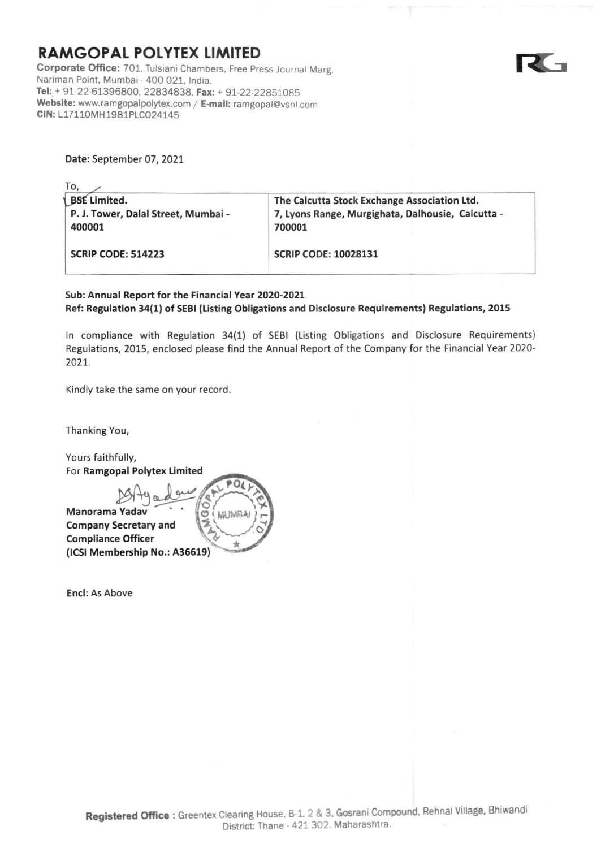## **RAMGOPAL POLYTEX LIMITED**

Corporate Office: 701, Tulsiani Chambers, Free Press Journal Marg. Nariman Point, Mumbai - 400 021. India. Tel: + 91-22-61396800, 22834838, Fax: + 91-22-22851085 Website: www.ramgopalpolytex.com / E-mail: ramgopal@vsnl.com CIN: L17110MH1981PLC024145

Date: September 07, 2021

| To,                                           |                                                             |
|-----------------------------------------------|-------------------------------------------------------------|
| <b>BSE Limited.</b>                           | The Calcutta Stock Exchange Association Ltd.                |
| P. J. Tower, Dalal Street, Mumbai -<br>400001 | 7, Lyons Range, Murgighata, Dalhousie, Calcutta -<br>700001 |
| <b>SCRIP CODE: 514223</b>                     | <b>SCRIP CODE: 10028131</b>                                 |

Sub: Annual Report for the Financial Year 2020-2021 Ref: Regulation 34(1) of SEBI (Listing Obligations and Disclosure Requirements) Regulations, 2015

In compliance with Regulation 34(1) of SEBI (Listing Obligations and Disclosure Requirements) Regulations, 2015, enclosed please find the Annual Report of the Company for the Financial Year 2020- 2021.

Kindly take the same on your record.

Thanking You,

Yours faithfully, For Ramgopal Polytex Limited Manorama Yadav **MAR Company Secretary and Compliance Officer** (ICSI Membership No.: A36619)

Encl: As Above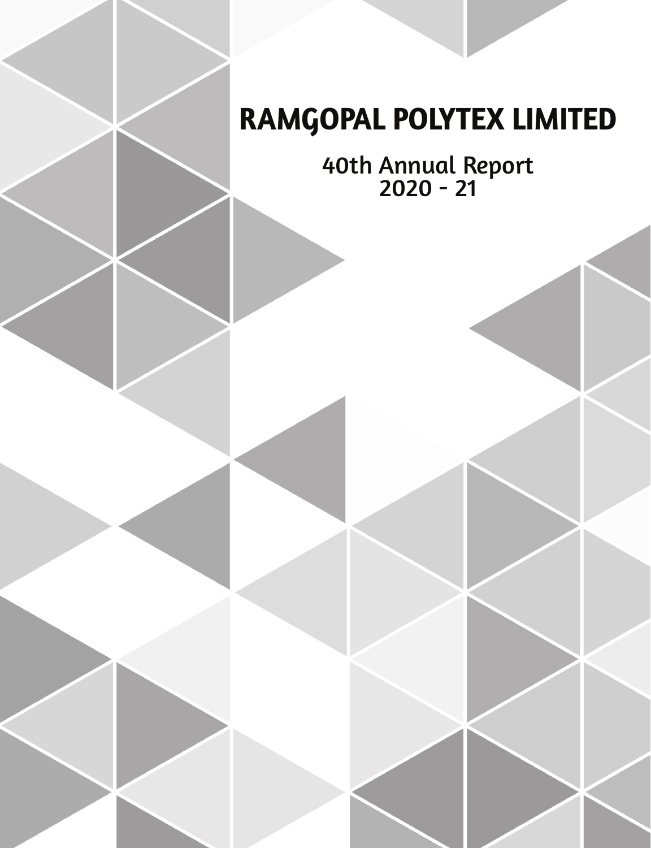# **RAMGOPAL POLYTEX LIMITED**

40th Annual Report 2020 - 21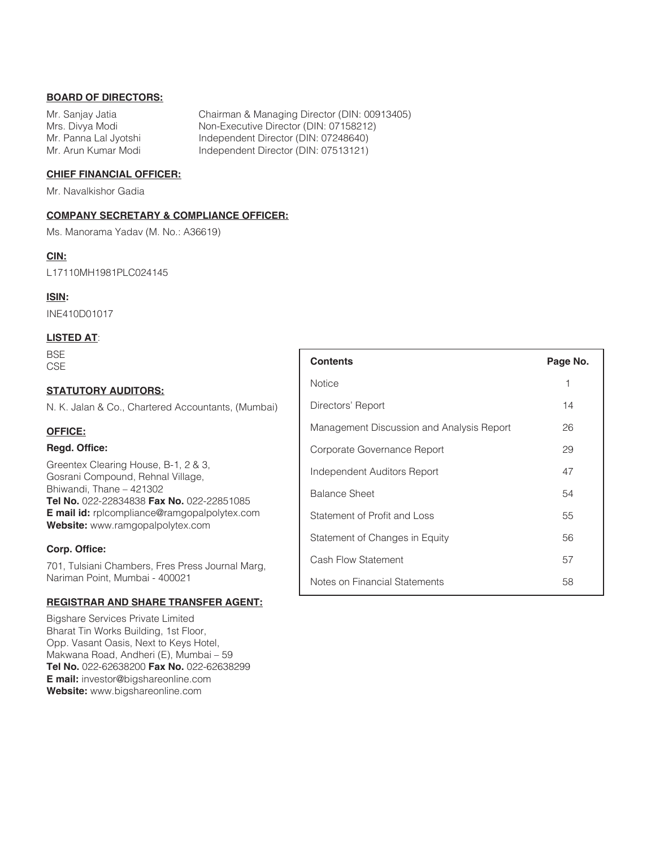#### **BOARD OF DIRECTORS:**

Mr. Sanjay Jatia Chairman & Managing Director (DIN: 00913405) Mrs. Divya Modi Non-Executive Director (DIN: 07158212) Mr. Panna Lal Jyotshi Independent Director (DIN: 07248640) Mr. Arun Kumar Modi Independent Director (DIN: 07513121)

#### **CHIEF FINANCIAL OFFICER:**

Mr. Navalkishor Gadia

#### **COMPANY SECRETARY & COMPLIANCE OFFICER:**

Ms. Manorama Yadav (M. No.: A36619)

#### **CIN:**

L17110MH1981PLC024145

**ISIN:** 

INE410D01017

#### **LISTED AT**:

BSE **CSE** 

#### **STATUTORY AUDITORS:**

N. K. Jalan & Co., Chartered Accountants, (Mumbai)

#### **OFFICE:**

#### **Regd. Office:**

Greentex Clearing House, B-1, 2 & 3, Gosrani Compound, Rehnal Village, Bhiwandi, Thane – 421302 **Tel No.** 022-22834838 **Fax No.** 022-22851085 **E mail id:** rplcompliance@ramgopalpolytex.com **Website:** www.ramgopalpolytex.com

#### **Corp. Office:**

701, Tulsiani Chambers, Fres Press Journal Marg, Nariman Point, Mumbai - 400021

#### **REGISTRAR AND SHARE TRANSFER AGENT:**

Bigshare Services Private Limited Bharat Tin Works Building, 1st Floor, Opp. Vasant Oasis, Next to Keys Hotel, Makwana Road, Andheri (E), Mumbai – 59 **Tel No.** 022-62638200 **Fax No.** 022-62638299 **E mail:** investor@bigshareonline.com **Website:** www.bigshareonline.com

| <b>Contents</b>                           | Page No. |
|-------------------------------------------|----------|
| Notice                                    | 1        |
| Directors' Report                         | 14       |
| Management Discussion and Analysis Report | 26       |
| Corporate Governance Report               | 29       |
| Independent Auditors Report               | 47       |
| <b>Balance Sheet</b>                      | 54       |
| Statement of Profit and Loss              | 55       |
| Statement of Changes in Equity            | 56       |
| Cash Flow Statement                       | 57       |
| Notes on Financial Statements             | 58       |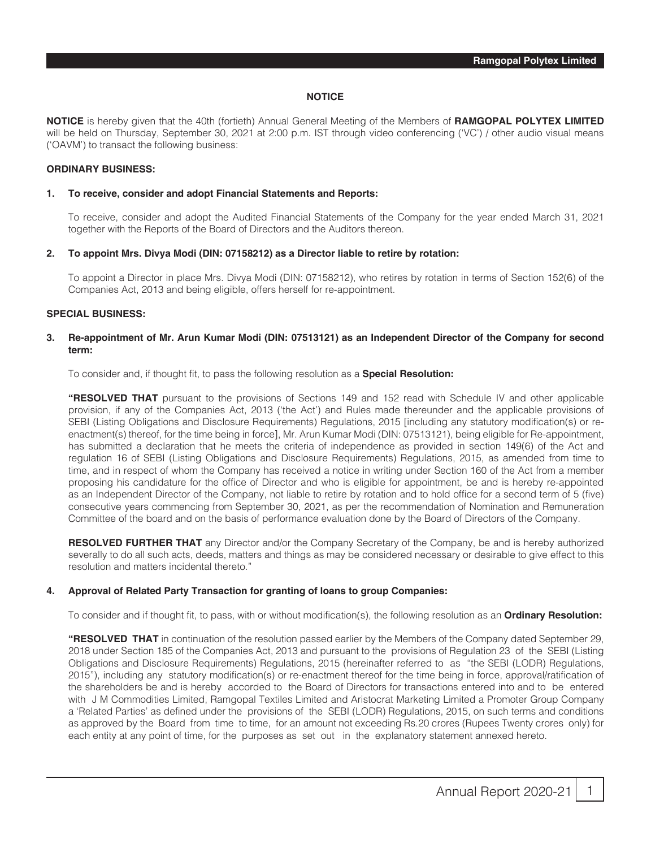#### **NOTICE**

**NOTICE** is hereby given that the 40th (fortieth) Annual General Meeting of the Members of **RAMGOPAL POLYTEX LIMITED** will be held on Thursday, September 30, 2021 at 2:00 p.m. IST through video conferencing ('VC') / other audio visual means ('OAVM') to transact the following business:

#### **ORDINARY BUSINESS:**

#### **1. To receive, consider and adopt Financial Statements and Reports:**

To receive, consider and adopt the Audited Financial Statements of the Company for the year ended March 31, 2021 together with the Reports of the Board of Directors and the Auditors thereon.

#### **2. To appoint Mrs. Divya Modi (DIN: 07158212) as a Director liable to retire by rotation:**

To appoint a Director in place Mrs. Divya Modi (DIN: 07158212), who retires by rotation in terms of Section 152(6) of the Companies Act, 2013 and being eligible, offers herself for re-appointment.

#### **SPECIAL BUSINESS:**

#### **3. Re-appointment of Mr. Arun Kumar Modi (DIN: 07513121) as an Independent Director of the Company for second term:**

To consider and, if thought fit, to pass the following resolution as a **Special Resolution:** 

**"RESOLVED THAT** pursuant to the provisions of Sections 149 and 152 read with Schedule IV and other applicable provision, if any of the Companies Act, 2013 ('the Act') and Rules made thereunder and the applicable provisions of SEBI (Listing Obligations and Disclosure Requirements) Regulations, 2015 [including any statutory modification(s) or reenactment(s) thereof, for the time being in force], Mr. Arun Kumar Modi (DIN: 07513121), being eligible for Re-appointment, has submitted a declaration that he meets the criteria of independence as provided in section 149(6) of the Act and regulation 16 of SEBI (Listing Obligations and Disclosure Requirements) Regulations, 2015, as amended from time to time, and in respect of whom the Company has received a notice in writing under Section 160 of the Act from a member proposing his candidature for the office of Director and who is eligible for appointment, be and is hereby re-appointed as an Independent Director of the Company, not liable to retire by rotation and to hold office for a second term of 5 (five) consecutive years commencing from September 30, 2021, as per the recommendation of Nomination and Remuneration Committee of the board and on the basis of performance evaluation done by the Board of Directors of the Company.

**RESOLVED FURTHER THAT** any Director and/or the Company Secretary of the Company, be and is hereby authorized severally to do all such acts, deeds, matters and things as may be considered necessary or desirable to give effect to this resolution and matters incidental thereto."

#### **4. Approval of Related Party Transaction for granting of loans to group Companies:**

To consider and if thought fit, to pass, with or without modification(s), the following resolution as an **Ordinary Resolution:**

**"RESOLVED THAT** in continuation of the resolution passed earlier by the Members of the Company dated September 29, 2018 under Section 185 of the Companies Act, 2013 and pursuant to the provisions of Regulation 23 of the SEBI (Listing Obligations and Disclosure Requirements) Regulations, 2015 (hereinafter referred to as "the SEBI (LODR) Regulations, 2015"), including any statutory modification(s) or re-enactment thereof for the time being in force, approval/ratification of the shareholders be and is hereby accorded to the Board of Directors for transactions entered into and to be entered with J M Commodities Limited, Ramgopal Textiles Limited and Aristocrat Marketing Limited a Promoter Group Company a 'Related Parties' as defined under the provisions of the SEBI (LODR) Regulations, 2015, on such terms and conditions as approved by the Board from time to time, for an amount not exceeding Rs.20 crores (Rupees Twenty crores only) for each entity at any point of time, for the purposes as set out in the explanatory statement annexed hereto.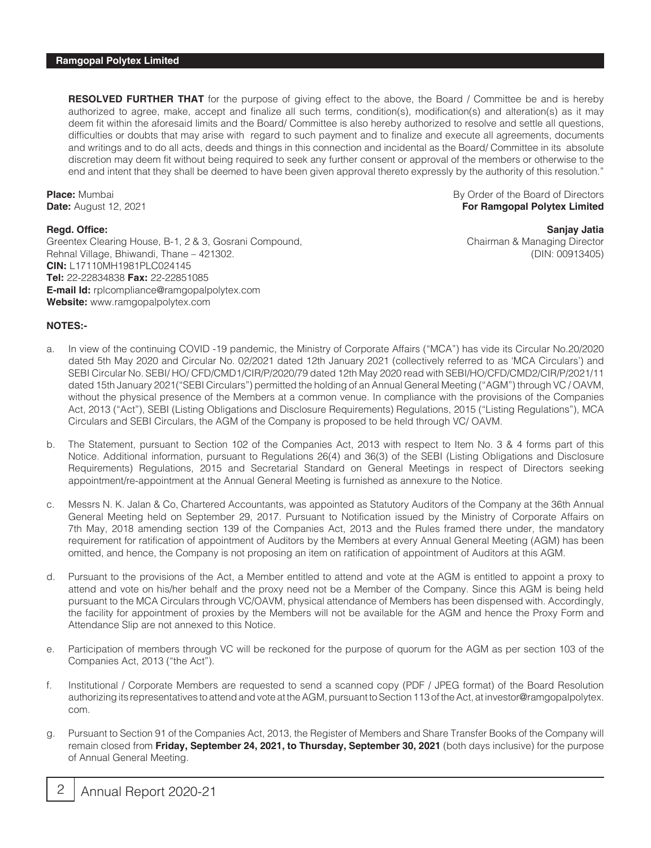**RESOLVED FURTHER THAT** for the purpose of giving effect to the above, the Board / Committee be and is hereby authorized to agree, make, accept and finalize all such terms, condition(s), modification(s) and alteration(s) as it may deem fit within the aforesaid limits and the Board/ Committee is also hereby authorized to resolve and settle all questions, difficulties or doubts that may arise with regard to such payment and to finalize and execute all agreements, documents and writings and to do all acts, deeds and things in this connection and incidental as the Board/ Committee in its absolute discretion may deem fit without being required to seek any further consent or approval of the members or otherwise to the end and intent that they shall be deemed to have been given approval thereto expressly by the authority of this resolution."

**Place:** Mumbai By Order of the Board of Directors<br> **Date:** August 12, 2021 **Date:** August 12, 2021 **For Ramgopal Polytex Limited** 

Greentex Clearing House, B-1, 2 & 3, Gosrani Compound, Chairman & Managing Director Rehnal Village, Bhiwandi, Thane – 421302. (DIN: 00913405) **CIN:** L17110MH1981PLC024145 **Tel:** 22-22834838 **Fax:** 22-22851085 **E-mail Id:** rplcompliance@ramgopalpolytex.com **Website:** www.ramgopalpolytex.com

**Regd. Office: Sanjay Jatia**

#### **NOTES:-**

- a. In view of the continuing COVID -19 pandemic, the Ministry of Corporate Affairs ("MCA") has vide its Circular No.20/2020 dated 5th May 2020 and Circular No. 02/2021 dated 12th January 2021 (collectively referred to as 'MCA Circulars') and SEBI Circular No. SEBI/ HO/ CFD/CMD1/CIR/P/2020/79 dated 12th May 2020 read with SEBI/HO/CFD/CMD2/CIR/P/2021/11 dated 15th January 2021("SEBI Circulars") permitted the holding of an Annual General Meeting ("AGM") through VC / OAVM, without the physical presence of the Members at a common venue. In compliance with the provisions of the Companies Act, 2013 ("Act"), SEBI (Listing Obligations and Disclosure Requirements) Regulations, 2015 ("Listing Regulations"), MCA Circulars and SEBI Circulars, the AGM of the Company is proposed to be held through VC/ OAVM.
- b. The Statement, pursuant to Section 102 of the Companies Act, 2013 with respect to Item No. 3 & 4 forms part of this Notice. Additional information, pursuant to Regulations 26(4) and 36(3) of the SEBI (Listing Obligations and Disclosure Requirements) Regulations, 2015 and Secretarial Standard on General Meetings in respect of Directors seeking appointment/re-appointment at the Annual General Meeting is furnished as annexure to the Notice.
- c. Messrs N. K. Jalan & Co, Chartered Accountants, was appointed as Statutory Auditors of the Company at the 36th Annual General Meeting held on September 29, 2017. Pursuant to Notification issued by the Ministry of Corporate Affairs on 7th May, 2018 amending section 139 of the Companies Act, 2013 and the Rules framed there under, the mandatory requirement for ratification of appointment of Auditors by the Members at every Annual General Meeting (AGM) has been omitted, and hence, the Company is not proposing an item on ratification of appointment of Auditors at this AGM.
- d. Pursuant to the provisions of the Act, a Member entitled to attend and vote at the AGM is entitled to appoint a proxy to attend and vote on his/her behalf and the proxy need not be a Member of the Company. Since this AGM is being held pursuant to the MCA Circulars through VC/OAVM, physical attendance of Members has been dispensed with. Accordingly, the facility for appointment of proxies by the Members will not be available for the AGM and hence the Proxy Form and Attendance Slip are not annexed to this Notice.
- e. Participation of members through VC will be reckoned for the purpose of quorum for the AGM as per section 103 of the Companies Act, 2013 ("the Act").
- f. Institutional / Corporate Members are requested to send a scanned copy (PDF / JPEG format) of the Board Resolution authorizing its representatives to attend and vote at the AGM, pursuant to Section 113 of the Act, at investor@ramgopalpolytex. com.
- g. Pursuant to Section 91 of the Companies Act, 2013, the Register of Members and Share Transfer Books of the Company will remain closed from **Friday, September 24, 2021, to Thursday, September 30, 2021** (both days inclusive) for the purpose of Annual General Meeting.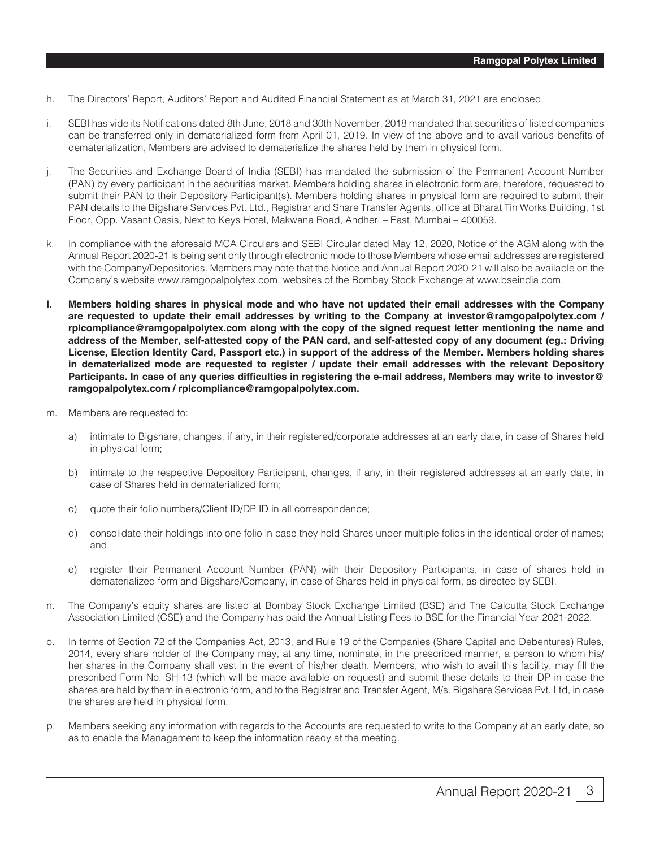- h. The Directors' Report, Auditors' Report and Audited Financial Statement as at March 31, 2021 are enclosed.
- i. SEBI has vide its Notifications dated 8th June, 2018 and 30th November, 2018 mandated that securities of listed companies can be transferred only in dematerialized form from April 01, 2019. In view of the above and to avail various benefits of dematerialization, Members are advised to dematerialize the shares held by them in physical form.
- j. The Securities and Exchange Board of India (SEBI) has mandated the submission of the Permanent Account Number (PAN) by every participant in the securities market. Members holding shares in electronic form are, therefore, requested to submit their PAN to their Depository Participant(s). Members holding shares in physical form are required to submit their PAN details to the Bigshare Services Pvt. Ltd., Registrar and Share Transfer Agents, office at Bharat Tin Works Building, 1st Floor, Opp. Vasant Oasis, Next to Keys Hotel, Makwana Road, Andheri – East, Mumbai – 400059.
- k. In compliance with the aforesaid MCA Circulars and SEBI Circular dated May 12, 2020, Notice of the AGM along with the Annual Report 2020-21 is being sent only through electronic mode to those Members whose email addresses are registered with the Company/Depositories. Members may note that the Notice and Annual Report 2020-21 will also be available on the Company's website www.ramgopalpolytex.com, websites of the Bombay Stock Exchange at www.bseindia.com.
- **l. Members holding shares in physical mode and who have not updated their email addresses with the Company are requested to update their email addresses by writing to the Company at investor@ramgopalpolytex.com / rplcompliance@ramgopalpolytex.com along with the copy of the signed request letter mentioning the name and address of the Member, self-attested copy of the PAN card, and self-attested copy of any document (eg.: Driving License, Election Identity Card, Passport etc.) in support of the address of the Member. Members holding shares in dematerialized mode are requested to register / update their email addresses with the relevant Depository Participants. In case of any queries difficulties in registering the e-mail address, Members may write to investor@ ramgopalpolytex.com / rplcompliance@ramgopalpolytex.com.**
- m. Members are requested to:
	- a) intimate to Bigshare, changes, if any, in their registered/corporate addresses at an early date, in case of Shares held in physical form;
	- b) intimate to the respective Depository Participant, changes, if any, in their registered addresses at an early date, in case of Shares held in dematerialized form;
	- c) quote their folio numbers/Client ID/DP ID in all correspondence;
	- d) consolidate their holdings into one folio in case they hold Shares under multiple folios in the identical order of names; and
	- e) register their Permanent Account Number (PAN) with their Depository Participants, in case of shares held in dematerialized form and Bigshare/Company, in case of Shares held in physical form, as directed by SEBI.
- n. The Company's equity shares are listed at Bombay Stock Exchange Limited (BSE) and The Calcutta Stock Exchange Association Limited (CSE) and the Company has paid the Annual Listing Fees to BSE for the Financial Year 2021-2022.
- o. In terms of Section 72 of the Companies Act, 2013, and Rule 19 of the Companies (Share Capital and Debentures) Rules, 2014, every share holder of the Company may, at any time, nominate, in the prescribed manner, a person to whom his/ her shares in the Company shall vest in the event of his/her death. Members, who wish to avail this facility, may fill the prescribed Form No. SH-13 (which will be made available on request) and submit these details to their DP in case the shares are held by them in electronic form, and to the Registrar and Transfer Agent, M/s. Bigshare Services Pvt. Ltd, in case the shares are held in physical form.
- p. Members seeking any information with regards to the Accounts are requested to write to the Company at an early date, so as to enable the Management to keep the information ready at the meeting.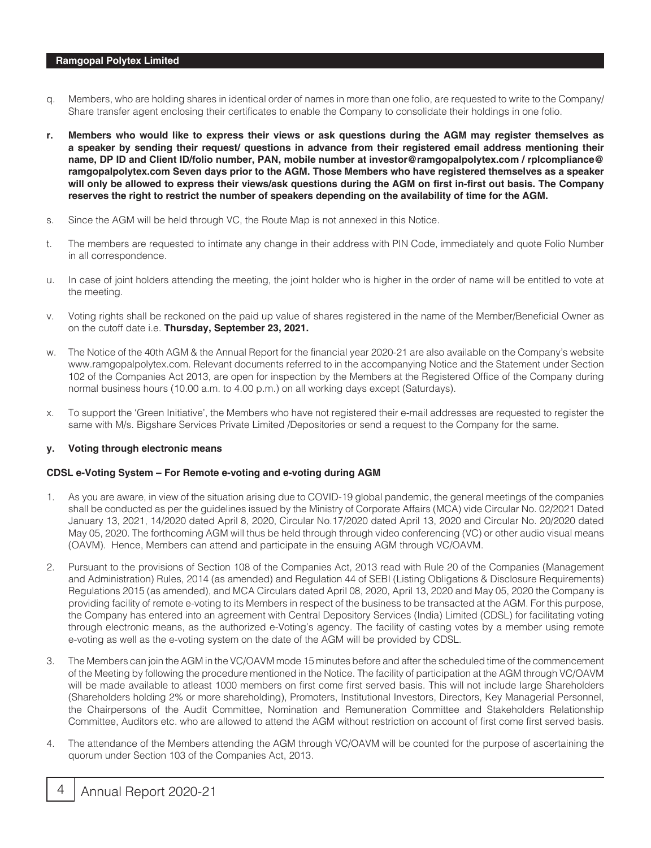- q. Members, who are holding shares in identical order of names in more than one folio, are requested to write to the Company/ Share transfer agent enclosing their certificates to enable the Company to consolidate their holdings in one folio.
- **r. Members who would like to express their views or ask questions during the AGM may register themselves as a speaker by sending their request/ questions in advance from their registered email address mentioning their name, DP ID and Client ID/folio number, PAN, mobile number at investor@ramgopalpolytex.com / rplcompliance@ ramgopalpolytex.com Seven days prior to the AGM. Those Members who have registered themselves as a speaker will only be allowed to express their views/ask questions during the AGM on first in-first out basis. The Company reserves the right to restrict the number of speakers depending on the availability of time for the AGM.**
- s. Since the AGM will be held through VC, the Route Map is not annexed in this Notice.
- t. The members are requested to intimate any change in their address with PIN Code, immediately and quote Folio Number in all correspondence.
- u. In case of joint holders attending the meeting, the joint holder who is higher in the order of name will be entitled to vote at the meeting.
- v. Voting rights shall be reckoned on the paid up value of shares registered in the name of the Member/Beneficial Owner as on the cutoff date i.e. **Thursday, September 23, 2021.**
- w. The Notice of the 40th AGM & the Annual Report for the financial year 2020-21 are also available on the Company's website www.ramgopalpolytex.com. Relevant documents referred to in the accompanying Notice and the Statement under Section 102 of the Companies Act 2013, are open for inspection by the Members at the Registered Office of the Company during normal business hours (10.00 a.m. to 4.00 p.m.) on all working days except (Saturdays).
- x. To support the 'Green Initiative', the Members who have not registered their e-mail addresses are requested to register the same with M/s. Bigshare Services Private Limited /Depositories or send a request to the Company for the same.

#### **y. Voting through electronic means**

#### **CDSL e-Voting System – For Remote e-voting and e-voting during AGM**

- 1. As you are aware, in view of the situation arising due to COVID-19 global pandemic, the general meetings of the companies shall be conducted as per the guidelines issued by the Ministry of Corporate Affairs (MCA) vide Circular No. 02/2021 Dated January 13, 2021, 14/2020 dated April 8, 2020, Circular No.17/2020 dated April 13, 2020 and Circular No. 20/2020 dated May 05, 2020. The forthcoming AGM will thus be held through through video conferencing (VC) or other audio visual means (OAVM). Hence, Members can attend and participate in the ensuing AGM through VC/OAVM.
- 2. Pursuant to the provisions of Section 108 of the Companies Act, 2013 read with Rule 20 of the Companies (Management and Administration) Rules, 2014 (as amended) and Regulation 44 of SEBI (Listing Obligations & Disclosure Requirements) Regulations 2015 (as amended), and MCA Circulars dated April 08, 2020, April 13, 2020 and May 05, 2020 the Company is providing facility of remote e-voting to its Members in respect of the business to be transacted at the AGM. For this purpose, the Company has entered into an agreement with Central Depository Services (India) Limited (CDSL) for facilitating voting through electronic means, as the authorized e-Voting's agency. The facility of casting votes by a member using remote e-voting as well as the e-voting system on the date of the AGM will be provided by CDSL.
- 3. The Members can join the AGM in the VC/OAVM mode 15 minutes before and after the scheduled time of the commencement of the Meeting by following the procedure mentioned in the Notice. The facility of participation at the AGM through VC/OAVM will be made available to atleast 1000 members on first come first served basis. This will not include large Shareholders (Shareholders holding 2% or more shareholding), Promoters, Institutional Investors, Directors, Key Managerial Personnel, the Chairpersons of the Audit Committee, Nomination and Remuneration Committee and Stakeholders Relationship Committee, Auditors etc. who are allowed to attend the AGM without restriction on account of first come first served basis.
- 4. The attendance of the Members attending the AGM through VC/OAVM will be counted for the purpose of ascertaining the quorum under Section 103 of the Companies Act, 2013.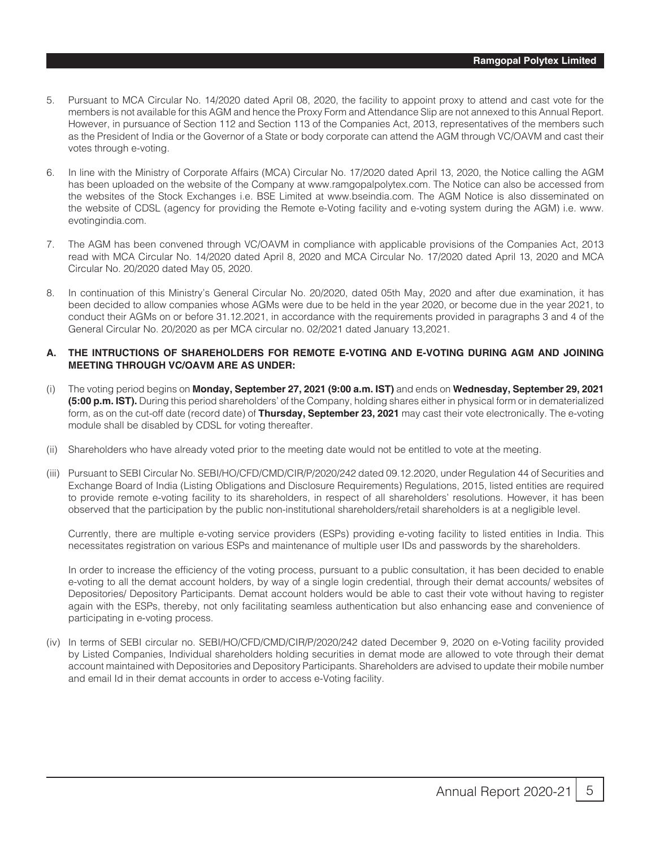- 5. Pursuant to MCA Circular No. 14/2020 dated April 08, 2020, the facility to appoint proxy to attend and cast vote for the members is not available for this AGM and hence the Proxy Form and Attendance Slip are not annexed to this Annual Report. However, in pursuance of Section 112 and Section 113 of the Companies Act, 2013, representatives of the members such as the President of India or the Governor of a State or body corporate can attend the AGM through VC/OAVM and cast their votes through e-voting.
- 6. In line with the Ministry of Corporate Affairs (MCA) Circular No. 17/2020 dated April 13, 2020, the Notice calling the AGM has been uploaded on the website of the Company at www.ramgopalpolytex.com. The Notice can also be accessed from the websites of the Stock Exchanges i.e. BSE Limited at www.bseindia.com. The AGM Notice is also disseminated on the website of CDSL (agency for providing the Remote e-Voting facility and e-voting system during the AGM) i.e. www. evotingindia.com.
- 7. The AGM has been convened through VC/OAVM in compliance with applicable provisions of the Companies Act, 2013 read with MCA Circular No. 14/2020 dated April 8, 2020 and MCA Circular No. 17/2020 dated April 13, 2020 and MCA Circular No. 20/2020 dated May 05, 2020.
- 8. In continuation of this Ministry's General Circular No. 20/2020, dated 05th May, 2020 and after due examination, it has been decided to allow companies whose AGMs were due to be held in the year 2020, or become due in the year 2021, to conduct their AGMs on or before 31.12.2021, in accordance with the requirements provided in paragraphs 3 and 4 of the General Circular No. 20/2020 as per MCA circular no. 02/2021 dated January 13,2021.

#### **A. THE INTRUCTIONS OF SHAREHOLDERS FOR REMOTE E-VOTING AND E-VOTING DURING AGM AND JOINING MEETING THROUGH VC/OAVM ARE AS UNDER:**

- (i) The voting period begins on **Monday, September 27, 2021 (9:00 a.m. IST)** and ends on **Wednesday, September 29, 2021 (5:00 p.m. IST).** During this period shareholders' of the Company, holding shares either in physical form or in dematerialized form, as on the cut-off date (record date) of **Thursday, September 23, 2021** may cast their vote electronically. The e-voting module shall be disabled by CDSL for voting thereafter.
- (ii) Shareholders who have already voted prior to the meeting date would not be entitled to vote at the meeting.
- (iii) Pursuant to SEBI Circular No. SEBI/HO/CFD/CMD/CIR/P/2020/242 dated 09.12.2020, under Regulation 44 of Securities and Exchange Board of India (Listing Obligations and Disclosure Requirements) Regulations, 2015, listed entities are required to provide remote e-voting facility to its shareholders, in respect of all shareholders' resolutions. However, it has been observed that the participation by the public non-institutional shareholders/retail shareholders is at a negligible level.

Currently, there are multiple e-voting service providers (ESPs) providing e-voting facility to listed entities in India. This necessitates registration on various ESPs and maintenance of multiple user IDs and passwords by the shareholders.

In order to increase the efficiency of the voting process, pursuant to a public consultation, it has been decided to enable e-voting to all the demat account holders, by way of a single login credential, through their demat accounts/ websites of Depositories/ Depository Participants. Demat account holders would be able to cast their vote without having to register again with the ESPs, thereby, not only facilitating seamless authentication but also enhancing ease and convenience of participating in e-voting process.

(iv) In terms of SEBI circular no. SEBI/HO/CFD/CMD/CIR/P/2020/242 dated December 9, 2020 on e-Voting facility provided by Listed Companies, Individual shareholders holding securities in demat mode are allowed to vote through their demat account maintained with Depositories and Depository Participants. Shareholders are advised to update their mobile number and email Id in their demat accounts in order to access e-Voting facility.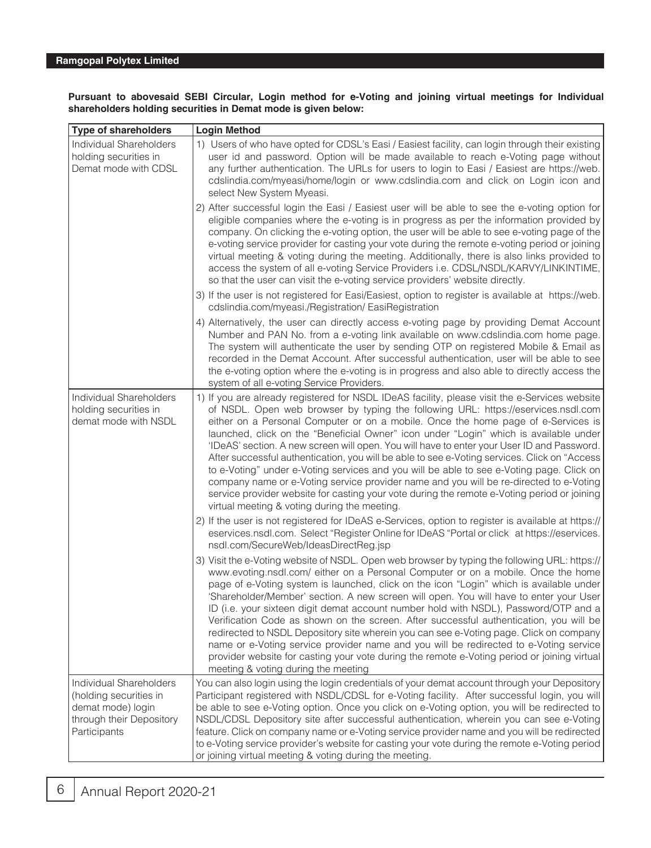**Pursuant to abovesaid SEBI Circular, Login method for e-Voting and joining virtual meetings for Individual shareholders holding securities in Demat mode is given below:**

| <b>Type of shareholders</b>                                                                                        | <b>Login Method</b>                                                                                                                                                                                                                                                                                                                                                                                                                                                                                                                                                                                                                                                                                                                                                                                                                                                                                 |
|--------------------------------------------------------------------------------------------------------------------|-----------------------------------------------------------------------------------------------------------------------------------------------------------------------------------------------------------------------------------------------------------------------------------------------------------------------------------------------------------------------------------------------------------------------------------------------------------------------------------------------------------------------------------------------------------------------------------------------------------------------------------------------------------------------------------------------------------------------------------------------------------------------------------------------------------------------------------------------------------------------------------------------------|
| Individual Shareholders<br>holding securities in<br>Demat mode with CDSL                                           | 1) Users of who have opted for CDSL's Easi / Easiest facility, can login through their existing<br>user id and password. Option will be made available to reach e-Voting page without<br>any further authentication. The URLs for users to login to Easi / Easiest are https://web.<br>cdslindia.com/myeasi/home/login or www.cdslindia.com and click on Login icon and<br>select New System Myeasi.                                                                                                                                                                                                                                                                                                                                                                                                                                                                                                |
|                                                                                                                    | 2) After successful login the Easi / Easiest user will be able to see the e-voting option for<br>eligible companies where the e-voting is in progress as per the information provided by<br>company. On clicking the e-voting option, the user will be able to see e-voting page of the<br>e-voting service provider for casting your vote during the remote e-voting period or joining<br>virtual meeting & voting during the meeting. Additionally, there is also links provided to<br>access the system of all e-voting Service Providers i.e. CDSL/NSDL/KARVY/LINKINTIME,<br>so that the user can visit the e-voting service providers' website directly.                                                                                                                                                                                                                                       |
|                                                                                                                    | 3) If the user is not registered for Easi/Easiest, option to register is available at https://web.<br>cdslindia.com/myeasi./Registration/ EasiRegistration                                                                                                                                                                                                                                                                                                                                                                                                                                                                                                                                                                                                                                                                                                                                          |
|                                                                                                                    | 4) Alternatively, the user can directly access e-voting page by providing Demat Account<br>Number and PAN No. from a e-voting link available on www.cdslindia.com home page.<br>The system will authenticate the user by sending OTP on registered Mobile & Email as<br>recorded in the Demat Account. After successful authentication, user will be able to see<br>the e-voting option where the e-voting is in progress and also able to directly access the<br>system of all e-voting Service Providers.                                                                                                                                                                                                                                                                                                                                                                                         |
| Individual Shareholders<br>holding securities in<br>demat mode with NSDL                                           | 1) If you are already registered for NSDL IDeAS facility, please visit the e-Services website<br>of NSDL. Open web browser by typing the following URL: https://eservices.nsdl.com<br>either on a Personal Computer or on a mobile. Once the home page of e-Services is<br>launched, click on the "Beneficial Owner" icon under "Login" which is available under<br>'IDeAS' section. A new screen will open. You will have to enter your User ID and Password.<br>After successful authentication, you will be able to see e-Voting services. Click on "Access<br>to e-Voting" under e-Voting services and you will be able to see e-Voting page. Click on<br>company name or e-Voting service provider name and you will be re-directed to e-Voting<br>service provider website for casting your vote during the remote e-Voting period or joining<br>virtual meeting & voting during the meeting. |
|                                                                                                                    | 2) If the user is not registered for IDeAS e-Services, option to register is available at https://<br>eservices.nsdl.com. Select "Register Online for IDeAS "Portal or click at https://eservices.<br>nsdl.com/SecureWeb/IdeasDirectReg.jsp                                                                                                                                                                                                                                                                                                                                                                                                                                                                                                                                                                                                                                                         |
|                                                                                                                    | 3) Visit the e-Voting website of NSDL. Open web browser by typing the following URL: https://<br>www.evoting.nsdl.com/ either on a Personal Computer or on a mobile. Once the home<br>page of e-Voting system is launched, click on the icon "Login" which is available under<br>'Shareholder/Member' section. A new screen will open. You will have to enter your User<br>ID (i.e. your sixteen digit demat account number hold with NSDL), Password/OTP and a<br>Verification Code as shown on the screen. After successful authentication, you will be<br>redirected to NSDL Depository site wherein you can see e-Voting page. Click on company<br>name or e-Voting service provider name and you will be redirected to e-Voting service<br>provider website for casting your vote during the remote e-Voting period or joining virtual<br>meeting & voting during the meeting                  |
| Individual Shareholders<br>(holding securities in<br>demat mode) login<br>through their Depository<br>Participants | You can also login using the login credentials of your demat account through your Depository<br>Participant registered with NSDL/CDSL for e-Voting facility. After successful login, you will<br>be able to see e-Voting option. Once you click on e-Voting option, you will be redirected to<br>NSDL/CDSL Depository site after successful authentication, wherein you can see e-Voting<br>feature. Click on company name or e-Voting service provider name and you will be redirected<br>to e-Voting service provider's website for casting your vote during the remote e-Voting period<br>or joining virtual meeting & voting during the meeting.                                                                                                                                                                                                                                                |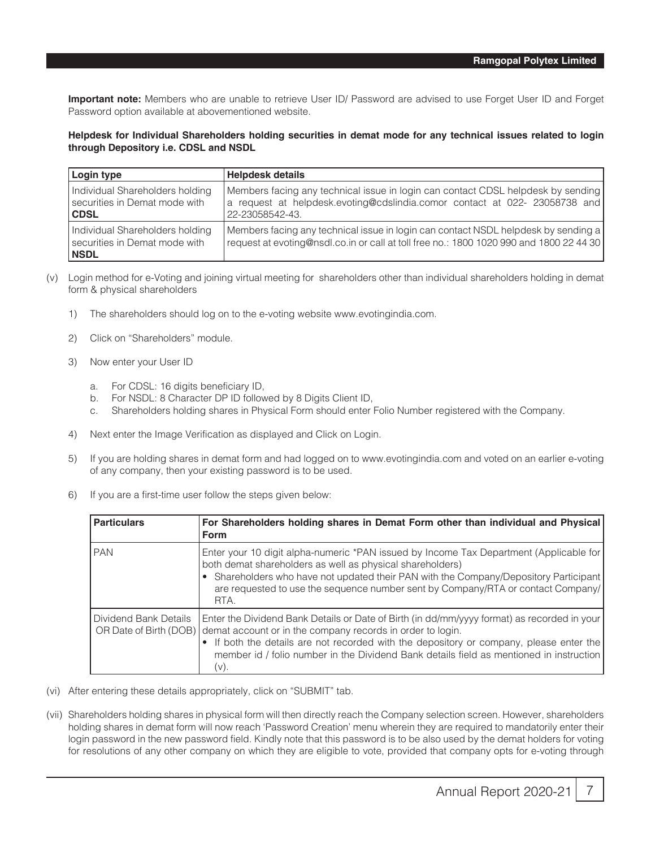**Important note:** Members who are unable to retrieve User ID/ Password are advised to use Forget User ID and Forget Password option available at abovementioned website.

**Helpdesk for Individual Shareholders holding securities in demat mode for any technical issues related to login through Depository i.e. CDSL and NSDL**

| Login type                                                                      | <b>Helpdesk details</b>                                                                                                                                                           |
|---------------------------------------------------------------------------------|-----------------------------------------------------------------------------------------------------------------------------------------------------------------------------------|
| Individual Shareholders holding<br>securities in Demat mode with<br><b>CDSL</b> | Members facing any technical issue in login can contact CDSL helpdesk by sending<br>a request at helpdesk.evoting@cdslindia.comor contact at 022- 23058738 and<br>22-23058542-43. |
| Individual Shareholders holding<br>securities in Demat mode with<br><b>NSDL</b> | Members facing any technical issue in login can contact NSDL helpdesk by sending a<br>request at evoting@nsdl.co.in or call at toll free no.: 1800 1020 990 and 1800 22 44 30     |

- (v) Login method for e-Voting and joining virtual meeting for shareholders other than individual shareholders holding in demat form & physical shareholders
	- 1) The shareholders should log on to the e-voting website www.evotingindia.com.
	- 2) Click on "Shareholders" module.
	- 3) Now enter your User ID
		- a. For CDSL: 16 digits beneficiary ID,
		- b. For NSDL: 8 Character DP ID followed by 8 Digits Client ID,
		- c. Shareholders holding shares in Physical Form should enter Folio Number registered with the Company.
	- 4) Next enter the Image Verification as displayed and Click on Login.
	- 5) If you are holding shares in demat form and had logged on to www.evotingindia.com and voted on an earlier e-voting of any company, then your existing password is to be used.
	- 6) If you are a first-time user follow the steps given below:

| <b>Particulars</b>    | For Shareholders holding shares in Demat Form other than individual and Physical<br>Form                                                                                                                                                                                                                                                                                          |
|-----------------------|-----------------------------------------------------------------------------------------------------------------------------------------------------------------------------------------------------------------------------------------------------------------------------------------------------------------------------------------------------------------------------------|
| <b>PAN</b>            | Enter your 10 digit alpha-numeric *PAN issued by Income Tax Department (Applicable for<br>both demat shareholders as well as physical shareholders)<br>• Shareholders who have not updated their PAN with the Company/Depository Participant<br>are requested to use the sequence number sent by Company/RTA or contact Company/<br>RTA.                                          |
| Dividend Bank Details | Enter the Dividend Bank Details or Date of Birth (in dd/mm/yyyy format) as recorded in your<br>OR Date of Birth (DOB) demat account or in the company records in order to login.<br>• If both the details are not recorded with the depository or company, please enter the<br>member id / folio number in the Dividend Bank details field as mentioned in instruction<br>$(V)$ . |

- (vi) After entering these details appropriately, click on "SUBMIT" tab.
- (vii) Shareholders holding shares in physical form will then directly reach the Company selection screen. However, shareholders holding shares in demat form will now reach 'Password Creation' menu wherein they are required to mandatorily enter their login password in the new password field. Kindly note that this password is to be also used by the demat holders for voting for resolutions of any other company on which they are eligible to vote, provided that company opts for e-voting through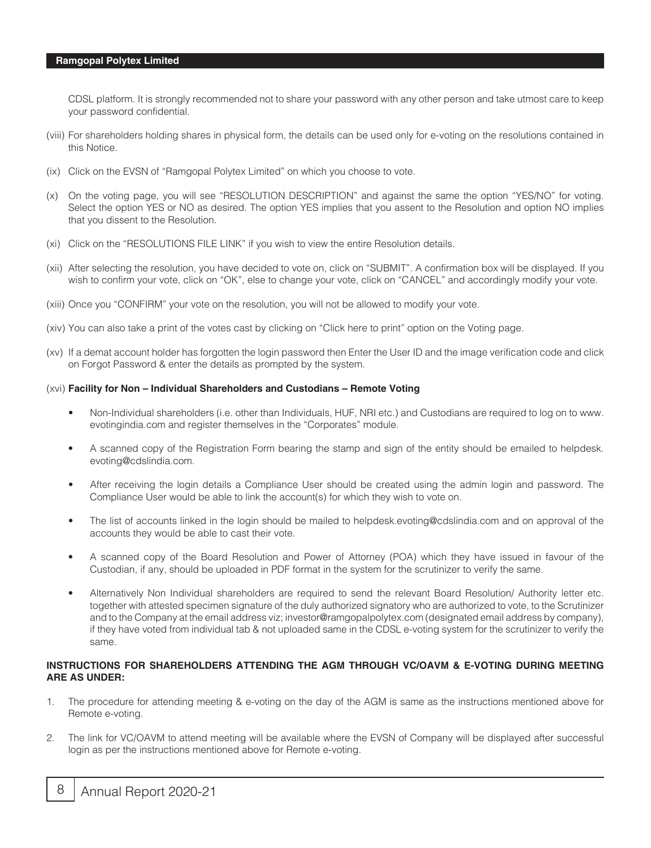CDSL platform. It is strongly recommended not to share your password with any other person and take utmost care to keep your password confidential.

- (viii) For shareholders holding shares in physical form, the details can be used only for e-voting on the resolutions contained in this Notice.
- (ix) Click on the EVSN of "Ramgopal Polytex Limited" on which you choose to vote.
- (x) On the voting page, you will see "RESOLUTION DESCRIPTION" and against the same the option "YES/NO" for voting. Select the option YES or NO as desired. The option YES implies that you assent to the Resolution and option NO implies that you dissent to the Resolution.
- (xi) Click on the "RESOLUTIONS FILE LINK" if you wish to view the entire Resolution details.
- (xii) After selecting the resolution, you have decided to vote on, click on "SUBMIT". A confirmation box will be displayed. If you wish to confirm your vote, click on "OK", else to change your vote, click on "CANCEL" and accordingly modify your vote.
- (xiii) Once you "CONFIRM" your vote on the resolution, you will not be allowed to modify your vote.
- (xiv) You can also take a print of the votes cast by clicking on "Click here to print" option on the Voting page.
- (xv) If a demat account holder has forgotten the login password then Enter the User ID and the image verification code and click on Forgot Password & enter the details as prompted by the system.

#### (xvi) **Facility for Non – Individual Shareholders and Custodians – Remote Voting**

- Non-Individual shareholders (i.e. other than Individuals, HUF, NRI etc.) and Custodians are required to log on to www. evotingindia.com and register themselves in the "Corporates" module.
- A scanned copy of the Registration Form bearing the stamp and sign of the entity should be emailed to helpdesk. evoting@cdslindia.com.
- After receiving the login details a Compliance User should be created using the admin login and password. The Compliance User would be able to link the account(s) for which they wish to vote on.
- The list of accounts linked in the login should be mailed to helpdesk.evoting@cdslindia.com and on approval of the accounts they would be able to cast their vote.
- A scanned copy of the Board Resolution and Power of Attorney (POA) which they have issued in favour of the Custodian, if any, should be uploaded in PDF format in the system for the scrutinizer to verify the same.
- Alternatively Non Individual shareholders are required to send the relevant Board Resolution/ Authority letter etc. together with attested specimen signature of the duly authorized signatory who are authorized to vote, to the Scrutinizer and to the Company at the email address viz; investor@ramgopalpolytex.com (designated email address by company), if they have voted from individual tab & not uploaded same in the CDSL e-voting system for the scrutinizer to verify the same.

#### **INSTRUCTIONS FOR SHAREHOLDERS ATTENDING THE AGM THROUGH VC/OAVM & E-VOTING DURING MEETING ARE AS UNDER:**

- 1. The procedure for attending meeting  $&$  e-voting on the day of the AGM is same as the instructions mentioned above for Remote e-voting.
- 2. The link for VC/OAVM to attend meeting will be available where the EVSN of Company will be displayed after successful login as per the instructions mentioned above for Remote e-voting.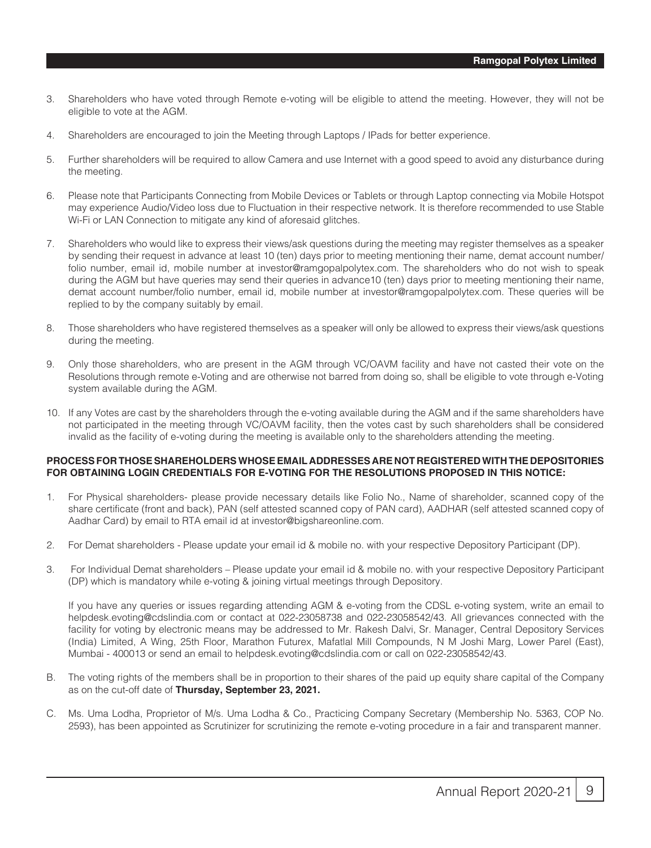- 3. Shareholders who have voted through Remote e-voting will be eligible to attend the meeting. However, they will not be eligible to vote at the AGM.
- 4. Shareholders are encouraged to join the Meeting through Laptops / IPads for better experience.
- 5. Further shareholders will be required to allow Camera and use Internet with a good speed to avoid any disturbance during the meeting.
- 6. Please note that Participants Connecting from Mobile Devices or Tablets or through Laptop connecting via Mobile Hotspot may experience Audio/Video loss due to Fluctuation in their respective network. It is therefore recommended to use Stable Wi-Fi or LAN Connection to mitigate any kind of aforesaid glitches.
- 7. Shareholders who would like to express their views/ask questions during the meeting may register themselves as a speaker by sending their request in advance at least 10 (ten) days prior to meeting mentioning their name, demat account number/ folio number, email id, mobile number at investor@ramgopalpolytex.com. The shareholders who do not wish to speak during the AGM but have queries may send their queries in advance10 (ten) days prior to meeting mentioning their name, demat account number/folio number, email id, mobile number at investor@ramgopalpolytex.com. These queries will be replied to by the company suitably by email.
- 8. Those shareholders who have registered themselves as a speaker will only be allowed to express their views/ask questions during the meeting.
- 9. Only those shareholders, who are present in the AGM through VC/OAVM facility and have not casted their vote on the Resolutions through remote e-Voting and are otherwise not barred from doing so, shall be eligible to vote through e-Voting system available during the AGM.
- 10. If any Votes are cast by the shareholders through the e-voting available during the AGM and if the same shareholders have not participated in the meeting through VC/OAVM facility, then the votes cast by such shareholders shall be considered invalid as the facility of e-voting during the meeting is available only to the shareholders attending the meeting.

#### **PROCESS FOR THOSE SHAREHOLDERS WHOSE EMAIL ADDRESSES ARE NOT REGISTERED WITH THE DEPOSITORIES FOR OBTAINING LOGIN CREDENTIALS FOR E-VOTING FOR THE RESOLUTIONS PROPOSED IN THIS NOTICE:**

- 1. For Physical shareholders- please provide necessary details like Folio No., Name of shareholder, scanned copy of the share certificate (front and back), PAN (self attested scanned copy of PAN card), AADHAR (self attested scanned copy of Aadhar Card) by email to RTA email id at investor@bigshareonline.com.
- 2. For Demat shareholders Please update your email id & mobile no. with your respective Depository Participant (DP).
- 3. For Individual Demat shareholders Please update your email id & mobile no. with your respective Depository Participant (DP) which is mandatory while e-voting & joining virtual meetings through Depository.

If you have any queries or issues regarding attending AGM & e-voting from the CDSL e-voting system, write an email to helpdesk.evoting@cdslindia.com or contact at 022-23058738 and 022-23058542/43. All grievances connected with the facility for voting by electronic means may be addressed to Mr. Rakesh Dalvi, Sr. Manager, Central Depository Services (India) Limited, A Wing, 25th Floor, Marathon Futurex, Mafatlal Mill Compounds, N M Joshi Marg, Lower Parel (East), Mumbai - 400013 or send an email to helpdesk.evoting@cdslindia.com or call on 022-23058542/43.

- B. The voting rights of the members shall be in proportion to their shares of the paid up equity share capital of the Company as on the cut-off date of **Thursday, September 23, 2021.**
- C. Ms. Uma Lodha, Proprietor of M/s. Uma Lodha & Co., Practicing Company Secretary (Membership No. 5363, COP No. 2593), has been appointed as Scrutinizer for scrutinizing the remote e-voting procedure in a fair and transparent manner.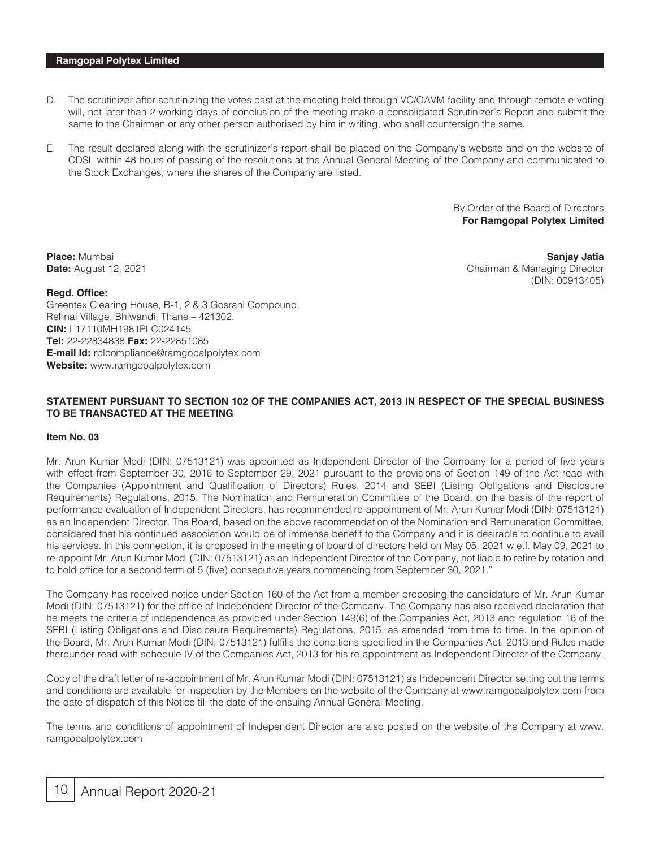- D. The scrutinizer after scrutinizing the votes cast at the meeting held through VC/OAVM facility and through remote e-voting will, not later than 2 working days of conclusion of the meeting make a consolidated Scrutinizer's Report and submit the same to the Chairman or any other person authorised by him in writing, who shall countersign the same.
- E. The result declared along with the scrutinizer's report shall be placed on the Company's website and on the website of CDSL within 48 hours of passing of the resolutions at the Annual General Meeting of the Company and communicated to the Stock Exchanges, where the shares of the Company are listed.

By Order of the Board of Directors **For Ramgopal Polytex Limited**

**Place:** Mumbai **Sanjay Jatia Date:** August 12, 2021 **Date:** August 12, 2021 (DIN: 00913405)

**Regd. Office:** Greentex Clearing House, B-1, 2 & 3,Gosrani Compound, Rehnal Village, Bhiwandi, Thane – 421302. **CIN:** L17110MH1981PLC024145 **Tel:** 22-22834838 **Fax:** 22-22851085 **E-mail Id:** rplcompliance@ramgopalpolytex.com **Website:** www.ramgopalpolytex.com

#### **STATEMENT PURSUANT TO SECTION 102 OF THE COMPANIES ACT, 2013 IN RESPECT OF THE SPECIAL BUSINESS TO BE TRANSACTED AT THE MEETING**

#### **Item No. 03**

Mr. Arun Kumar Modi (DIN: 07513121) was appointed as Independent Director of the Company for a period of five years with effect from September 30, 2016 to September 29, 2021 pursuant to the provisions of Section 149 of the Act read with the Companies (Appointment and Qualification of Directors) Rules, 2014 and SEBI (Listing Obligations and Disclosure Requirements) Regulations, 2015. The Nomination and Remuneration Committee of the Board, on the basis of the report of performance evaluation of Independent Directors, has recommended re-appointment of Mr. Arun Kumar Modi (DIN: 07513121) as an Independent Director. The Board, based on the above recommendation of the Nomination and Remuneration Committee, considered that his continued association would be of immense benefit to the Company and it is desirable to continue to avail his services. In this connection, it is proposed in the meeting of board of directors held on May 05, 2021 w.e.f. May 09, 2021 to re-appoint Mr. Arun Kumar Modi (DIN: 07513121) as an Independent Director of the Company, not liable to retire by rotation and to hold office for a second term of 5 (five) consecutive years commencing from September 30, 2021."

The Company has received notice under Section 160 of the Act from a member proposing the candidature of Mr. Arun Kumar Modi (DIN: 07513121) for the office of Independent Director of the Company. The Company has also received declaration that he meets the criteria of independence as provided under Section 149(6) of the Companies Act, 2013 and regulation 16 of the SEBI (Listing Obligations and Disclosure Requirements) Regulations, 2015, as amended from time to time. In the opinion of the Board, Mr. Arun Kumar Modi (DIN: 07513121) fulfills the conditions specified in the Companies Act, 2013 and Rules made thereunder read with schedule IV of the Companies Act, 2013 for his re-appointment as Independent Director of the Company.

Copy of the draft letter of re-appointment of Mr. Arun Kumar Modi (DIN: 07513121) as Independent Director setting out the terms and conditions are available for inspection by the Members on the website of the Company at www.ramgopalpolytex.com from the date of dispatch of this Notice till the date of the ensuing Annual General Meeting.

The terms and conditions of appointment of Independent Director are also posted on the website of the Company at www. ramgopalpolytex.com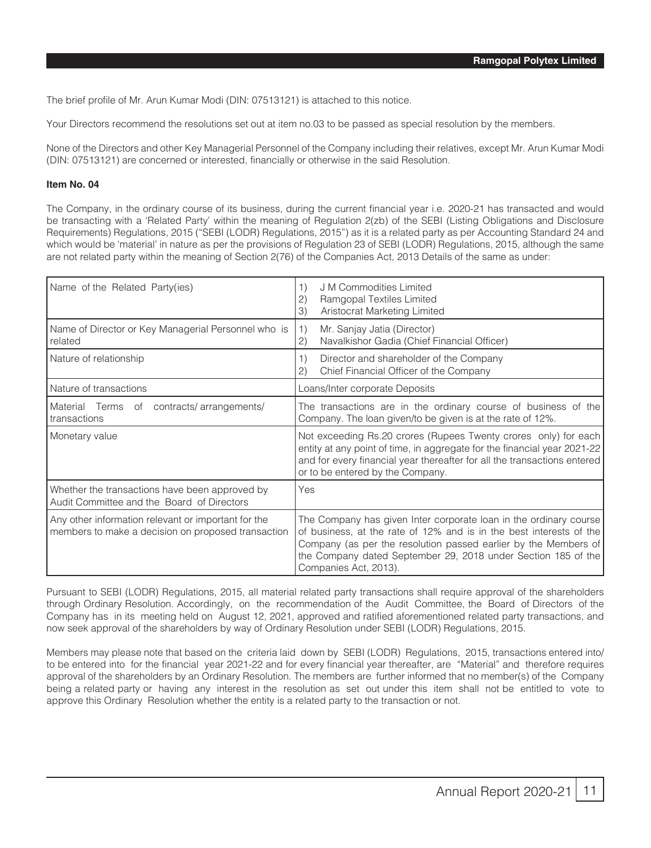The brief profile of Mr. Arun Kumar Modi (DIN: 07513121) is attached to this notice.

Your Directors recommend the resolutions set out at item no.03 to be passed as special resolution by the members.

None of the Directors and other Key Managerial Personnel of the Company including their relatives, except Mr. Arun Kumar Modi (DIN: 07513121) are concerned or interested, financially or otherwise in the said Resolution.

#### **Item No. 04**

The Company, in the ordinary course of its business, during the current financial year i.e. 2020-21 has transacted and would be transacting with a 'Related Party' within the meaning of Regulation 2(zb) of the SEBI (Listing Obligations and Disclosure Requirements) Regulations, 2015 ("SEBI (LODR) Regulations, 2015") as it is a related party as per Accounting Standard 24 and which would be 'material' in nature as per the provisions of Regulation 23 of SEBI (LODR) Regulations, 2015, although the same are not related party within the meaning of Section 2(76) of the Companies Act, 2013 Details of the same as under:

| Name of the Related Party(ies)                                                                            | J M Commodities Limited<br>1)<br>Ramgopal Textiles Limited<br>(2)<br>3)<br>Aristocrat Marketing Limited                                                                                                                                                                                               |  |
|-----------------------------------------------------------------------------------------------------------|-------------------------------------------------------------------------------------------------------------------------------------------------------------------------------------------------------------------------------------------------------------------------------------------------------|--|
| Name of Director or Key Managerial Personnel who is<br>related                                            | Mr. Sanjay Jatia (Director)<br>1)<br>Navalkishor Gadia (Chief Financial Officer)<br>2)                                                                                                                                                                                                                |  |
| Nature of relationship                                                                                    | Director and shareholder of the Company<br>1)<br>Chief Financial Officer of the Company<br>2)                                                                                                                                                                                                         |  |
| Nature of transactions                                                                                    | Loans/Inter corporate Deposits                                                                                                                                                                                                                                                                        |  |
| Material Terms<br>of contracts/arrangements/<br>transactions                                              | The transactions are in the ordinary course of business of the<br>Company. The loan given/to be given is at the rate of 12%.                                                                                                                                                                          |  |
| Monetary value                                                                                            | Not exceeding Rs.20 crores (Rupees Twenty crores only) for each<br>entity at any point of time, in aggregate for the financial year 2021-22<br>and for every financial year thereafter for all the transactions entered<br>or to be entered by the Company.                                           |  |
| Whether the transactions have been approved by<br>Audit Committee and the Board of Directors              | Yes                                                                                                                                                                                                                                                                                                   |  |
| Any other information relevant or important for the<br>members to make a decision on proposed transaction | The Company has given Inter corporate loan in the ordinary course<br>of business, at the rate of 12% and is in the best interests of the<br>Company (as per the resolution passed earlier by the Members of<br>the Company dated September 29, 2018 under Section 185 of the<br>Companies Act, 2013). |  |

Pursuant to SEBI (LODR) Regulations, 2015, all material related party transactions shall require approval of the shareholders through Ordinary Resolution. Accordingly, on the recommendation of the Audit Committee, the Board of Directors of the Company has in its meeting held on August 12, 2021, approved and ratified aforementioned related party transactions, and now seek approval of the shareholders by way of Ordinary Resolution under SEBI (LODR) Regulations, 2015.

Members may please note that based on the criteria laid down by SEBI (LODR) Regulations, 2015, transactions entered into/ to be entered into for the financial year 2021-22 and for every financial year thereafter, are "Material" and therefore requires approval of the shareholders by an Ordinary Resolution. The members are further informed that no member(s) of the Company being a related party or having any interest in the resolution as set out under this item shall not be entitled to vote to approve this Ordinary Resolution whether the entity is a related party to the transaction or not.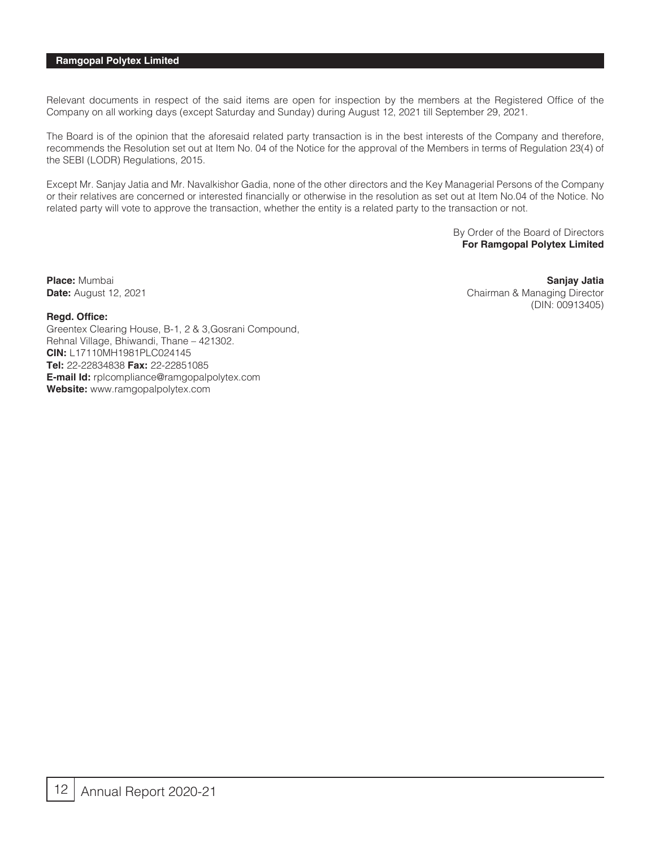Relevant documents in respect of the said items are open for inspection by the members at the Registered Office of the Company on all working days (except Saturday and Sunday) during August 12, 2021 till September 29, 2021.

The Board is of the opinion that the aforesaid related party transaction is in the best interests of the Company and therefore, recommends the Resolution set out at Item No. 04 of the Notice for the approval of the Members in terms of Regulation 23(4) of the SEBI (LODR) Regulations, 2015.

Except Mr. Sanjay Jatia and Mr. Navalkishor Gadia, none of the other directors and the Key Managerial Persons of the Company or their relatives are concerned or interested financially or otherwise in the resolution as set out at Item No.04 of the Notice. No related party will vote to approve the transaction, whether the entity is a related party to the transaction or not.

> By Order of the Board of Directors **For Ramgopal Polytex Limited**

**Place:** Mumbai **Sanjay Jatia Date:** August 12, 2021 **Date:** August 12, 2021 (DIN: 00913405)

#### **Regd. Office:**

Greentex Clearing House, B-1, 2 & 3,Gosrani Compound, Rehnal Village, Bhiwandi, Thane – 421302. **CIN:** L17110MH1981PLC024145 **Tel:** 22-22834838 **Fax:** 22-22851085 **E-mail Id:** rplcompliance@ramgopalpolytex.com **Website:** www.ramgopalpolytex.com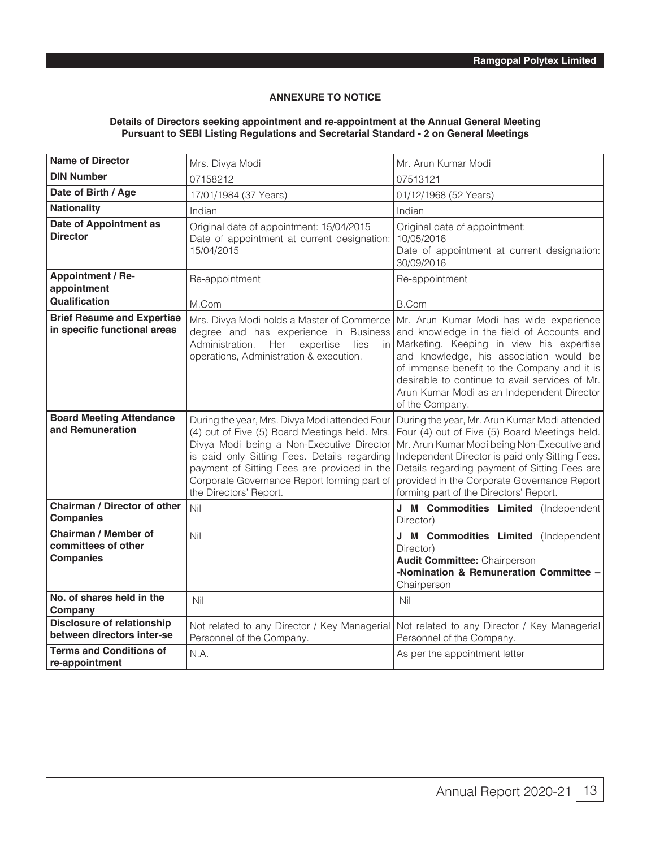#### **ANNEXURE TO NOTICE**

#### **Details of Directors seeking appointment and re-appointment at the Annual General Meeting Pursuant to SEBI Listing Regulations and Secretarial Standard - 2 on General Meetings**

| <b>Name of Director</b>                                           | Mrs. Divya Modi                                                                                                                                                                                                                                                                                                      | Mr. Arun Kumar Modi                                                                                                                                                                                                                                                                                                                            |  |
|-------------------------------------------------------------------|----------------------------------------------------------------------------------------------------------------------------------------------------------------------------------------------------------------------------------------------------------------------------------------------------------------------|------------------------------------------------------------------------------------------------------------------------------------------------------------------------------------------------------------------------------------------------------------------------------------------------------------------------------------------------|--|
| <b>DIN Number</b>                                                 | 07158212                                                                                                                                                                                                                                                                                                             | 07513121                                                                                                                                                                                                                                                                                                                                       |  |
| Date of Birth / Age                                               | 17/01/1984 (37 Years)                                                                                                                                                                                                                                                                                                | 01/12/1968 (52 Years)                                                                                                                                                                                                                                                                                                                          |  |
| <b>Nationality</b>                                                | Indian                                                                                                                                                                                                                                                                                                               | Indian                                                                                                                                                                                                                                                                                                                                         |  |
| Date of Appointment as<br><b>Director</b>                         | Original date of appointment: 15/04/2015<br>Date of appointment at current designation:<br>15/04/2015                                                                                                                                                                                                                | Original date of appointment:<br>10/05/2016<br>Date of appointment at current designation:<br>30/09/2016                                                                                                                                                                                                                                       |  |
| Appointment / Re-<br>appointment                                  | Re-appointment                                                                                                                                                                                                                                                                                                       | Re-appointment                                                                                                                                                                                                                                                                                                                                 |  |
| Qualification                                                     | M.Com                                                                                                                                                                                                                                                                                                                | <b>B.Com</b>                                                                                                                                                                                                                                                                                                                                   |  |
| <b>Brief Resume and Expertise</b><br>in specific functional areas | Mrs. Divya Modi holds a Master of Commerce<br>degree and has experience in Business<br>Administration.<br>Her<br>expertise<br>lies<br>in<br>operations, Administration & execution.                                                                                                                                  | Mr. Arun Kumar Modi has wide experience<br>and knowledge in the field of Accounts and<br>Marketing. Keeping in view his expertise<br>and knowledge, his association would be<br>of immense benefit to the Company and it is<br>desirable to continue to avail services of Mr.<br>Arun Kumar Modi as an Independent Director<br>of the Company. |  |
| <b>Board Meeting Attendance</b><br>and Remuneration               | During the year, Mrs. Divya Modi attended Four<br>(4) out of Five (5) Board Meetings held. Mrs.<br>Divya Modi being a Non-Executive Director<br>is paid only Sitting Fees. Details regarding<br>payment of Sitting Fees are provided in the<br>Corporate Governance Report forming part of<br>the Directors' Report. | During the year, Mr. Arun Kumar Modi attended<br>Four (4) out of Five (5) Board Meetings held.<br>Mr. Arun Kumar Modi being Non-Executive and<br>Independent Director is paid only Sitting Fees.<br>Details regarding payment of Sitting Fees are<br>provided in the Corporate Governance Report<br>forming part of the Directors' Report.     |  |
| Chairman / Director of other<br><b>Companies</b>                  | Nil                                                                                                                                                                                                                                                                                                                  | J M Commodities Limited (Independent<br>Director)                                                                                                                                                                                                                                                                                              |  |
| Chairman / Member of<br>committees of other<br><b>Companies</b>   | Nil                                                                                                                                                                                                                                                                                                                  | J M Commodities Limited (Independent<br>Director)<br><b>Audit Committee: Chairperson</b><br>-Nomination & Remuneration Committee -<br>Chairperson                                                                                                                                                                                              |  |
| No. of shares held in the<br>Company                              | Nil                                                                                                                                                                                                                                                                                                                  | Nil                                                                                                                                                                                                                                                                                                                                            |  |
| <b>Disclosure of relationship</b><br>between directors inter-se   | Not related to any Director / Key Managerial<br>Personnel of the Company.                                                                                                                                                                                                                                            | Not related to any Director / Key Managerial<br>Personnel of the Company.                                                                                                                                                                                                                                                                      |  |
| <b>Terms and Conditions of</b><br>re-appointment                  | N.A.                                                                                                                                                                                                                                                                                                                 | As per the appointment letter                                                                                                                                                                                                                                                                                                                  |  |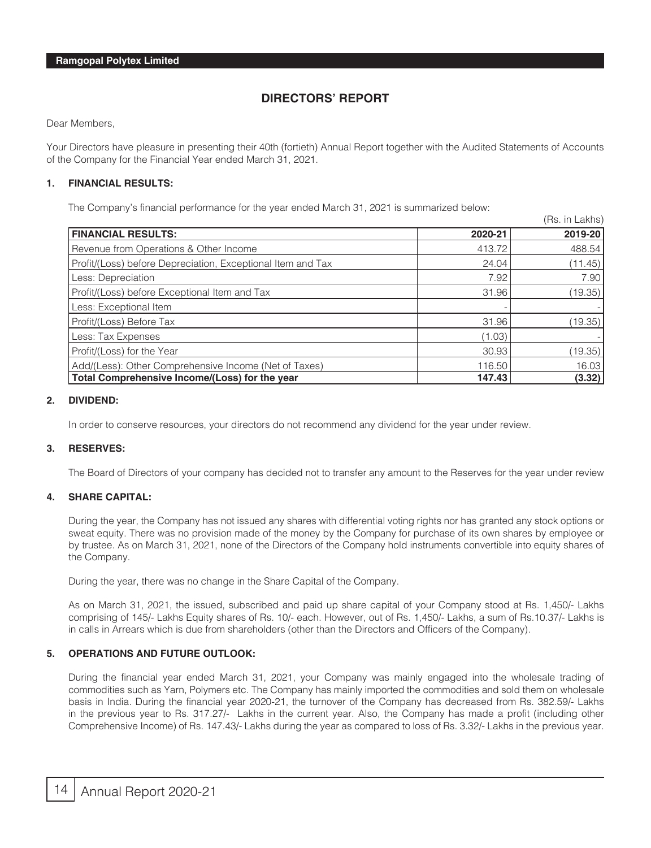### **DIRECTORS' REPORT**

Dear Members,

Your Directors have pleasure in presenting their 40th (fortieth) Annual Report together with the Audited Statements of Accounts of the Company for the Financial Year ended March 31, 2021.

#### **1. FINANCIAL RESULTS:**

The Company's financial performance for the year ended March 31, 2021 is summarized below:

|                                                             |         | (RS. III Lakiis) |
|-------------------------------------------------------------|---------|------------------|
| <b>FINANCIAL RESULTS:</b>                                   | 2020-21 | 2019-20          |
| Revenue from Operations & Other Income                      | 413.72  | 488.54           |
| Profit/(Loss) before Depreciation, Exceptional Item and Tax | 24.04   | (11.45)          |
| Less: Depreciation                                          | 7.92    | 7.90             |
| Profit/(Loss) before Exceptional Item and Tax               | 31.96   | (19.35)          |
| Less: Exceptional Item                                      |         |                  |
| Profit/(Loss) Before Tax                                    | 31.96   | (19.35)          |
| Less: Tax Expenses                                          | (1.03)  |                  |
| Profit/(Loss) for the Year                                  | 30.93   | (19.35)          |
| Add/(Less): Other Comprehensive Income (Net of Taxes)       | 116.50  | 16.03            |
| Total Comprehensive Income/(Loss) for the year              | 147.43  | (3.32)           |

 $(D<sub>n</sub>$  in Lakhs)

#### **2. DIVIDEND:**

In order to conserve resources, your directors do not recommend any dividend for the year under review.

#### **3. RESERVES:**

The Board of Directors of your company has decided not to transfer any amount to the Reserves for the year under review

#### **4. SHARE CAPITAL:**

During the year, the Company has not issued any shares with differential voting rights nor has granted any stock options or sweat equity. There was no provision made of the money by the Company for purchase of its own shares by employee or by trustee. As on March 31, 2021, none of the Directors of the Company hold instruments convertible into equity shares of the Company.

During the year, there was no change in the Share Capital of the Company.

As on March 31, 2021, the issued, subscribed and paid up share capital of your Company stood at Rs. 1,450/- Lakhs comprising of 145/- Lakhs Equity shares of Rs. 10/- each. However, out of Rs. 1,450/- Lakhs, a sum of Rs.10.37/- Lakhs is in calls in Arrears which is due from shareholders (other than the Directors and Officers of the Company).

#### **5. OPERATIONS AND FUTURE OUTLOOK:**

During the financial year ended March 31, 2021, your Company was mainly engaged into the wholesale trading of commodities such as Yarn, Polymers etc. The Company has mainly imported the commodities and sold them on wholesale basis in India. During the financial year 2020-21, the turnover of the Company has decreased from Rs. 382.59/- Lakhs in the previous year to Rs. 317.27/- Lakhs in the current year. Also, the Company has made a profit (including other Comprehensive Income) of Rs. 147.43/- Lakhs during the year as compared to loss of Rs. 3.32/- Lakhs in the previous year.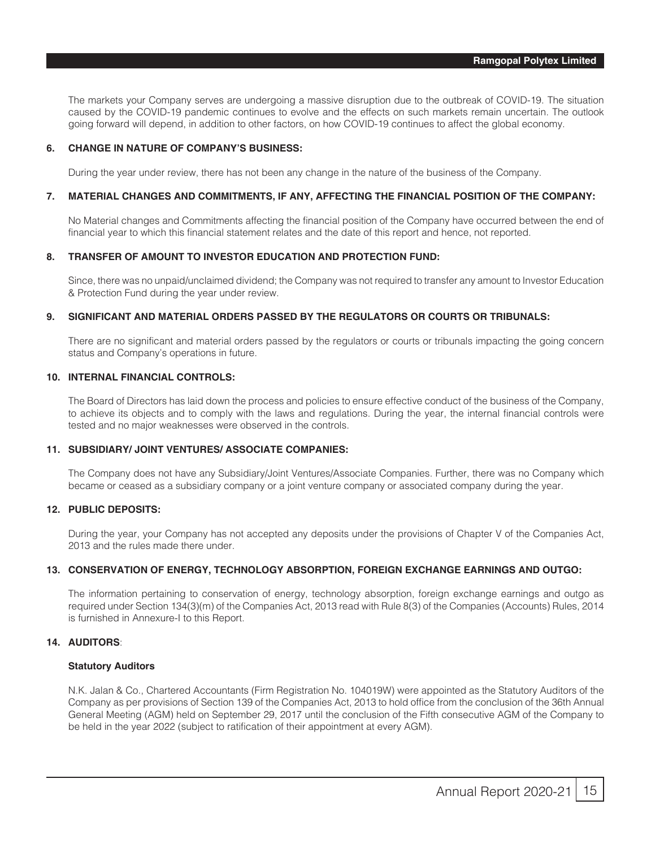The markets your Company serves are undergoing a massive disruption due to the outbreak of COVID-19. The situation caused by the COVID-19 pandemic continues to evolve and the effects on such markets remain uncertain. The outlook going forward will depend, in addition to other factors, on how COVID-19 continues to affect the global economy.

#### **6. CHANGE IN NATURE OF COMPANY'S BUSINESS:**

During the year under review, there has not been any change in the nature of the business of the Company.

#### **7. MATERIAL CHANGES AND COMMITMENTS, IF ANY, AFFECTING THE FINANCIAL POSITION OF THE COMPANY:**

No Material changes and Commitments affecting the financial position of the Company have occurred between the end of financial year to which this financial statement relates and the date of this report and hence, not reported.

#### **8. TRANSFER OF AMOUNT TO INVESTOR EDUCATION AND PROTECTION FUND:**

Since, there was no unpaid/unclaimed dividend; the Company was not required to transfer any amount to Investor Education & Protection Fund during the year under review.

#### **9. SIGNIFICANT AND MATERIAL ORDERS PASSED BY THE REGULATORS OR COURTS OR TRIBUNALS:**

There are no significant and material orders passed by the regulators or courts or tribunals impacting the going concern status and Company's operations in future.

#### **10. INTERNAL FINANCIAL CONTROLS:**

The Board of Directors has laid down the process and policies to ensure effective conduct of the business of the Company, to achieve its objects and to comply with the laws and regulations. During the year, the internal financial controls were tested and no major weaknesses were observed in the controls.

#### **11. SUBSIDIARY/ JOINT VENTURES/ ASSOCIATE COMPANIES:**

The Company does not have any Subsidiary/Joint Ventures/Associate Companies. Further, there was no Company which became or ceased as a subsidiary company or a joint venture company or associated company during the year.

#### **12. PUBLIC DEPOSITS:**

During the year, your Company has not accepted any deposits under the provisions of Chapter V of the Companies Act, 2013 and the rules made there under.

#### **13. CONSERVATION OF ENERGY, TECHNOLOGY ABSORPTION, FOREIGN EXCHANGE EARNINGS AND OUTGO:**

The information pertaining to conservation of energy, technology absorption, foreign exchange earnings and outgo as required under Section 134(3)(m) of the Companies Act, 2013 read with Rule 8(3) of the Companies (Accounts) Rules, 2014 is furnished in Annexure-I to this Report.

#### **14. AUDITORS**:

#### **Statutory Auditors**

N.K. Jalan & Co., Chartered Accountants (Firm Registration No. 104019W) were appointed as the Statutory Auditors of the Company as per provisions of Section 139 of the Companies Act, 2013 to hold office from the conclusion of the 36th Annual General Meeting (AGM) held on September 29, 2017 until the conclusion of the Fifth consecutive AGM of the Company to be held in the year 2022 (subject to ratification of their appointment at every AGM).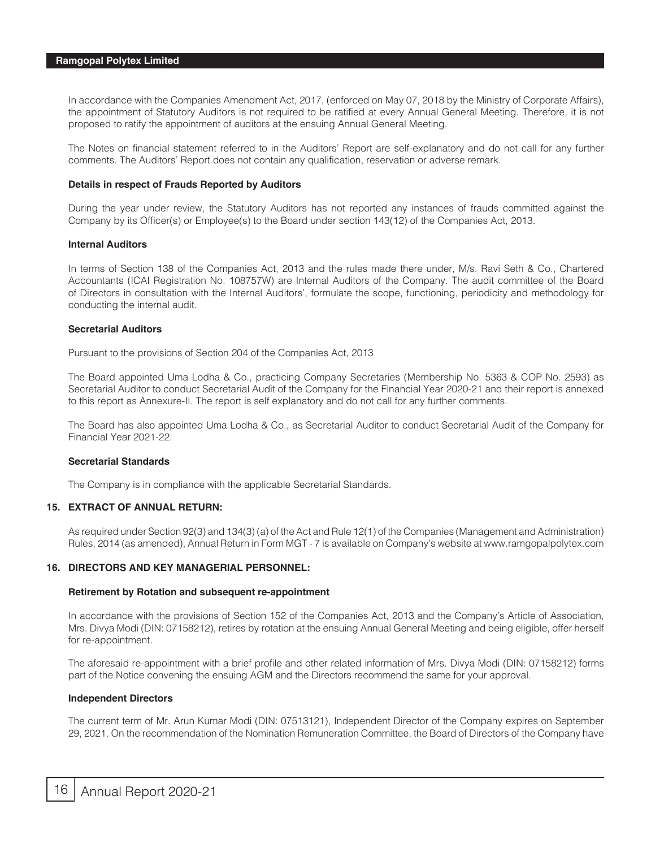In accordance with the Companies Amendment Act, 2017, (enforced on May 07, 2018 by the Ministry of Corporate Affairs), the appointment of Statutory Auditors is not required to be ratified at every Annual General Meeting. Therefore, it is not proposed to ratify the appointment of auditors at the ensuing Annual General Meeting.

The Notes on financial statement referred to in the Auditors' Report are self-explanatory and do not call for any further comments. The Auditors' Report does not contain any qualification, reservation or adverse remark.

#### **Details in respect of Frauds Reported by Auditors**

During the year under review, the Statutory Auditors has not reported any instances of frauds committed against the Company by its Officer(s) or Employee(s) to the Board under section 143(12) of the Companies Act, 2013.

#### **Internal Auditors**

In terms of Section 138 of the Companies Act, 2013 and the rules made there under, M/s. Ravi Seth & Co., Chartered Accountants (ICAI Registration No. 108757W) are Internal Auditors of the Company. The audit committee of the Board of Directors in consultation with the Internal Auditors', formulate the scope, functioning, periodicity and methodology for conducting the internal audit.

#### **Secretarial Auditors**

Pursuant to the provisions of Section 204 of the Companies Act, 2013

The Board appointed Uma Lodha & Co., practicing Company Secretaries (Membership No. 5363 & COP No. 2593) as Secretarial Auditor to conduct Secretarial Audit of the Company for the Financial Year 2020-21 and their report is annexed to this report as Annexure-II. The report is self explanatory and do not call for any further comments.

The Board has also appointed Uma Lodha & Co., as Secretarial Auditor to conduct Secretarial Audit of the Company for Financial Year 2021-22.

#### **Secretarial Standards**

The Company is in compliance with the applicable Secretarial Standards.

#### **15. EXTRACT OF ANNUAL RETURN:**

As required under Section 92(3) and 134(3) (a) of the Act and Rule 12(1) of the Companies (Management and Administration) Rules, 2014 (as amended), Annual Return in Form MGT - 7 is available on Company's website at www.ramgopalpolytex.com

#### **16. DIRECTORS AND KEY MANAGERIAL PERSONNEL:**

#### **Retirement by Rotation and subsequent re-appointment**

In accordance with the provisions of Section 152 of the Companies Act, 2013 and the Company's Article of Association, Mrs. Divya Modi (DIN: 07158212), retires by rotation at the ensuing Annual General Meeting and being eligible, offer herself for re-appointment.

The aforesaid re-appointment with a brief profile and other related information of Mrs. Divya Modi (DIN: 07158212) forms part of the Notice convening the ensuing AGM and the Directors recommend the same for your approval.

#### **Independent Directors**

The current term of Mr. Arun Kumar Modi (DIN: 07513121), Independent Director of the Company expires on September 29, 2021. On the recommendation of the Nomination Remuneration Committee, the Board of Directors of the Company have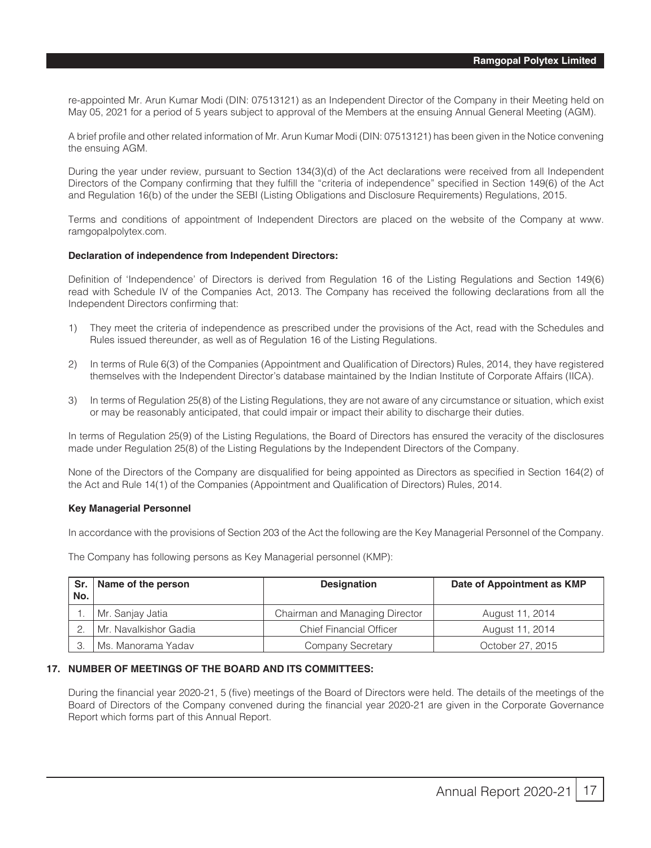re-appointed Mr. Arun Kumar Modi (DIN: 07513121) as an Independent Director of the Company in their Meeting held on May 05, 2021 for a period of 5 years subject to approval of the Members at the ensuing Annual General Meeting (AGM).

A brief profile and other related information of Mr. Arun Kumar Modi (DIN: 07513121) has been given in the Notice convening the ensuing AGM.

During the year under review, pursuant to Section 134(3)(d) of the Act declarations were received from all Independent Directors of the Company confirming that they fulfill the "criteria of independence" specified in Section 149(6) of the Act and Regulation 16(b) of the under the SEBI (Listing Obligations and Disclosure Requirements) Regulations, 2015.

Terms and conditions of appointment of Independent Directors are placed on the website of the Company at www. ramgopalpolytex.com.

#### **Declaration of independence from Independent Directors:**

Definition of 'Independence' of Directors is derived from Regulation 16 of the Listing Regulations and Section 149(6) read with Schedule IV of the Companies Act, 2013. The Company has received the following declarations from all the Independent Directors confirming that:

- 1) They meet the criteria of independence as prescribed under the provisions of the Act, read with the Schedules and Rules issued thereunder, as well as of Regulation 16 of the Listing Regulations.
- 2) In terms of Rule 6(3) of the Companies (Appointment and Qualification of Directors) Rules, 2014, they have registered themselves with the Independent Director's database maintained by the Indian Institute of Corporate Affairs (IICA).
- 3) In terms of Regulation 25(8) of the Listing Regulations, they are not aware of any circumstance or situation, which exist or may be reasonably anticipated, that could impair or impact their ability to discharge their duties.

In terms of Regulation 25(9) of the Listing Regulations, the Board of Directors has ensured the veracity of the disclosures made under Regulation 25(8) of the Listing Regulations by the Independent Directors of the Company.

None of the Directors of the Company are disqualified for being appointed as Directors as specified in Section 164(2) of the Act and Rule 14(1) of the Companies (Appointment and Qualification of Directors) Rules, 2014.

#### **Key Managerial Personnel**

In accordance with the provisions of Section 203 of the Act the following are the Key Managerial Personnel of the Company.

The Company has following persons as Key Managerial personnel (KMP):

| Sr.<br>No. | Name of the person    | <b>Designation</b>             |                  |
|------------|-----------------------|--------------------------------|------------------|
|            | Mr. Sanjay Jatia      | Chairman and Managing Director | August 11, 2014  |
|            | Mr. Navalkishor Gadia | <b>Chief Financial Officer</b> | August 11, 2014  |
|            | Ms. Manorama Yadav    | Company Secretary              | October 27, 2015 |

#### **17. NUMBER OF MEETINGS OF THE BOARD AND ITS COMMITTEES:**

During the financial year 2020-21, 5 (five) meetings of the Board of Directors were held. The details of the meetings of the Board of Directors of the Company convened during the financial year 2020-21 are given in the Corporate Governance Report which forms part of this Annual Report.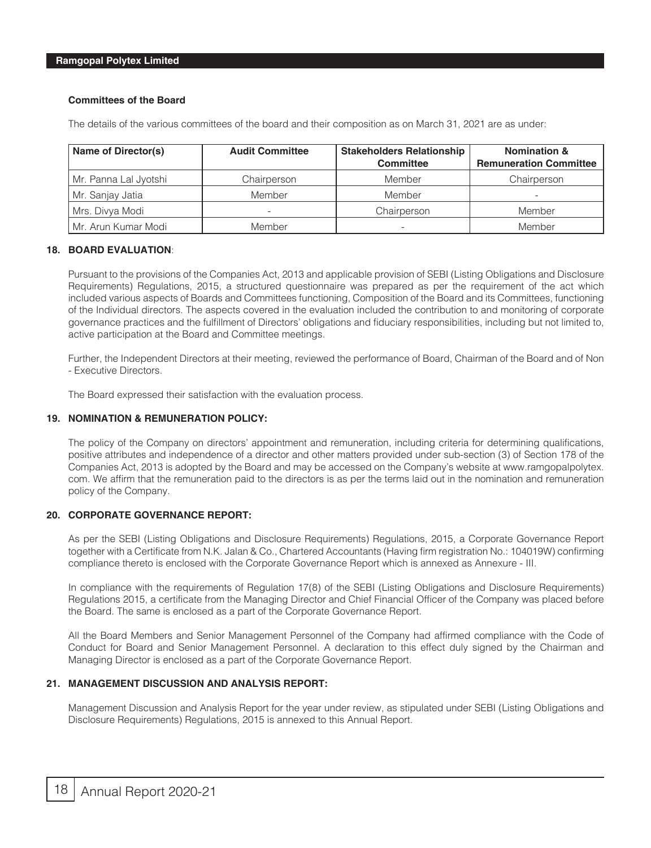#### **Committees of the Board**

The details of the various committees of the board and their composition as on March 31, 2021 are as under:

| <b>Name of Director(s)</b> | <b>Audit Committee</b> | <b>Stakeholders Relationship</b><br><b>Committee</b> | <b>Nomination &amp;</b><br><b>Remuneration Committee</b> |
|----------------------------|------------------------|------------------------------------------------------|----------------------------------------------------------|
| Mr. Panna Lal Jyotshi      | Chairperson            | Member                                               | Chairperson                                              |
| Mr. Sanjay Jatia<br>Member |                        | Member                                               |                                                          |
| Mrs. Divya Modi            | -                      | Chairperson                                          | Member                                                   |
| Mr. Arun Kumar Modi        | Member                 |                                                      | Member                                                   |

#### **18. BOARD EVALUATION**:

Pursuant to the provisions of the Companies Act, 2013 and applicable provision of SEBI (Listing Obligations and Disclosure Requirements) Regulations, 2015, a structured questionnaire was prepared as per the requirement of the act which included various aspects of Boards and Committees functioning, Composition of the Board and its Committees, functioning of the Individual directors. The aspects covered in the evaluation included the contribution to and monitoring of corporate governance practices and the fulfillment of Directors' obligations and fiduciary responsibilities, including but not limited to, active participation at the Board and Committee meetings.

Further, the Independent Directors at their meeting, reviewed the performance of Board, Chairman of the Board and of Non - Executive Directors.

The Board expressed their satisfaction with the evaluation process.

#### **19. NOMINATION & REMUNERATION POLICY:**

The policy of the Company on directors' appointment and remuneration, including criteria for determining qualifications, positive attributes and independence of a director and other matters provided under sub-section (3) of Section 178 of the Companies Act, 2013 is adopted by the Board and may be accessed on the Company's website at www.ramgopalpolytex. com. We affirm that the remuneration paid to the directors is as per the terms laid out in the nomination and remuneration policy of the Company.

#### **20. CORPORATE GOVERNANCE REPORT:**

As per the SEBI (Listing Obligations and Disclosure Requirements) Regulations, 2015, a Corporate Governance Report together with a Certificate from N.K. Jalan & Co., Chartered Accountants (Having firm registration No.: 104019W) confirming compliance thereto is enclosed with the Corporate Governance Report which is annexed as Annexure - III.

In compliance with the requirements of Regulation 17(8) of the SEBI (Listing Obligations and Disclosure Requirements) Regulations 2015, a certificate from the Managing Director and Chief Financial Officer of the Company was placed before the Board. The same is enclosed as a part of the Corporate Governance Report.

All the Board Members and Senior Management Personnel of the Company had affirmed compliance with the Code of Conduct for Board and Senior Management Personnel. A declaration to this effect duly signed by the Chairman and Managing Director is enclosed as a part of the Corporate Governance Report.

#### **21. MANAGEMENT DISCUSSION AND ANALYSIS REPORT:**

Management Discussion and Analysis Report for the year under review, as stipulated under SEBI (Listing Obligations and Disclosure Requirements) Regulations, 2015 is annexed to this Annual Report.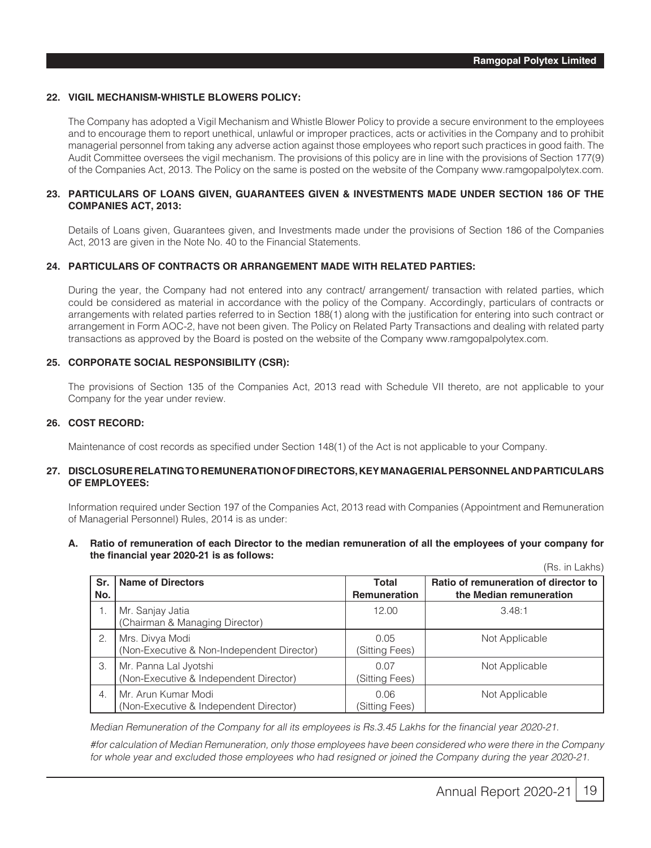#### **22. VIGIL MECHANISM-WHISTLE BLOWERS POLICY:**

The Company has adopted a Vigil Mechanism and Whistle Blower Policy to provide a secure environment to the employees and to encourage them to report unethical, unlawful or improper practices, acts or activities in the Company and to prohibit managerial personnel from taking any adverse action against those employees who report such practices in good faith. The Audit Committee oversees the vigil mechanism. The provisions of this policy are in line with the provisions of Section 177(9) of the Companies Act, 2013. The Policy on the same is posted on the website of the Company www.ramgopalpolytex.com.

#### **23. PARTICULARS OF LOANS GIVEN, GUARANTEES GIVEN & INVESTMENTS MADE UNDER SECTION 186 OF THE COMPANIES ACT, 2013:**

Details of Loans given, Guarantees given, and Investments made under the provisions of Section 186 of the Companies Act, 2013 are given in the Note No. 40 to the Financial Statements.

#### **24. PARTICULARS OF CONTRACTS OR ARRANGEMENT MADE WITH RELATED PARTIES:**

During the year, the Company had not entered into any contract/ arrangement/ transaction with related parties, which could be considered as material in accordance with the policy of the Company. Accordingly, particulars of contracts or arrangements with related parties referred to in Section 188(1) along with the justification for entering into such contract or arrangement in Form AOC-2, have not been given. The Policy on Related Party Transactions and dealing with related party transactions as approved by the Board is posted on the website of the Company www.ramgopalpolytex.com.

#### **25. CORPORATE SOCIAL RESPONSIBILITY (CSR):**

The provisions of Section 135 of the Companies Act, 2013 read with Schedule VII thereto, are not applicable to your Company for the year under review.

#### **26. COST RECORD:**

Maintenance of cost records as specified under Section 148(1) of the Act is not applicable to your Company.

#### **27. DISCLOSURE RELATING TO REMUNERATION OF DIRECTORS, KEY MANAGERIAL PERSONNEL AND PARTICULARS OF EMPLOYEES:**

Information required under Section 197 of the Companies Act, 2013 read with Companies (Appointment and Remuneration of Managerial Personnel) Rules, 2014 is as under:

**A. Ratio of remuneration of each Director to the median remuneration of all the employees of your company for the financial year 2020-21 is as follows:** 

(Rs. in Lakhs)

| Sr.<br>No. | <b>Name of Directors</b>                                        | <b>Total</b><br><b>Remuneration</b> | Ratio of remuneration of director to<br>the Median remuneration |
|------------|-----------------------------------------------------------------|-------------------------------------|-----------------------------------------------------------------|
|            | Mr. Sanjay Jatia<br>(Chairman & Managing Director)              | 12.00                               | 3.48:1                                                          |
| 2.         | Mrs. Divya Modi<br>(Non-Executive & Non-Independent Director)   | 0.05<br>(Sitting Fees)              | Not Applicable                                                  |
| З.         | Mr. Panna Lal Jyotshi<br>(Non-Executive & Independent Director) | 0.07<br>(Sitting Fees)              | Not Applicable                                                  |
| 4.         | Mr. Arun Kumar Modi<br>(Non-Executive & Independent Director)   | 0.06<br>(Sitting Fees)              | Not Applicable                                                  |

Median Remuneration of the Company for all its employees is Rs.3.45 Lakhs for the financial year 2020-21.

#for calculation of Median Remuneration, only those employees have been considered who were there in the Company for whole year and excluded those employees who had resigned or joined the Company during the year 2020-21.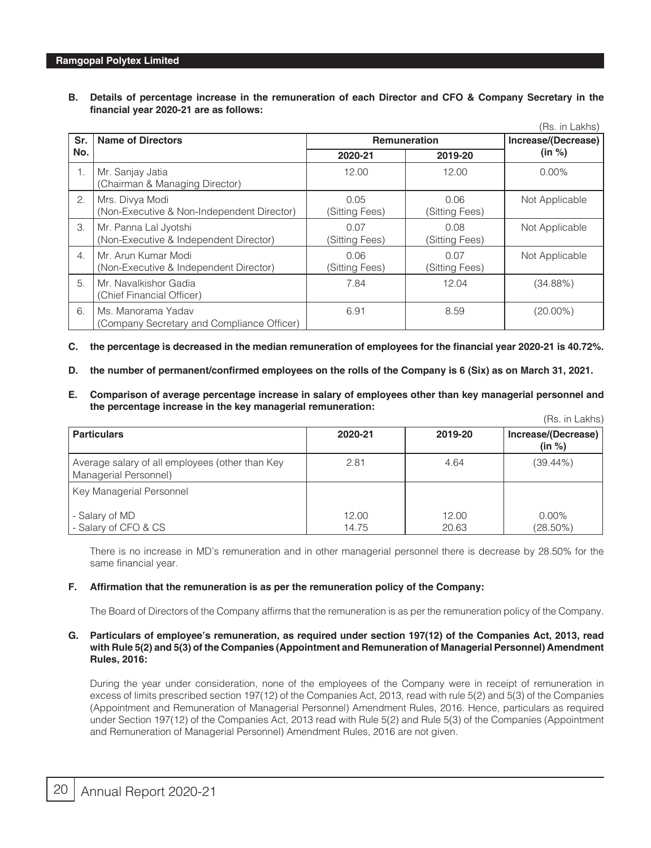**B. Details of percentage increase in the remuneration of each Director and CFO & Company Secretary in the financial year 2020-21 are as follows:**

 $(n + 1)$ 

|     | (RS. III Lakhs)                                                  |                        |                        |                |  |
|-----|------------------------------------------------------------------|------------------------|------------------------|----------------|--|
| Sr. | <b>Name of Directors</b>                                         | <b>Remuneration</b>    | Increase/(Decrease)    |                |  |
| No. |                                                                  | 2020-21                | 2019-20                | (in %)         |  |
|     | Mr. Sanjay Jatia<br>(Chairman & Managing Director)               | 12.00                  | 12.00                  | $0.00\%$       |  |
| 2.  | Mrs. Divya Modi<br>(Non-Executive & Non-Independent Director)    | 0.05<br>(Sitting Fees) | 0.06<br>(Sitting Fees) | Not Applicable |  |
| 3.  | Mr. Panna Lal Jyotshi<br>(Non-Executive & Independent Director)  | 0.07<br>(Sitting Fees) | 0.08<br>(Sitting Fees) | Not Applicable |  |
| 4.  | Mr. Arun Kumar Modi<br>(Non-Executive & Independent Director)    | 0.06<br>(Sitting Fees) | 0.07<br>(Sitting Fees) | Not Applicable |  |
| 5.  | Mr. Navalkishor Gadia<br>(Chief Financial Officer)               | 7.84                   | 12.04                  | (34.88%)       |  |
| 6.  | Ms. Manorama Yadav<br>(Company Secretary and Compliance Officer) | 6.91                   | 8.59                   | $(20.00\%)$    |  |

- **C. the percentage is decreased in the median remuneration of employees for the financial year 2020-21 is 40.72%.**
- **D. the number of permanent/confirmed employees on the rolls of the Company is 6 (Six) as on March 31, 2021.**
- **E. Comparison of average percentage increase in salary of employees other than key managerial personnel and the percentage increase in the key managerial remuneration:**

| (Rs. in Lakhs)                                                           |                |                |                               |
|--------------------------------------------------------------------------|----------------|----------------|-------------------------------|
| <b>Particulars</b>                                                       | 2020-21        | 2019-20        | Increase/(Decrease)<br>(in %) |
| Average salary of all employees (other than Key<br>Managerial Personnel) | 2.81           | 4.64           | $(39.44\%)$                   |
| Key Managerial Personnel                                                 |                |                |                               |
| - Salary of MD<br>- Salary of CFO & CS                                   | 12.00<br>14.75 | 12.00<br>20.63 | $0.00\%$<br>$(28.50\%)$       |

There is no increase in MD's remuneration and in other managerial personnel there is decrease by 28.50% for the same financial year.

#### **F. Affirmation that the remuneration is as per the remuneration policy of the Company:**

The Board of Directors of the Company affirms that the remuneration is as per the remuneration policy of the Company.

#### **G. Particulars of employee's remuneration, as required under section 197(12) of the Companies Act, 2013, read with Rule 5(2) and 5(3) of the Companies (Appointment and Remuneration of Managerial Personnel) Amendment Rules, 2016:**

During the year under consideration, none of the employees of the Company were in receipt of remuneration in excess of limits prescribed section 197(12) of the Companies Act, 2013, read with rule 5(2) and 5(3) of the Companies (Appointment and Remuneration of Managerial Personnel) Amendment Rules, 2016. Hence, particulars as required under Section 197(12) of the Companies Act, 2013 read with Rule 5(2) and Rule 5(3) of the Companies (Appointment and Remuneration of Managerial Personnel) Amendment Rules, 2016 are not given.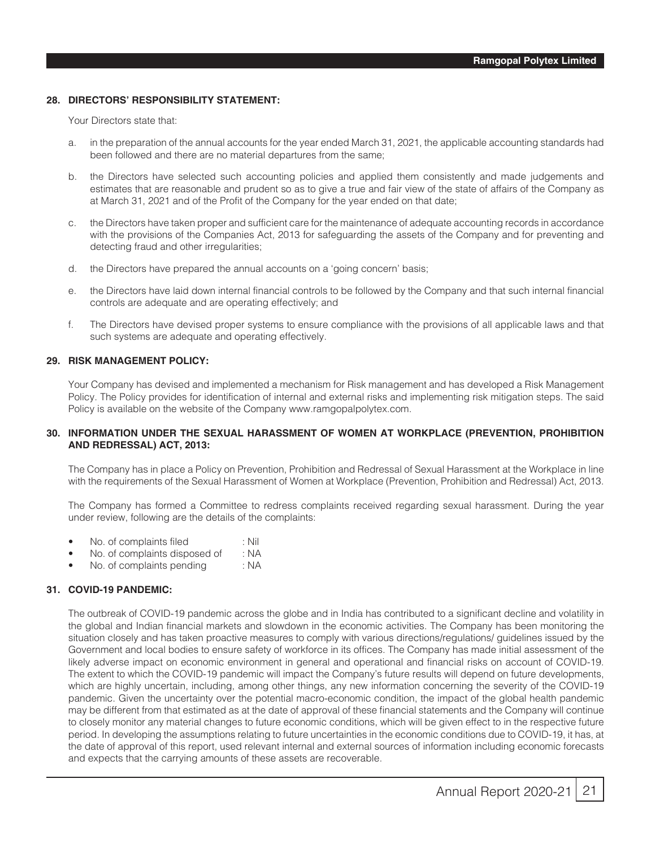#### **28. DIRECTORS' RESPONSIBILITY STATEMENT:**

Your Directors state that:

- a. in the preparation of the annual accounts for the year ended March 31, 2021, the applicable accounting standards had been followed and there are no material departures from the same;
- b. the Directors have selected such accounting policies and applied them consistently and made judgements and estimates that are reasonable and prudent so as to give a true and fair view of the state of affairs of the Company as at March 31, 2021 and of the Profit of the Company for the year ended on that date;
- c. the Directors have taken proper and sufficient care for the maintenance of adequate accounting records in accordance with the provisions of the Companies Act, 2013 for safeguarding the assets of the Company and for preventing and detecting fraud and other irregularities;
- d. the Directors have prepared the annual accounts on a 'going concern' basis;
- e. the Directors have laid down internal financial controls to be followed by the Company and that such internal financial controls are adequate and are operating effectively; and
- f. The Directors have devised proper systems to ensure compliance with the provisions of all applicable laws and that such systems are adequate and operating effectively.

#### **29. RISK MANAGEMENT POLICY:**

Your Company has devised and implemented a mechanism for Risk management and has developed a Risk Management Policy. The Policy provides for identification of internal and external risks and implementing risk mitigation steps. The said Policy is available on the website of the Company www.ramgopalpolytex.com.

#### **30. INFORMATION UNDER THE SEXUAL HARASSMENT OF WOMEN AT WORKPLACE (PREVENTION, PROHIBITION AND REDRESSAL) ACT, 2013:**

The Company has in place a Policy on Prevention, Prohibition and Redressal of Sexual Harassment at the Workplace in line with the requirements of the Sexual Harassment of Women at Workplace (Prevention, Prohibition and Redressal) Act, 2013.

The Company has formed a Committee to redress complaints received regarding sexual harassment. During the year under review, following are the details of the complaints:

- No. of complaints filed **Way : Nill**
- No. of complaints disposed of : NA
- No. of complaints pending  $\cdot$  : NA

#### **31. COVID-19 PANDEMIC:**

The outbreak of COVID-19 pandemic across the globe and in India has contributed to a significant decline and volatility in the global and Indian financial markets and slowdown in the economic activities. The Company has been monitoring the situation closely and has taken proactive measures to comply with various directions/regulations/ guidelines issued by the Government and local bodies to ensure safety of workforce in its offices. The Company has made initial assessment of the likely adverse impact on economic environment in general and operational and financial risks on account of COVID-19. The extent to which the COVID-19 pandemic will impact the Company's future results will depend on future developments, which are highly uncertain, including, among other things, any new information concerning the severity of the COVID-19 pandemic. Given the uncertainty over the potential macro-economic condition, the impact of the global health pandemic may be different from that estimated as at the date of approval of these financial statements and the Company will continue to closely monitor any material changes to future economic conditions, which will be given effect to in the respective future period. In developing the assumptions relating to future uncertainties in the economic conditions due to COVID-19, it has, at the date of approval of this report, used relevant internal and external sources of information including economic forecasts and expects that the carrying amounts of these assets are recoverable.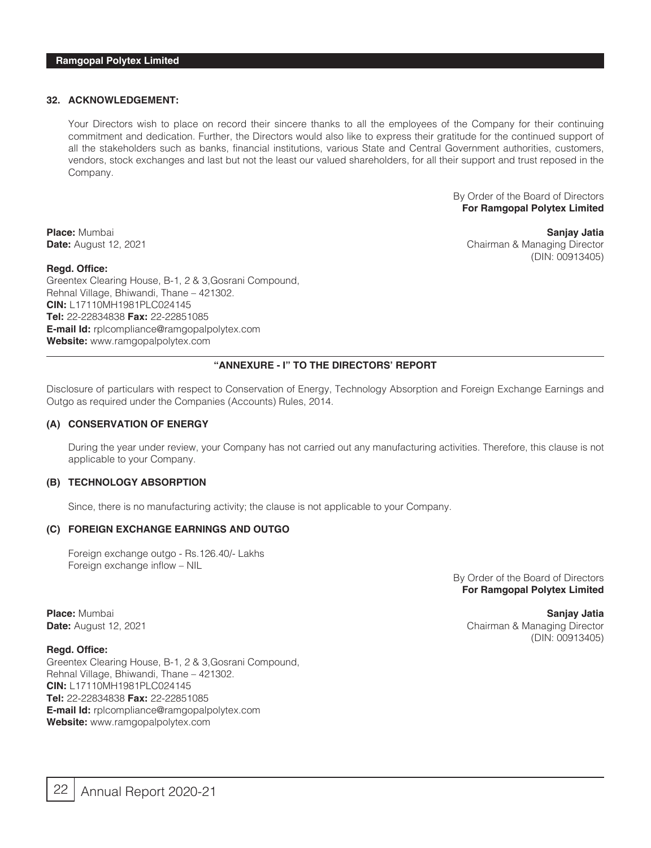#### **32. ACKNOWLEDGEMENT:**

Your Directors wish to place on record their sincere thanks to all the employees of the Company for their continuing commitment and dedication. Further, the Directors would also like to express their gratitude for the continued support of all the stakeholders such as banks, financial institutions, various State and Central Government authorities, customers, vendors, stock exchanges and last but not the least our valued shareholders, for all their support and trust reposed in the Company.

> By Order of the Board of Directors **For Ramgopal Polytex Limited**

**Place:** Mumbai **Sanjay Jatia Date:** August 12, 2021 **Date:** August 12, 2021 (DIN: 00913405)

#### **Regd. Office:**

Greentex Clearing House, B-1, 2 & 3,Gosrani Compound, Rehnal Village, Bhiwandi, Thane – 421302. **CIN:** L17110MH1981PLC024145 **Tel:** 22-22834838 **Fax:** 22-22851085 **E-mail Id:** rplcompliance@ramgopalpolytex.com **Website:** www.ramgopalpolytex.com

#### **"ANNEXURE - I" TO THE DIRECTORS' REPORT**

Disclosure of particulars with respect to Conservation of Energy, Technology Absorption and Foreign Exchange Earnings and Outgo as required under the Companies (Accounts) Rules, 2014.

#### **(A) CONSERVATION OF ENERGY**

During the year under review, your Company has not carried out any manufacturing activities. Therefore, this clause is not applicable to your Company.

#### **(B) TECHNOLOGY ABSORPTION**

Since, there is no manufacturing activity; the clause is not applicable to your Company.

#### **(C) FOREIGN EXCHANGE EARNINGS AND OUTGO**

Foreign exchange outgo - Rs.126.40/- Lakhs Foreign exchange inflow – NIL

By Order of the Board of Directors **For Ramgopal Polytex Limited**

**Regd. Office:**

Greentex Clearing House, B-1, 2 & 3,Gosrani Compound, Rehnal Village, Bhiwandi, Thane – 421302. **CIN:** L17110MH1981PLC024145 **Tel:** 22-22834838 **Fax:** 22-22851085 **E-mail Id:** rplcompliance@ramgopalpolytex.com **Website:** www.ramgopalpolytex.com

**Place:** Mumbai **Sanjay Jatia Date:** August 12, 2021 **Date:** August 12, 2021 (DIN: 00913405)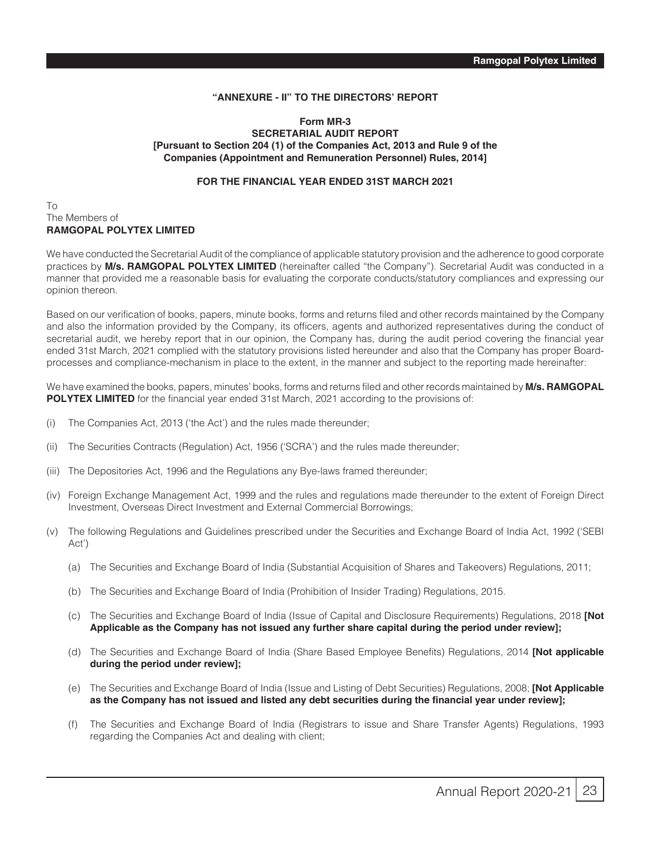#### **"ANNEXURE - II" TO THE DIRECTORS' REPORT**

#### **Form MR-3 SECRETARIAL AUDIT REPORT [Pursuant to Section 204 (1) of the Companies Act, 2013 and Rule 9 of the Companies (Appointment and Remuneration Personnel) Rules, 2014]**

#### **FOR THE FINANCIAL YEAR ENDED 31ST MARCH 2021**

#### To The Members of **RAMGOPAL POLYTEX LIMITED**

We have conducted the Secretarial Audit of the compliance of applicable statutory provision and the adherence to good corporate practices by **M/s. RAMGOPAL POLYTEX LIMITED** (hereinafter called "the Company"). Secretarial Audit was conducted in a manner that provided me a reasonable basis for evaluating the corporate conducts/statutory compliances and expressing our opinion thereon.

Based on our verification of books, papers, minute books, forms and returns filed and other records maintained by the Company and also the information provided by the Company, its officers, agents and authorized representatives during the conduct of secretarial audit, we hereby report that in our opinion, the Company has, during the audit period covering the financial year ended 31st March, 2021 complied with the statutory provisions listed hereunder and also that the Company has proper Boardprocesses and compliance-mechanism in place to the extent, in the manner and subject to the reporting made hereinafter:

We have examined the books, papers, minutes' books, forms and returns filed and other records maintained by **M/s. RAMGOPAL POLYTEX LIMITED** for the financial year ended 31st March, 2021 according to the provisions of:

- (i) The Companies Act, 2013 ('the Act') and the rules made thereunder;
- (ii) The Securities Contracts (Regulation) Act, 1956 ('SCRA') and the rules made thereunder;
- (iii) The Depositories Act, 1996 and the Regulations any Bye-laws framed thereunder;
- (iv) Foreign Exchange Management Act, 1999 and the rules and regulations made thereunder to the extent of Foreign Direct Investment, Overseas Direct Investment and External Commercial Borrowings;
- (v) The following Regulations and Guidelines prescribed under the Securities and Exchange Board of India Act, 1992 ('SEBI Act')
	- (a) The Securities and Exchange Board of India (Substantial Acquisition of Shares and Takeovers) Regulations, 2011;
	- (b) The Securities and Exchange Board of India (Prohibition of Insider Trading) Regulations, 2015.
	- (c) The Securities and Exchange Board of India (Issue of Capital and Disclosure Requirements) Regulations, 2018 **[Not Applicable as the Company has not issued any further share capital during the period under review];**
	- (d) The Securities and Exchange Board of India (Share Based Employee Benefits) Regulations, 2014 **[Not applicable during the period under review];**
	- (e) The Securities and Exchange Board of India (Issue and Listing of Debt Securities) Regulations, 2008; **[Not Applicable as the Company has not issued and listed any debt securities during the financial year under review];**
	- (f) The Securities and Exchange Board of India (Registrars to issue and Share Transfer Agents) Regulations, 1993 regarding the Companies Act and dealing with client;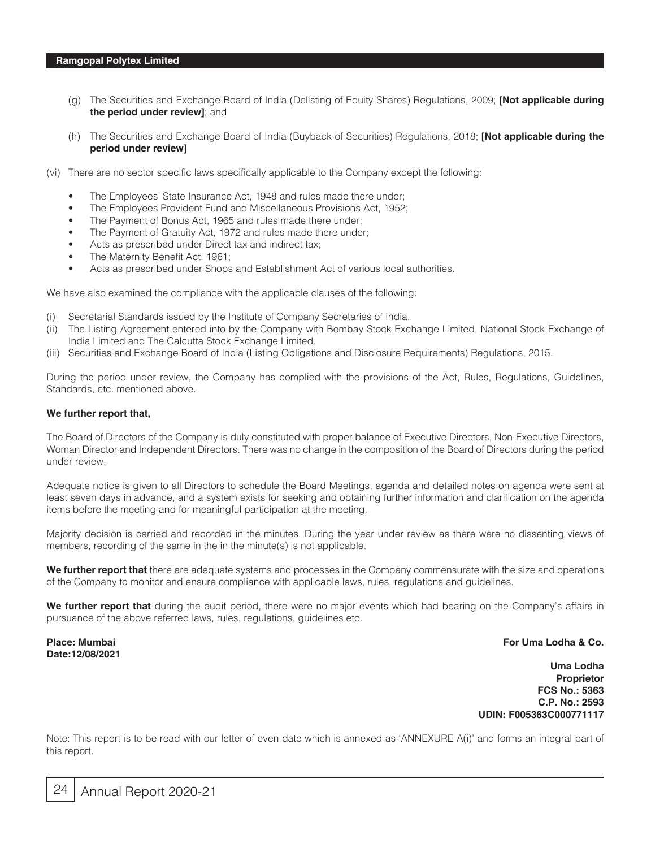- (g) The Securities and Exchange Board of India (Delisting of Equity Shares) Regulations, 2009; **[Not applicable during the period under review]**; and
- (h) The Securities and Exchange Board of India (Buyback of Securities) Regulations, 2018; **[Not applicable during the period under review]**
- (vi) There are no sector specific laws specifically applicable to the Company except the following:
	- The Employees' State Insurance Act, 1948 and rules made there under;
	- The Employees Provident Fund and Miscellaneous Provisions Act, 1952;
	- The Payment of Bonus Act, 1965 and rules made there under;
	- The Payment of Gratuity Act, 1972 and rules made there under;
	- Acts as prescribed under Direct tax and indirect tax;
	- The Maternity Benefit Act, 1961;
	- Acts as prescribed under Shops and Establishment Act of various local authorities.

We have also examined the compliance with the applicable clauses of the following:

- (i) Secretarial Standards issued by the Institute of Company Secretaries of India.
- (ii) The Listing Agreement entered into by the Company with Bombay Stock Exchange Limited, National Stock Exchange of India Limited and The Calcutta Stock Exchange Limited.
- (iii) Securities and Exchange Board of India (Listing Obligations and Disclosure Requirements) Regulations, 2015.

During the period under review, the Company has complied with the provisions of the Act, Rules, Regulations, Guidelines, Standards, etc. mentioned above.

#### **We further report that,**

The Board of Directors of the Company is duly constituted with proper balance of Executive Directors, Non-Executive Directors, Woman Director and Independent Directors. There was no change in the composition of the Board of Directors during the period under review.

Adequate notice is given to all Directors to schedule the Board Meetings, agenda and detailed notes on agenda were sent at least seven days in advance, and a system exists for seeking and obtaining further information and clarification on the agenda items before the meeting and for meaningful participation at the meeting.

Majority decision is carried and recorded in the minutes. During the year under review as there were no dissenting views of members, recording of the same in the in the minute(s) is not applicable.

**We further report that** there are adequate systems and processes in the Company commensurate with the size and operations of the Company to monitor and ensure compliance with applicable laws, rules, regulations and guidelines.

**We further report that** during the audit period, there were no major events which had bearing on the Company's affairs in pursuance of the above referred laws, rules, regulations, guidelines etc.

**Date:12/08/2021**

#### **Place: Mumbai For Uma Lodha & Co.**

**Uma Lodha Proprietor FCS No.: 5363 C.P. No.: 2593 UDIN: F005363C000771117** 

Note: This report is to be read with our letter of even date which is annexed as 'ANNEXURE A(i)' and forms an integral part of this report.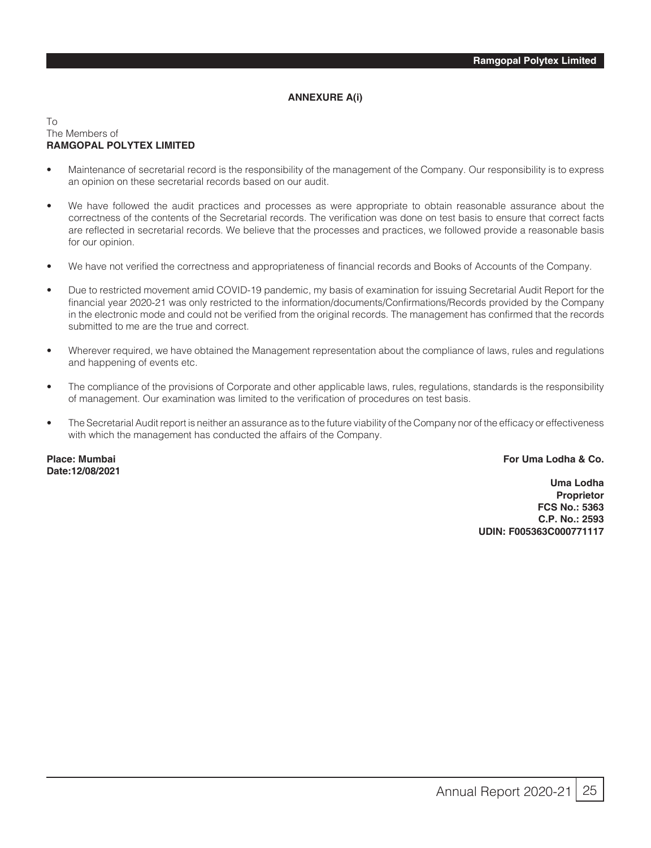#### **ANNEXURE A(i)**

#### To The Members of **RAMGOPAL POLYTEX LIMITED**

- Maintenance of secretarial record is the responsibility of the management of the Company. Our responsibility is to express an opinion on these secretarial records based on our audit.
- We have followed the audit practices and processes as were appropriate to obtain reasonable assurance about the correctness of the contents of the Secretarial records. The verification was done on test basis to ensure that correct facts are reflected in secretarial records. We believe that the processes and practices, we followed provide a reasonable basis for our opinion.
- We have not verified the correctness and appropriateness of financial records and Books of Accounts of the Company.
- Due to restricted movement amid COVID-19 pandemic, my basis of examination for issuing Secretarial Audit Report for the financial year 2020-21 was only restricted to the information/documents/Confirmations/Records provided by the Company in the electronic mode and could not be verified from the original records. The management has confirmed that the records submitted to me are the true and correct.
- Wherever required, we have obtained the Management representation about the compliance of laws, rules and regulations and happening of events etc.
- The compliance of the provisions of Corporate and other applicable laws, rules, regulations, standards is the responsibility of management. Our examination was limited to the verification of procedures on test basis.
- The Secretarial Audit report is neither an assurance as to the future viability of the Company nor of the efficacy or effectiveness with which the management has conducted the affairs of the Company.

**Date:12/08/2021**

#### **Place: Mumbai For Uma Lodha & Co.**

**Uma Lodha Proprietor FCS No.: 5363 C.P. No.: 2593 UDIN: F005363C000771117**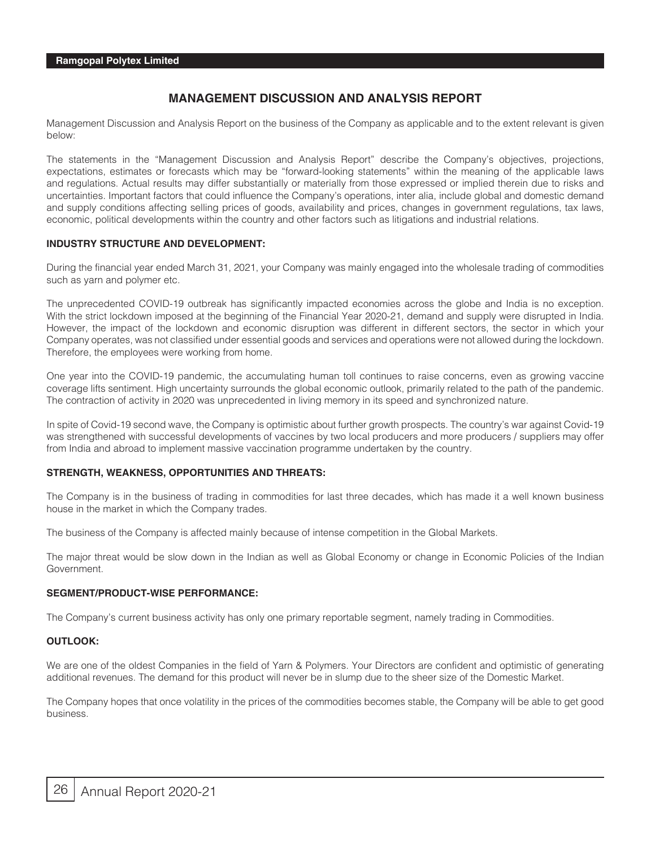### **MANAGEMENT DISCUSSION AND ANALYSIS REPORT**

Management Discussion and Analysis Report on the business of the Company as applicable and to the extent relevant is given below:

The statements in the "Management Discussion and Analysis Report" describe the Company's objectives, projections, expectations, estimates or forecasts which may be "forward-looking statements" within the meaning of the applicable laws and regulations. Actual results may differ substantially or materially from those expressed or implied therein due to risks and uncertainties. Important factors that could influence the Company's operations, inter alia, include global and domestic demand and supply conditions affecting selling prices of goods, availability and prices, changes in government regulations, tax laws, economic, political developments within the country and other factors such as litigations and industrial relations.

#### **INDUSTRY STRUCTURE AND DEVELOPMENT:**

During the financial year ended March 31, 2021, your Company was mainly engaged into the wholesale trading of commodities such as yarn and polymer etc.

The unprecedented COVID-19 outbreak has significantly impacted economies across the globe and India is no exception. With the strict lockdown imposed at the beginning of the Financial Year 2020-21, demand and supply were disrupted in India. However, the impact of the lockdown and economic disruption was different in different sectors, the sector in which your Company operates, was not classified under essential goods and services and operations were not allowed during the lockdown. Therefore, the employees were working from home.

One year into the COVID-19 pandemic, the accumulating human toll continues to raise concerns, even as growing vaccine coverage lifts sentiment. High uncertainty surrounds the global economic outlook, primarily related to the path of the pandemic. The contraction of activity in 2020 was unprecedented in living memory in its speed and synchronized nature.

In spite of Covid-19 second wave, the Company is optimistic about further growth prospects. The country's war against Covid-19 was strengthened with successful developments of vaccines by two local producers and more producers / suppliers may offer from India and abroad to implement massive vaccination programme undertaken by the country.

#### **STRENGTH, WEAKNESS, OPPORTUNITIES AND THREATS:**

The Company is in the business of trading in commodities for last three decades, which has made it a well known business house in the market in which the Company trades.

The business of the Company is affected mainly because of intense competition in the Global Markets.

The major threat would be slow down in the Indian as well as Global Economy or change in Economic Policies of the Indian Government.

#### **SEGMENT/PRODUCT-WISE PERFORMANCE:**

The Company's current business activity has only one primary reportable segment, namely trading in Commodities.

#### **OUTLOOK:**

We are one of the oldest Companies in the field of Yarn & Polymers. Your Directors are confident and optimistic of generating additional revenues. The demand for this product will never be in slump due to the sheer size of the Domestic Market.

The Company hopes that once volatility in the prices of the commodities becomes stable, the Company will be able to get good business.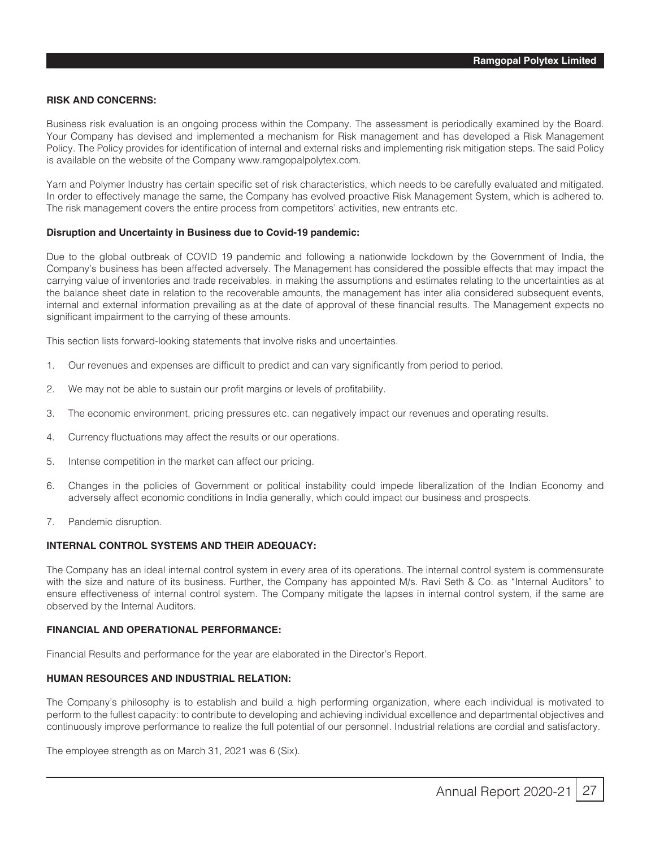#### **RISK AND CONCERNS:**

Business risk evaluation is an ongoing process within the Company. The assessment is periodically examined by the Board. Your Company has devised and implemented a mechanism for Risk management and has developed a Risk Management Policy. The Policy provides for identification of internal and external risks and implementing risk mitigation steps. The said Policy is available on the website of the Company www.ramgopalpolytex.com.

Yarn and Polymer Industry has certain specific set of risk characteristics, which needs to be carefully evaluated and mitigated. In order to effectively manage the same, the Company has evolved proactive Risk Management System, which is adhered to. The risk management covers the entire process from competitors' activities, new entrants etc.

#### **Disruption and Uncertainty in Business due to Covid-19 pandemic:**

Due to the global outbreak of COVID 19 pandemic and following a nationwide lockdown by the Government of India, the Company's business has been affected adversely. The Management has considered the possible effects that may impact the carrying value of inventories and trade receivables. in making the assumptions and estimates relating to the uncertainties as at the balance sheet date in relation to the recoverable amounts, the management has inter alia considered subsequent events, internal and external information prevailing as at the date of approval of these financial results. The Management expects no significant impairment to the carrying of these amounts.

This section lists forward-looking statements that involve risks and uncertainties.

- 1. Our revenues and expenses are difficult to predict and can vary significantly from period to period.
- 2. We may not be able to sustain our profit margins or levels of profitability.
- 3. The economic environment, pricing pressures etc. can negatively impact our revenues and operating results.
- 4. Currency fluctuations may affect the results or our operations.
- 5. Intense competition in the market can affect our pricing.
- 6. Changes in the policies of Government or political instability could impede liberalization of the Indian Economy and adversely affect economic conditions in India generally, which could impact our business and prospects.
- 7. Pandemic disruption.

#### **INTERNAL CONTROL SYSTEMS AND THEIR ADEQUACY:**

The Company has an ideal internal control system in every area of its operations. The internal control system is commensurate with the size and nature of its business. Further, the Company has appointed M/s. Ravi Seth & Co. as "Internal Auditors" to ensure effectiveness of internal control system. The Company mitigate the lapses in internal control system, if the same are observed by the Internal Auditors.

#### **FINANCIAL AND OPERATIONAL PERFORMANCE:**

Financial Results and performance for the year are elaborated in the Director's Report.

#### **HUMAN RESOURCES AND INDUSTRIAL RELATION:**

The Company's philosophy is to establish and build a high performing organization, where each individual is motivated to perform to the fullest capacity: to contribute to developing and achieving individual excellence and departmental objectives and continuously improve performance to realize the full potential of our personnel. Industrial relations are cordial and satisfactory.

The employee strength as on March 31, 2021 was 6 (Six).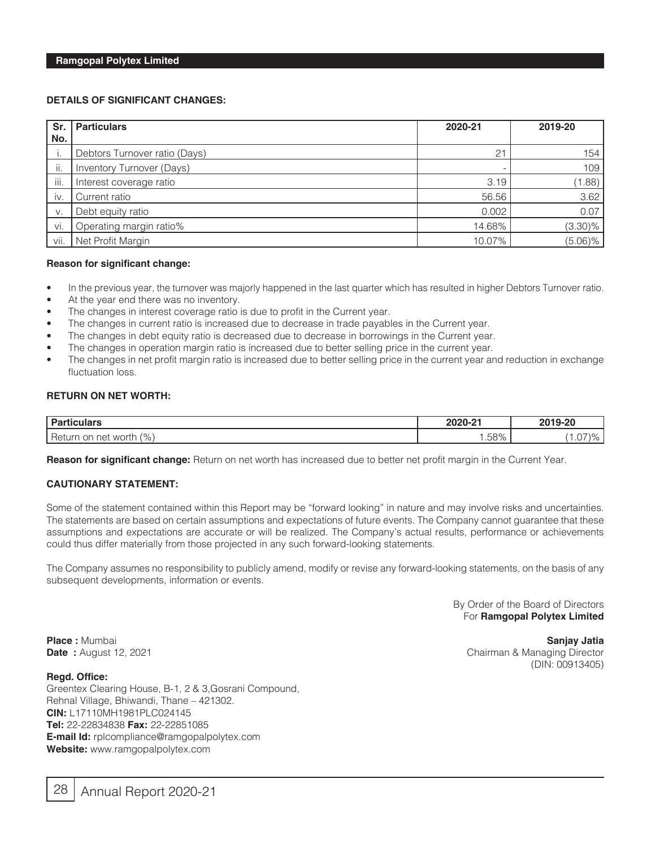#### **DETAILS OF SIGNIFICANT CHANGES:**

| No.  | Sr.   Particulars             | 2020-21 | 2019-20    |
|------|-------------------------------|---------|------------|
|      | Debtors Turnover ratio (Days) | 21      | 154        |
| ii.  | Inventory Turnover (Days)     |         | 109        |
| iii. | Interest coverage ratio       | 3.19    | (1.88)     |
| iv.  | Current ratio                 | 56.56   | 3.62       |
| V.   | Debt equity ratio             | 0.002   | 0.07       |
| vi.  | Operating margin ratio%       | 14.68%  | $(3.30)\%$ |
| vii. | Net Profit Margin             | 10.07%  | $(5.06)\%$ |

#### **Reason for significant change:**

- In the previous year, the turnover was majorly happened in the last quarter which has resulted in higher Debtors Turnover ratio.
- At the year end there was no inventory.
- The changes in interest coverage ratio is due to profit in the Current year.
- The changes in current ratio is increased due to decrease in trade payables in the Current year.
- The changes in debt equity ratio is decreased due to decrease in borrowings in the Current year.
- The changes in operation margin ratio is increased due to better selling price in the current year.
- The changes in net profit margin ratio is increased due to better selling price in the current year and reduction in exchange fluctuation loss.

#### **RETURN ON NET WORTH:**

| Dow<br>- -<br>.<br>                                                                          | 2020-21<br>∠∪∠∪∹ | 0010.20<br>-24<br>--                |
|----------------------------------------------------------------------------------------------|------------------|-------------------------------------|
| $\frac{1}{6}$<br>$\overline{\phantom{0}}$<br>$1110r + h$<br>ne:<br>VV G<br>$H - I$<br>$\cup$ | .58%             | $\overline{\phantom{a}}$<br>- 7 1 2 |

**Reason for significant change:** Return on net worth has increased due to better net profit margin in the Current Year.

#### **CAUTIONARY STATEMENT:**

Some of the statement contained within this Report may be "forward looking" in nature and may involve risks and uncertainties. The statements are based on certain assumptions and expectations of future events. The Company cannot guarantee that these assumptions and expectations are accurate or will be realized. The Company's actual results, performance or achievements could thus differ materially from those projected in any such forward-looking statements.

The Company assumes no responsibility to publicly amend, modify or revise any forward-looking statements, on the basis of any subsequent developments, information or events.

> By Order of the Board of Directors For **Ramgopal Polytex Limited**

#### **Regd. Office:**

Greentex Clearing House, B-1, 2 & 3,Gosrani Compound, Rehnal Village, Bhiwandi, Thane – 421302. **CIN:** L17110MH1981PLC024145 **Tel:** 22-22834838 **Fax:** 22-22851085 **E-mail Id:** rplcompliance@ramgopalpolytex.com **Website:** www.ramgopalpolytex.com

**Place :** Mumbai **Sanjay Jatia Date :** August 12, 2021 **Date :** August 12, 2021 **Chairman & Managing Director** (DIN: 00913405)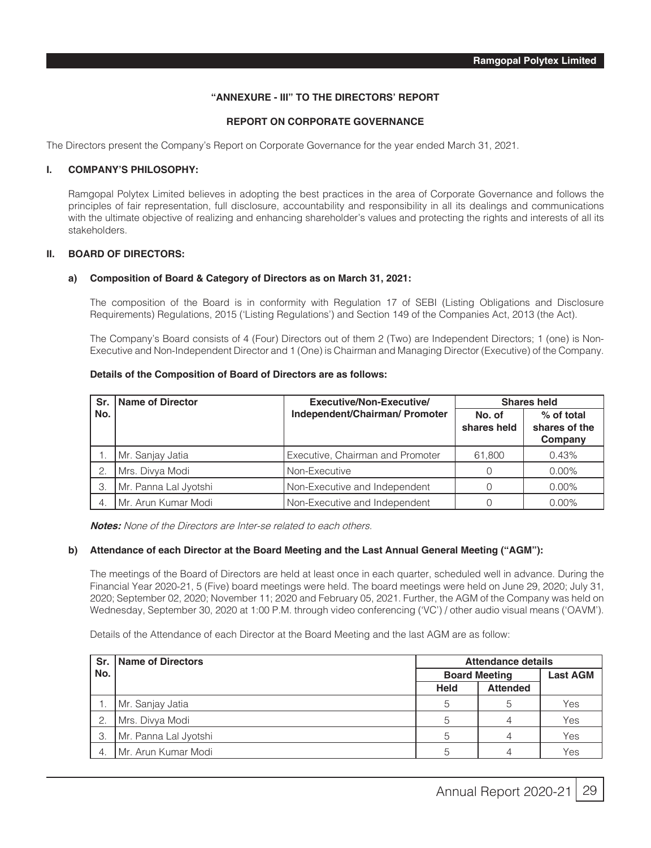#### **"ANNEXURE - III" TO THE DIRECTORS' REPORT**

#### **REPORT ON CORPORATE GOVERNANCE**

The Directors present the Company's Report on Corporate Governance for the year ended March 31, 2021.

#### **I. COMPANY'S PHILOSOPHY:**

Ramgopal Polytex Limited believes in adopting the best practices in the area of Corporate Governance and follows the principles of fair representation, full disclosure, accountability and responsibility in all its dealings and communications with the ultimate objective of realizing and enhancing shareholder's values and protecting the rights and interests of all its stakeholders.

#### **II. BOARD OF DIRECTORS:**

#### **a) Composition of Board & Category of Directors as on March 31, 2021:**

The composition of the Board is in conformity with Regulation 17 of SEBI (Listing Obligations and Disclosure Requirements) Regulations, 2015 ('Listing Regulations') and Section 149 of the Companies Act, 2013 (the Act).

The Company's Board consists of 4 (Four) Directors out of them 2 (Two) are Independent Directors; 1 (one) is Non-Executive and Non-Independent Director and 1 (One) is Chairman and Managing Director (Executive) of the Company.

|     | Sr. Name of Director  | Executive/Non-Executive/         |                       | <b>Shares held</b> |  |
|-----|-----------------------|----------------------------------|-----------------------|--------------------|--|
| No. |                       | Independent/Chairman/ Promoter   | No. of<br>shares held |                    |  |
|     | Mr. Sanjay Jatia      | Executive, Chairman and Promoter | 61,800                | 0.43%              |  |
|     | Mrs. Divya Modi       | Non-Executive                    | 0                     | $0.00\%$           |  |
| З.  | Mr. Panna Lal Jyotshi | Non-Executive and Independent    |                       | $0.00\%$           |  |
| 4.  | Mr. Arun Kumar Modi   | Non-Executive and Independent    | Ω                     | $0.00\%$           |  |

#### **Details of the Composition of Board of Directors are as follows:**

**Notes:** None of the Directors are Inter-se related to each others.

#### **b) Attendance of each Director at the Board Meeting and the Last Annual General Meeting ("AGM"):**

The meetings of the Board of Directors are held at least once in each quarter, scheduled well in advance. During the Financial Year 2020-21, 5 (Five) board meetings were held. The board meetings were held on June 29, 2020; July 31, 2020; September 02, 2020; November 11; 2020 and February 05, 2021. Further, the AGM of the Company was held on Wednesday, September 30, 2020 at 1:00 P.M. through video conferencing ('VC') / other audio visual means ('OAVM').

Details of the Attendance of each Director at the Board Meeting and the last AGM are as follow:

|                | Sr.   Name of Directors | Attendance details   |                 |     |  |
|----------------|-------------------------|----------------------|-----------------|-----|--|
| No.            |                         | <b>Board Meeting</b> | <b>Last AGM</b> |     |  |
|                |                         | <b>Held</b>          | <b>Attended</b> |     |  |
|                | Mr. Sanjay Jatia        | 5                    |                 | Yes |  |
| 2.             | Mrs. Divya Modi         | 5                    |                 | Yes |  |
| З.             | Mr. Panna Lal Jyotshi   | 5                    |                 | Yes |  |
| $\overline{4}$ | IMr. Arun Kumar Modi    | 5                    |                 | Yes |  |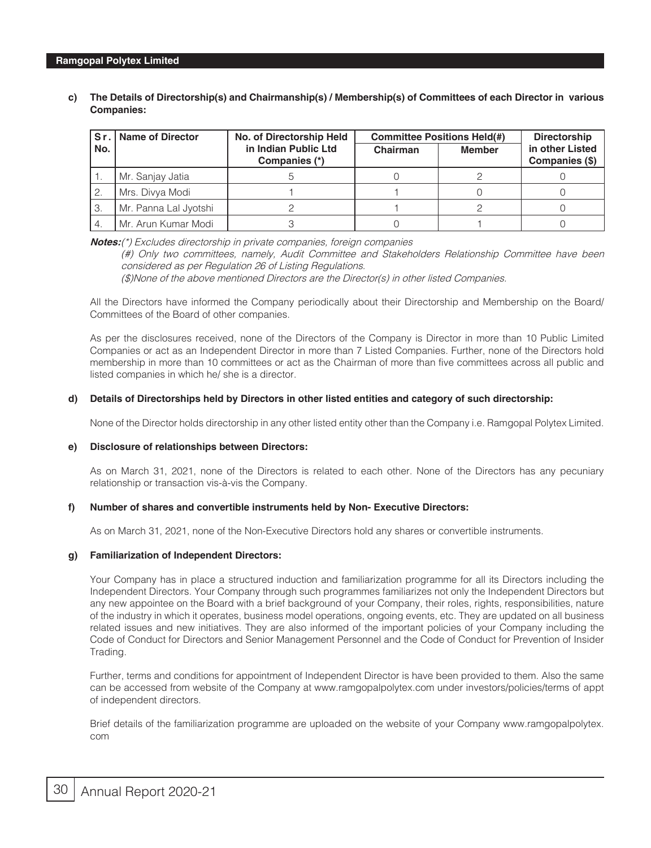#### **c) The Details of Directorship(s) and Chairmanship(s) / Membership(s) of Committees of each Director in various Companies:**

| Sr. | <b>Name of Director</b> | No. of Directorship Held              |                           | <b>Committee Positions Held(#)</b> |                                   |  |
|-----|-------------------------|---------------------------------------|---------------------------|------------------------------------|-----------------------------------|--|
| No. |                         | in Indian Public Ltd<br>Companies (*) | <b>Member</b><br>Chairman |                                    | in other Listed<br>Companies (\$) |  |
|     | Mr. Sanjay Jatia        |                                       |                           |                                    |                                   |  |
|     | Mrs. Divya Modi         |                                       |                           |                                    |                                   |  |
|     | Mr. Panna Lal Jyotshi   |                                       |                           |                                    |                                   |  |
|     | Mr. Arun Kumar Modi     |                                       |                           |                                    |                                   |  |

 **Notes:**(\*) Excludes directorship in private companies, foreign companies

 (#) Only two committees, namely, Audit Committee and Stakeholders Relationship Committee have been considered as per Regulation 26 of Listing Regulations.

(\$)None of the above mentioned Directors are the Director(s) in other listed Companies.

All the Directors have informed the Company periodically about their Directorship and Membership on the Board/ Committees of the Board of other companies.

As per the disclosures received, none of the Directors of the Company is Director in more than 10 Public Limited Companies or act as an Independent Director in more than 7 Listed Companies. Further, none of the Directors hold membership in more than 10 committees or act as the Chairman of more than five committees across all public and listed companies in which he/ she is a director.

#### **d) Details of Directorships held by Directors in other listed entities and category of such directorship:**

None of the Director holds directorship in any other listed entity other than the Company i.e. Ramgopal Polytex Limited.

#### **e) Disclosure of relationships between Directors:**

As on March 31, 2021, none of the Directors is related to each other. None of the Directors has any pecuniary relationship or transaction vis-à-vis the Company.

#### **f) Number of shares and convertible instruments held by Non- Executive Directors:**

As on March 31, 2021, none of the Non-Executive Directors hold any shares or convertible instruments.

#### **g) Familiarization of Independent Directors:**

Your Company has in place a structured induction and familiarization programme for all its Directors including the Independent Directors. Your Company through such programmes familiarizes not only the Independent Directors but any new appointee on the Board with a brief background of your Company, their roles, rights, responsibilities, nature of the industry in which it operates, business model operations, ongoing events, etc. They are updated on all business related issues and new initiatives. They are also informed of the important policies of your Company including the Code of Conduct for Directors and Senior Management Personnel and the Code of Conduct for Prevention of Insider Trading.

Further, terms and conditions for appointment of Independent Director is have been provided to them. Also the same can be accessed from website of the Company at www.ramgopalpolytex.com under investors/policies/terms of appt of independent directors.

Brief details of the familiarization programme are uploaded on the website of your Company www.ramgopalpolytex. com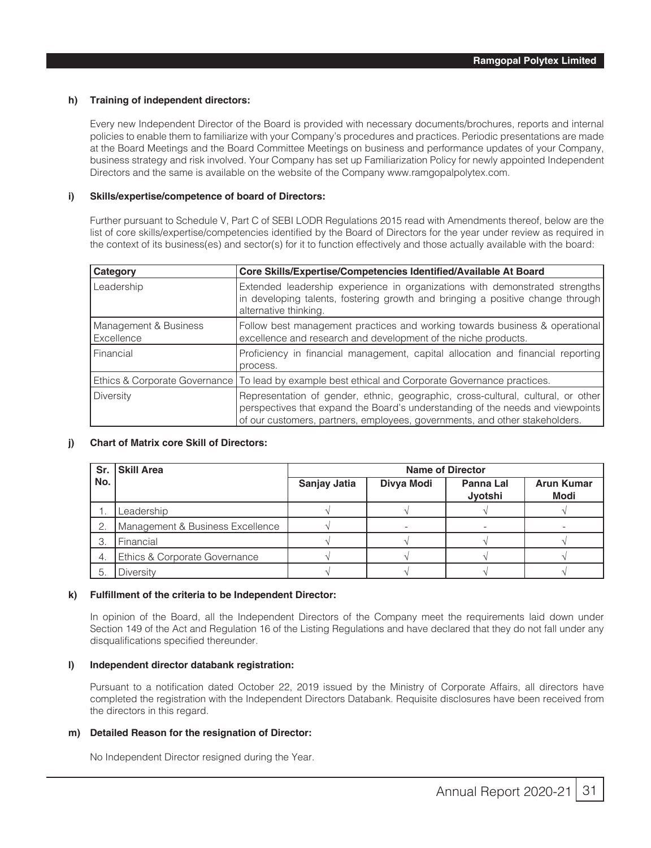#### **h) Training of independent directors:**

Every new Independent Director of the Board is provided with necessary documents/brochures, reports and internal policies to enable them to familiarize with your Company's procedures and practices. Periodic presentations are made at the Board Meetings and the Board Committee Meetings on business and performance updates of your Company, business strategy and risk involved. Your Company has set up Familiarization Policy for newly appointed Independent Directors and the same is available on the website of the Company www.ramgopalpolytex.com.

#### **i) Skills/expertise/competence of board of Directors:**

Further pursuant to Schedule V, Part C of SEBI LODR Regulations 2015 read with Amendments thereof, below are the list of core skills/expertise/competencies identified by the Board of Directors for the year under review as required in the context of its business(es) and sector(s) for it to function effectively and those actually available with the board:

| Category                            | Core Skills/Expertise/Competencies Identified/Available At Board                                                                                                                                                                                  |
|-------------------------------------|---------------------------------------------------------------------------------------------------------------------------------------------------------------------------------------------------------------------------------------------------|
| Leadership                          | Extended leadership experience in organizations with demonstrated strengths<br>in developing talents, fostering growth and bringing a positive change through<br>alternative thinking.                                                            |
| Management & Business<br>Excellence | Follow best management practices and working towards business & operational<br>excellence and research and development of the niche products.                                                                                                     |
| Financial                           | Proficiency in financial management, capital allocation and financial reporting<br>process.                                                                                                                                                       |
|                                     | Ethics & Corporate Governance   To lead by example best ethical and Corporate Governance practices.                                                                                                                                               |
| <b>Diversity</b>                    | Representation of gender, ethnic, geographic, cross-cultural, cultural, or other<br>perspectives that expand the Board's understanding of the needs and viewpoints<br>of our customers, partners, employees, governments, and other stakeholders. |

#### **j) Chart of Matrix core Skill of Directors:**

| Sr. | Skill Area                       |              | <b>Name of Director</b> |                             |                           |  |  |
|-----|----------------------------------|--------------|-------------------------|-----------------------------|---------------------------|--|--|
| No. |                                  | Sanjay Jatia | Divya Modi              | <b>Panna Lal</b><br>Jyotshi | <b>Arun Kumar</b><br>Modi |  |  |
|     | Leadership                       |              |                         |                             |                           |  |  |
| 2.  | Management & Business Excellence |              |                         |                             |                           |  |  |
| 3.  | Financial                        |              |                         |                             |                           |  |  |
| 4.  | Ethics & Corporate Governance    |              |                         |                             |                           |  |  |
| 5   | <b>Diversity</b>                 |              |                         |                             |                           |  |  |

#### **k) Fulfillment of the criteria to be Independent Director:**

In opinion of the Board, all the Independent Directors of the Company meet the requirements laid down under Section 149 of the Act and Regulation 16 of the Listing Regulations and have declared that they do not fall under any disqualifications specified thereunder.

#### **l) Independent director databank registration:**

Pursuant to a notification dated October 22, 2019 issued by the Ministry of Corporate Affairs, all directors have completed the registration with the Independent Directors Databank. Requisite disclosures have been received from the directors in this regard.

#### **m) Detailed Reason for the resignation of Director:**

No Independent Director resigned during the Year.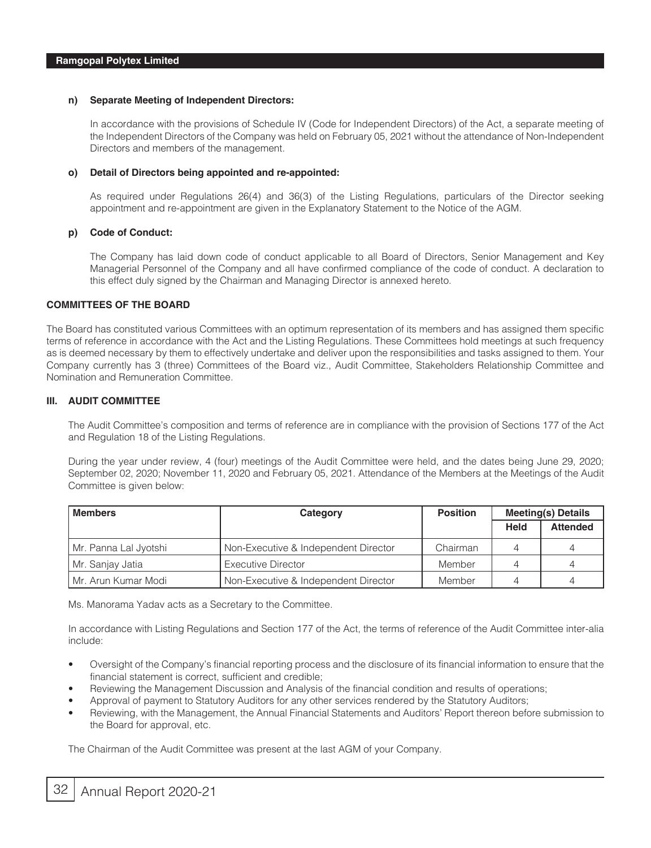#### **n) Separate Meeting of Independent Directors:**

In accordance with the provisions of Schedule IV (Code for Independent Directors) of the Act, a separate meeting of the Independent Directors of the Company was held on February 05, 2021 without the attendance of Non-Independent Directors and members of the management.

#### **o) Detail of Directors being appointed and re-appointed:**

As required under Regulations 26(4) and 36(3) of the Listing Regulations, particulars of the Director seeking appointment and re-appointment are given in the Explanatory Statement to the Notice of the AGM.

#### **p) Code of Conduct:**

The Company has laid down code of conduct applicable to all Board of Directors, Senior Management and Key Managerial Personnel of the Company and all have confirmed compliance of the code of conduct. A declaration to this effect duly signed by the Chairman and Managing Director is annexed hereto.

#### **COMMITTEES OF THE BOARD**

The Board has constituted various Committees with an optimum representation of its members and has assigned them specific terms of reference in accordance with the Act and the Listing Regulations. These Committees hold meetings at such frequency as is deemed necessary by them to effectively undertake and deliver upon the responsibilities and tasks assigned to them. Your Company currently has 3 (three) Committees of the Board viz., Audit Committee, Stakeholders Relationship Committee and Nomination and Remuneration Committee.

#### **III. AUDIT COMMITTEE**

The Audit Committee's composition and terms of reference are in compliance with the provision of Sections 177 of the Act and Regulation 18 of the Listing Regulations.

During the year under review, 4 (four) meetings of the Audit Committee were held, and the dates being June 29, 2020; September 02, 2020; November 11, 2020 and February 05, 2021. Attendance of the Members at the Meetings of the Audit Committee is given below:

| <b>Members</b><br>Category                                  |                                      | <b>Position</b> |             | <b>Meeting(s) Details</b> |
|-------------------------------------------------------------|--------------------------------------|-----------------|-------------|---------------------------|
|                                                             |                                      |                 | <b>Held</b> | <b>Attended</b>           |
| Mr. Panna Lal Jyotshi                                       | Non-Executive & Independent Director | Chairman        |             |                           |
| Mr. Sanjay Jatia                                            | Executive Director                   | Member          |             |                           |
| Mr. Arun Kumar Modi<br>Non-Executive & Independent Director |                                      | Member          |             | 4                         |

Ms. Manorama Yadav acts as a Secretary to the Committee.

In accordance with Listing Regulations and Section 177 of the Act, the terms of reference of the Audit Committee inter-alia include:

- Oversight of the Company's financial reporting process and the disclosure of its financial information to ensure that the financial statement is correct, sufficient and credible;
- Reviewing the Management Discussion and Analysis of the financial condition and results of operations;
- Approval of payment to Statutory Auditors for any other services rendered by the Statutory Auditors;
- Reviewing, with the Management, the Annual Financial Statements and Auditors' Report thereon before submission to the Board for approval, etc.

The Chairman of the Audit Committee was present at the last AGM of your Company.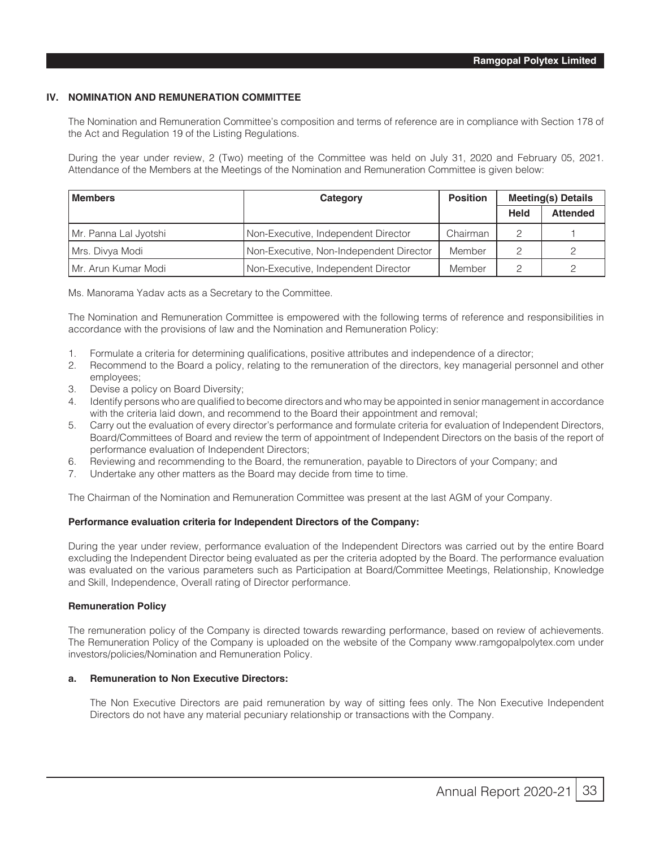#### **IV. NOMINATION AND REMUNERATION COMMITTEE**

The Nomination and Remuneration Committee's composition and terms of reference are in compliance with Section 178 of the Act and Regulation 19 of the Listing Regulations.

During the year under review, 2 (Two) meeting of the Committee was held on July 31, 2020 and February 05, 2021. Attendance of the Members at the Meetings of the Nomination and Remuneration Committee is given below:

| <b>Members</b>        | Category                                | <b>Position</b> |             | <b>Meeting(s) Details</b> |
|-----------------------|-----------------------------------------|-----------------|-------------|---------------------------|
|                       |                                         |                 | <b>Held</b> | <b>Attended</b>           |
| Mr. Panna Lal Jyotshi | Non-Executive, Independent Director     | Chairman        |             |                           |
| l Mrs. Divya Modi     | Non-Executive, Non-Independent Director | Member          |             | っ                         |
| l Mr. Arun Kumar Modi | Non-Executive, Independent Director     | Member          |             | っ                         |

Ms. Manorama Yadav acts as a Secretary to the Committee.

The Nomination and Remuneration Committee is empowered with the following terms of reference and responsibilities in accordance with the provisions of law and the Nomination and Remuneration Policy:

- 1. Formulate a criteria for determining qualifications, positive attributes and independence of a director;
- 2. Recommend to the Board a policy, relating to the remuneration of the directors, key managerial personnel and other employees;
- 3. Devise a policy on Board Diversity;
- 4. Identify persons who are qualified to become directors and who may be appointed in senior management in accordance with the criteria laid down, and recommend to the Board their appointment and removal;
- 5. Carry out the evaluation of every director's performance and formulate criteria for evaluation of Independent Directors, Board/Committees of Board and review the term of appointment of Independent Directors on the basis of the report of performance evaluation of Independent Directors;
- 6. Reviewing and recommending to the Board, the remuneration, payable to Directors of your Company; and
- 7. Undertake any other matters as the Board may decide from time to time.

The Chairman of the Nomination and Remuneration Committee was present at the last AGM of your Company.

#### **Performance evaluation criteria for Independent Directors of the Company:**

During the year under review, performance evaluation of the Independent Directors was carried out by the entire Board excluding the Independent Director being evaluated as per the criteria adopted by the Board. The performance evaluation was evaluated on the various parameters such as Participation at Board/Committee Meetings, Relationship, Knowledge and Skill, Independence, Overall rating of Director performance.

#### **Remuneration Policy**

The remuneration policy of the Company is directed towards rewarding performance, based on review of achievements. The Remuneration Policy of the Company is uploaded on the website of the Company www.ramgopalpolytex.com under investors/policies/Nomination and Remuneration Policy.

#### **a. Remuneration to Non Executive Directors:**

The Non Executive Directors are paid remuneration by way of sitting fees only. The Non Executive Independent Directors do not have any material pecuniary relationship or transactions with the Company.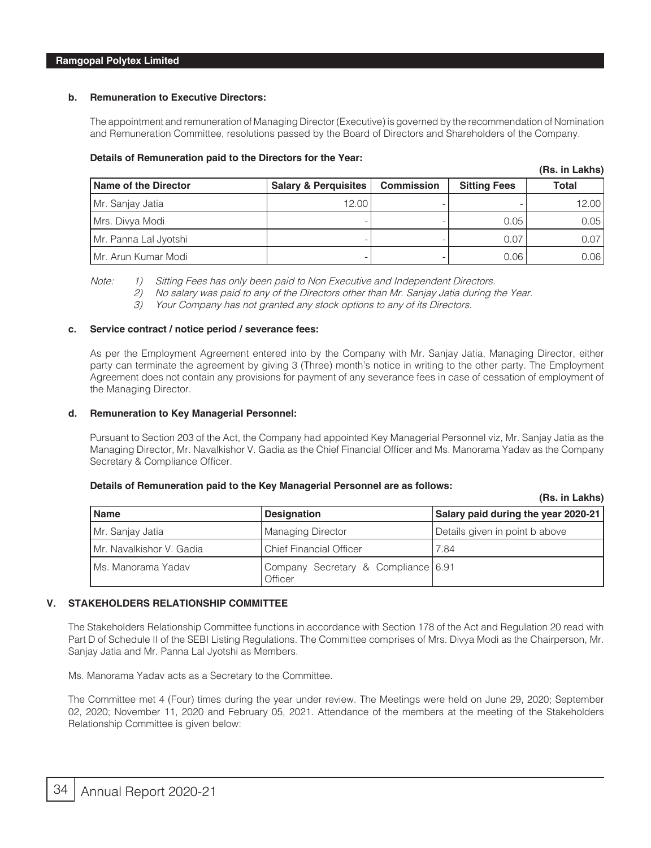### **b. Remuneration to Executive Directors:**

The appointment and remuneration of Managing Director (Executive) is governed by the recommendation of Nomination and Remuneration Committee, resolutions passed by the Board of Directors and Shareholders of the Company.

**(Rs. in Lakhs)**

**(Rs. in Lakhs)**

### **Details of Remuneration paid to the Directors for the Year:**

| Name of the Director  | <b>Salary &amp; Perquisites</b> | <b>Commission</b> | <b>Sitting Fees</b> | Total |
|-----------------------|---------------------------------|-------------------|---------------------|-------|
| Mr. Sanjay Jatia      | 12.00                           |                   |                     | 12.00 |
| Mrs. Divya Modi       |                                 |                   | 0.05                | 0.05  |
| Mr. Panna Lal Jyotshi |                                 |                   | 0.07                | 0.07  |
| IMr. Arun Kumar Modi  |                                 |                   | 0.06                | 0.061 |

Note: 1) Sitting Fees has only been paid to Non Executive and Independent Directors.

2) No salary was paid to any of the Directors other than Mr. Sanjay Jatia during the Year.

3) Your Company has not granted any stock options to any of its Directors.

### **c. Service contract / notice period / severance fees:**

As per the Employment Agreement entered into by the Company with Mr. Sanjay Jatia, Managing Director, either party can terminate the agreement by giving 3 (Three) month's notice in writing to the other party. The Employment Agreement does not contain any provisions for payment of any severance fees in case of cessation of employment of the Managing Director.

### **d. Remuneration to Key Managerial Personnel:**

Pursuant to Section 203 of the Act, the Company had appointed Key Managerial Personnel viz, Mr. Sanjay Jatia as the Managing Director, Mr. Navalkishor V. Gadia as the Chief Financial Officer and Ms. Manorama Yadav as the Company Secretary & Compliance Officer.

### **Details of Remuneration paid to the Key Managerial Personnel are as follows:**

|                          |                                                | 113.1121                            |
|--------------------------|------------------------------------------------|-------------------------------------|
| l Name                   | <b>Designation</b>                             | Salary paid during the year 2020-21 |
| Mr. Sanjay Jatia         | Managing Director                              | Details given in point b above      |
| Mr. Navalkishor V. Gadia | <b>Chief Financial Officer</b>                 | 7.84                                |
| l Ms. Manorama Yadav     | Company Secretary & Compliance 6.91<br>Officer |                                     |

### **V. STAKEHOLDERS RELATIONSHIP COMMITTEE**

The Stakeholders Relationship Committee functions in accordance with Section 178 of the Act and Regulation 20 read with Part D of Schedule II of the SEBI Listing Regulations. The Committee comprises of Mrs. Divya Modi as the Chairperson, Mr. Sanjay Jatia and Mr. Panna Lal Jyotshi as Members.

Ms. Manorama Yadav acts as a Secretary to the Committee.

The Committee met 4 (Four) times during the year under review. The Meetings were held on June 29, 2020; September 02, 2020; November 11, 2020 and February 05, 2021. Attendance of the members at the meeting of the Stakeholders Relationship Committee is given below: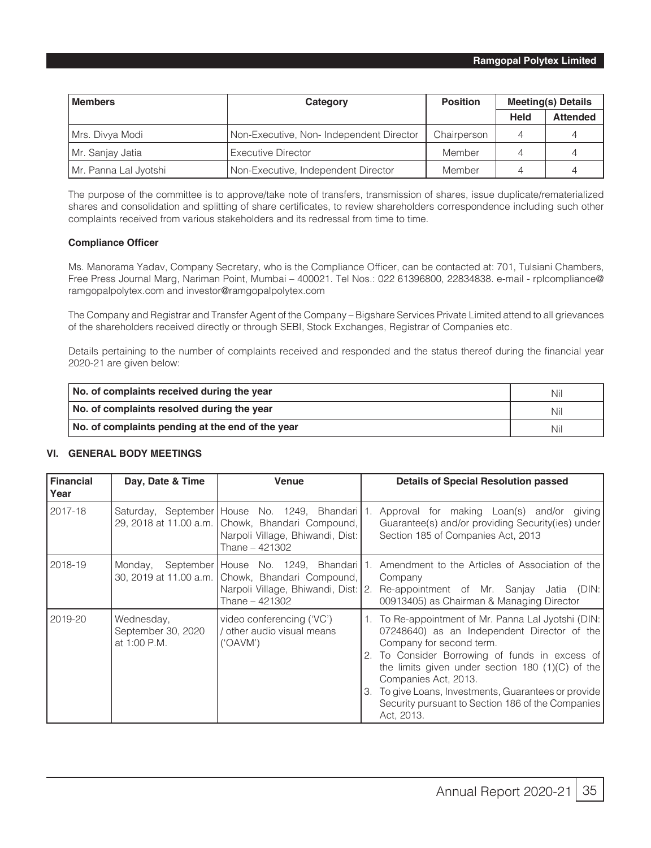| Members               | Category                                 | <b>Position</b> |             | <b>Meeting(s) Details</b> |
|-----------------------|------------------------------------------|-----------------|-------------|---------------------------|
|                       |                                          |                 | <b>Held</b> | <b>Attended</b>           |
| Mrs. Divya Modi       | Non-Executive, Non- Independent Director | Chairperson     |             |                           |
| Mr. Sanjay Jatia      | Executive Director                       | Member          |             |                           |
| Mr. Panna Lal Jyotshi | Non-Executive, Independent Director      | Member          |             |                           |

The purpose of the committee is to approve/take note of transfers, transmission of shares, issue duplicate/rematerialized shares and consolidation and splitting of share certificates, to review shareholders correspondence including such other complaints received from various stakeholders and its redressal from time to time.

### **Compliance Officer**

Ms. Manorama Yadav, Company Secretary, who is the Compliance Officer, can be contacted at: 701, Tulsiani Chambers, Free Press Journal Marg, Nariman Point, Mumbai – 400021. Tel Nos.: 022 61396800, 22834838. e-mail - rplcompliance@ ramgopalpolytex.com and investor@ramgopalpolytex.com

The Company and Registrar and Transfer Agent of the Company – Bigshare Services Private Limited attend to all grievances of the shareholders received directly or through SEBI, Stock Exchanges, Registrar of Companies etc.

Details pertaining to the number of complaints received and responded and the status thereof during the financial year 2020-21 are given below:

| No. of complaints received during the year       | Nil |
|--------------------------------------------------|-----|
| No. of complaints resolved during the year       | Nil |
| No. of complaints pending at the end of the year | Nil |

### **VI. GENERAL BODY MEETINGS**

| <b>Financial</b><br>Year | Day, Date & Time                                 | <b>Venue</b>                                                                                                                                             | <b>Details of Special Resolution passed</b>                                                                                                                                                                                                                                                                                                                                               |  |  |
|--------------------------|--------------------------------------------------|----------------------------------------------------------------------------------------------------------------------------------------------------------|-------------------------------------------------------------------------------------------------------------------------------------------------------------------------------------------------------------------------------------------------------------------------------------------------------------------------------------------------------------------------------------------|--|--|
| 2017-18                  |                                                  | Saturday, September   House No. 1249, Bhandari<br>29, 2018 at 11.00 a.m. Chowk, Bhandari Compound,<br>Narpoli Village, Bhiwandi, Dist:<br>Thane - 421302 | Approval for making Loan(s) and/or giving<br>1.<br>Guarantee(s) and/or providing Security(ies) under<br>Section 185 of Companies Act, 2013                                                                                                                                                                                                                                                |  |  |
| 2018-19                  | Monday,<br>30, 2019 at 11.00 a.m.                | Chowk, Bhandari Compound,<br>Narpoli Village, Bhiwandi, Dist: 2.<br>Thane - 421302                                                                       | September House No. 1249, Bhandari   1. Amendment to the Articles of Association of the<br>Company<br>Re-appointment of Mr. Sanjay Jatia (DIN:<br>00913405) as Chairman & Managing Director                                                                                                                                                                                               |  |  |
| 2019-20                  | Wednesday,<br>September 30, 2020<br>at 1:00 P.M. | video conferencing ('VC')<br>/ other audio visual means<br>('DAVM')                                                                                      | To Re-appointment of Mr. Panna Lal Jyotshi (DIN:<br>07248640) as an Independent Director of the<br>Company for second term.<br>2. To Consider Borrowing of funds in excess of<br>the limits given under section 180 $(1)(C)$ of the<br>Companies Act, 2013.<br>To give Loans, Investments, Guarantees or provide<br>З.<br>Security pursuant to Section 186 of the Companies<br>Act. 2013. |  |  |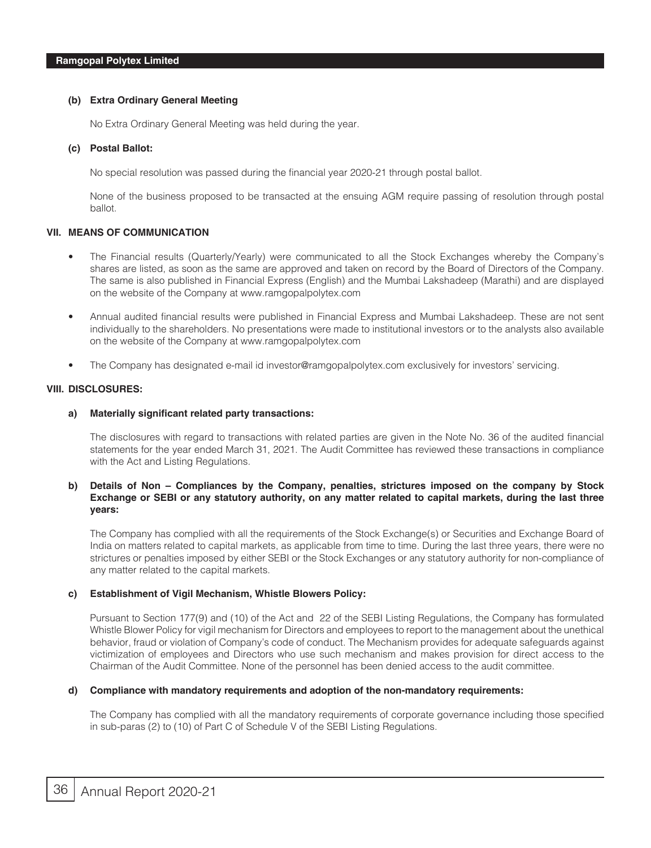### **(b) Extra Ordinary General Meeting**

No Extra Ordinary General Meeting was held during the year.

### **(c) Postal Ballot:**

No special resolution was passed during the financial year 2020-21 through postal ballot.

None of the business proposed to be transacted at the ensuing AGM require passing of resolution through postal ballot.

### **VII. MEANS OF COMMUNICATION**

- The Financial results (Quarterly/Yearly) were communicated to all the Stock Exchanges whereby the Company's shares are listed, as soon as the same are approved and taken on record by the Board of Directors of the Company. The same is also published in Financial Express (English) and the Mumbai Lakshadeep (Marathi) and are displayed on the website of the Company at www.ramgopalpolytex.com
- Annual audited financial results were published in Financial Express and Mumbai Lakshadeep. These are not sent individually to the shareholders. No presentations were made to institutional investors or to the analysts also available on the website of the Company at www.ramgopalpolytex.com
- The Company has designated e-mail id investor@ramgopalpolytex.com exclusively for investors' servicing.

### **VIII. DISCLOSURES:**

### **a) Materially significant related party transactions:**

The disclosures with regard to transactions with related parties are given in the Note No. 36 of the audited financial statements for the year ended March 31, 2021. The Audit Committee has reviewed these transactions in compliance with the Act and Listing Regulations.

### **b) Details of Non – Compliances by the Company, penalties, strictures imposed on the company by Stock Exchange or SEBI or any statutory authority, on any matter related to capital markets, during the last three years:**

The Company has complied with all the requirements of the Stock Exchange(s) or Securities and Exchange Board of India on matters related to capital markets, as applicable from time to time. During the last three years, there were no strictures or penalties imposed by either SEBI or the Stock Exchanges or any statutory authority for non-compliance of any matter related to the capital markets.

### **c) Establishment of Vigil Mechanism, Whistle Blowers Policy:**

Pursuant to Section 177(9) and (10) of the Act and 22 of the SEBI Listing Regulations, the Company has formulated Whistle Blower Policy for vigil mechanism for Directors and employees to report to the management about the unethical behavior, fraud or violation of Company's code of conduct. The Mechanism provides for adequate safeguards against victimization of employees and Directors who use such mechanism and makes provision for direct access to the Chairman of the Audit Committee. None of the personnel has been denied access to the audit committee.

### **d) Compliance with mandatory requirements and adoption of the non-mandatory requirements:**

The Company has complied with all the mandatory requirements of corporate governance including those specified in sub-paras (2) to (10) of Part C of Schedule V of the SEBI Listing Regulations.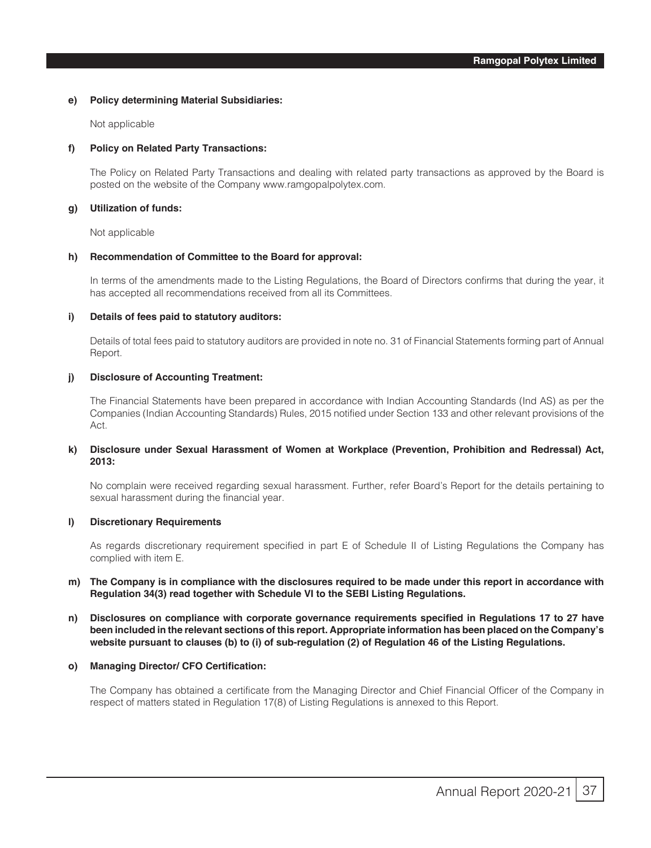### **e) Policy determining Material Subsidiaries:**

Not applicable

### **f) Policy on Related Party Transactions:**

The Policy on Related Party Transactions and dealing with related party transactions as approved by the Board is posted on the website of the Company www.ramgopalpolytex.com.

### **g) Utilization of funds:**

Not applicable

### **h) Recommendation of Committee to the Board for approval:**

In terms of the amendments made to the Listing Regulations, the Board of Directors confirms that during the year, it has accepted all recommendations received from all its Committees.

### **i) Details of fees paid to statutory auditors:**

Details of total fees paid to statutory auditors are provided in note no. 31 of Financial Statements forming part of Annual Report.

### **j) Disclosure of Accounting Treatment:**

The Financial Statements have been prepared in accordance with Indian Accounting Standards (Ind AS) as per the Companies (Indian Accounting Standards) Rules, 2015 notified under Section 133 and other relevant provisions of the Act.

### **k) Disclosure under Sexual Harassment of Women at Workplace (Prevention, Prohibition and Redressal) Act, 2013:**

No complain were received regarding sexual harassment. Further, refer Board's Report for the details pertaining to sexual harassment during the financial year.

### **l) Discretionary Requirements**

As regards discretionary requirement specified in part E of Schedule II of Listing Regulations the Company has complied with item E.

- **m) The Company is in compliance with the disclosures required to be made under this report in accordance with Regulation 34(3) read together with Schedule VI to the SEBI Listing Regulations.**
- **n) Disclosures on compliance with corporate governance requirements specified in Regulations 17 to 27 have been included in the relevant sections of this report. Appropriate information has been placed on the Company's website pursuant to clauses (b) to (i) of sub-regulation (2) of Regulation 46 of the Listing Regulations.**

### **o) Managing Director/ CFO Certification:**

The Company has obtained a certificate from the Managing Director and Chief Financial Officer of the Company in respect of matters stated in Regulation 17(8) of Listing Regulations is annexed to this Report.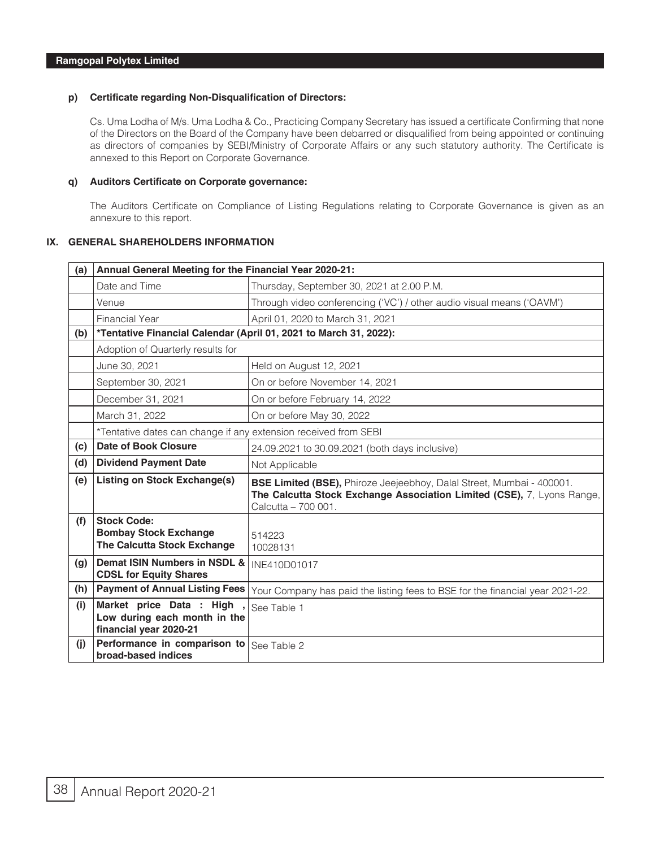### **p) Certificate regarding Non-Disqualification of Directors:**

Cs. Uma Lodha of M/s. Uma Lodha & Co., Practicing Company Secretary has issued a certificate Confirming that none of the Directors on the Board of the Company have been debarred or disqualified from being appointed or continuing as directors of companies by SEBI/Ministry of Corporate Affairs or any such statutory authority. The Certificate is annexed to this Report on Corporate Governance.

### **q) Auditors Certificate on Corporate governance:**

The Auditors Certificate on Compliance of Listing Regulations relating to Corporate Governance is given as an annexure to this report.

### **IX. GENERAL SHAREHOLDERS INFORMATION**

| (a) | Annual General Meeting for the Financial Year 2020-21:                                   |                                                                                                                                                                        |  |
|-----|------------------------------------------------------------------------------------------|------------------------------------------------------------------------------------------------------------------------------------------------------------------------|--|
|     | Date and Time                                                                            | Thursday, September 30, 2021 at 2.00 P.M.                                                                                                                              |  |
|     | Venue                                                                                    | Through video conferencing ('VC') / other audio visual means ('OAVM')                                                                                                  |  |
|     | <b>Financial Year</b>                                                                    | April 01, 2020 to March 31, 2021                                                                                                                                       |  |
| (b) | *Tentative Financial Calendar (April 01, 2021 to March 31, 2022):                        |                                                                                                                                                                        |  |
|     | Adoption of Quarterly results for                                                        |                                                                                                                                                                        |  |
|     | June 30, 2021                                                                            | Held on August 12, 2021                                                                                                                                                |  |
|     | September 30, 2021                                                                       | On or before November 14, 2021                                                                                                                                         |  |
|     | December 31, 2021                                                                        | On or before February 14, 2022                                                                                                                                         |  |
|     | March 31, 2022                                                                           | On or before May 30, 2022                                                                                                                                              |  |
|     | *Tentative dates can change if any extension received from SEBI                          |                                                                                                                                                                        |  |
| (c) | Date of Book Closure                                                                     | 24.09.2021 to 30.09.2021 (both days inclusive)                                                                                                                         |  |
| (d) | <b>Dividend Payment Date</b>                                                             | Not Applicable                                                                                                                                                         |  |
| (e) | <b>Listing on Stock Exchange(s)</b>                                                      | BSE Limited (BSE), Phiroze Jeejeebhoy, Dalal Street, Mumbai - 400001.<br>The Calcutta Stock Exchange Association Limited (CSE), 7, Lyons Range,<br>Calcutta - 700 001. |  |
| (f) | <b>Stock Code:</b><br><b>Bombay Stock Exchange</b><br><b>The Calcutta Stock Exchange</b> | 514223<br>10028131                                                                                                                                                     |  |
| (g) | Demat ISIN Numbers in NSDL &<br><b>CDSL for Equity Shares</b>                            | INE410D01017                                                                                                                                                           |  |
| (h) | <b>Payment of Annual Listing Fees</b>                                                    | Your Company has paid the listing fees to BSE for the financial year 2021-22.                                                                                          |  |
| (i) | Market price Data : High<br>Low during each month in the<br>financial year 2020-21       | See Table 1                                                                                                                                                            |  |
| (i) | Performance in comparison to<br>broad-based indices                                      | See Table 2                                                                                                                                                            |  |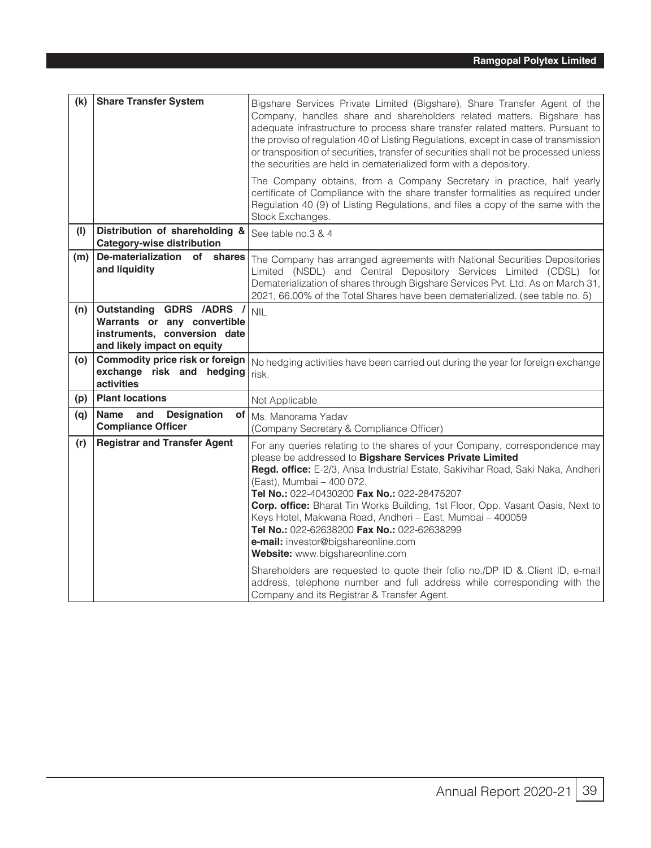| (k) | <b>Share Transfer System</b>                                                                                                     | Bigshare Services Private Limited (Bigshare), Share Transfer Agent of the<br>Company, handles share and shareholders related matters. Bigshare has<br>adequate infrastructure to process share transfer related matters. Pursuant to<br>the proviso of regulation 40 of Listing Regulations, except in case of transmission<br>or transposition of securities, transfer of securities shall not be processed unless<br>the securities are held in dematerialized form with a depository.                                                                                                                                                                                                                                                                                                 |
|-----|----------------------------------------------------------------------------------------------------------------------------------|------------------------------------------------------------------------------------------------------------------------------------------------------------------------------------------------------------------------------------------------------------------------------------------------------------------------------------------------------------------------------------------------------------------------------------------------------------------------------------------------------------------------------------------------------------------------------------------------------------------------------------------------------------------------------------------------------------------------------------------------------------------------------------------|
|     |                                                                                                                                  | The Company obtains, from a Company Secretary in practice, half yearly<br>certificate of Compliance with the share transfer formalities as required under<br>Regulation 40 (9) of Listing Regulations, and files a copy of the same with the<br>Stock Exchanges.                                                                                                                                                                                                                                                                                                                                                                                                                                                                                                                         |
| (I) | Distribution of shareholding &<br><b>Category-wise distribution</b>                                                              | See table no.3 & 4                                                                                                                                                                                                                                                                                                                                                                                                                                                                                                                                                                                                                                                                                                                                                                       |
| (m) | De-materialization of shares<br>and liquidity                                                                                    | The Company has arranged agreements with National Securities Depositories<br>Limited (NSDL) and Central Depository Services Limited (CDSL) for<br>Dematerialization of shares through Bigshare Services Pvt. Ltd. As on March 31,<br>2021, 66.00% of the Total Shares have been dematerialized. (see table no. 5)                                                                                                                                                                                                                                                                                                                                                                                                                                                                        |
| (n) | Outstanding GDRS /ADRS<br>$\prime$<br>Warrants or any convertible<br>instruments, conversion date<br>and likely impact on equity | <b>NIL</b>                                                                                                                                                                                                                                                                                                                                                                                                                                                                                                                                                                                                                                                                                                                                                                               |
| (o) | Commodity price risk or foreign<br>exchange risk and hedging<br>activities                                                       | No hedging activities have been carried out during the year for foreign exchange<br>risk.                                                                                                                                                                                                                                                                                                                                                                                                                                                                                                                                                                                                                                                                                                |
| (p) | <b>Plant locations</b>                                                                                                           | Not Applicable                                                                                                                                                                                                                                                                                                                                                                                                                                                                                                                                                                                                                                                                                                                                                                           |
| (q) | <b>Name</b><br>and<br><b>Designation</b><br>of<br><b>Compliance Officer</b>                                                      | Ms. Manorama Yadav<br>(Company Secretary & Compliance Officer)                                                                                                                                                                                                                                                                                                                                                                                                                                                                                                                                                                                                                                                                                                                           |
| (r) | <b>Registrar and Transfer Agent</b>                                                                                              | For any queries relating to the shares of your Company, correspondence may<br>please be addressed to Bigshare Services Private Limited<br>Regd. office: E-2/3, Ansa Industrial Estate, Sakivihar Road, Saki Naka, Andheri<br>(East), Mumbai - 400 072.<br>Tel No.: 022-40430200 Fax No.: 022-28475207<br>Corp. office: Bharat Tin Works Building, 1st Floor, Opp. Vasant Oasis, Next to<br>Keys Hotel, Makwana Road, Andheri - East, Mumbai - 400059<br>Tel No.: 022-62638200 Fax No.: 022-62638299<br>e-mail: investor@bigshareonline.com<br>Website: www.bigshareonline.com<br>Shareholders are requested to quote their folio no./DP ID & Client ID, e-mail<br>address, telephone number and full address while corresponding with the<br>Company and its Registrar & Transfer Agent. |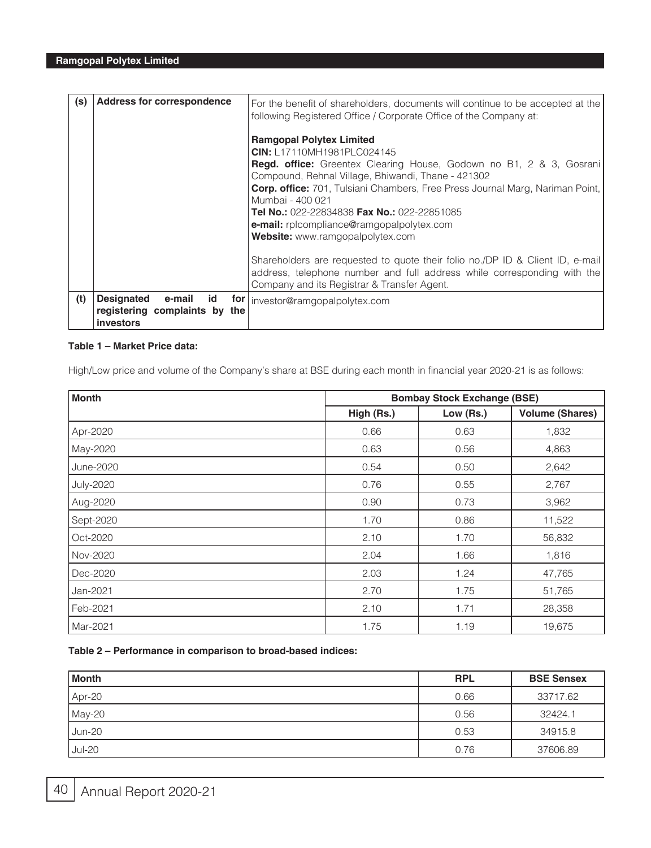| (s) | <b>Address for correspondence</b>                                               | For the benefit of shareholders, documents will continue to be accepted at the<br>following Registered Office / Corporate Office of the Company at:                                                                                                                                                                                                                                                                                           |
|-----|---------------------------------------------------------------------------------|-----------------------------------------------------------------------------------------------------------------------------------------------------------------------------------------------------------------------------------------------------------------------------------------------------------------------------------------------------------------------------------------------------------------------------------------------|
|     |                                                                                 | <b>Ramgopal Polytex Limited</b><br>CIN: L17110MH1981PLC024145<br><b>Regd. office:</b> Greentex Clearing House, Godown no B1, 2 & 3, Gosrani<br>Compound, Rehnal Village, Bhiwandi, Thane - 421302<br>Corp. office: 701, Tulsiani Chambers, Free Press Journal Marg, Nariman Point,<br>Mumbai - 400 021<br>Tel No.: 022-22834838 Fax No.: 022-22851085<br>e-mail: rplcompliance@ramgopalpolytex.com<br><b>Website:</b> www.ramgopalpolytex.com |
|     |                                                                                 | Shareholders are requested to quote their folio no./DP ID & Client ID, e-mail<br>address, telephone number and full address while corresponding with the<br>Company and its Registrar & Transfer Agent.                                                                                                                                                                                                                                       |
| (t) | <b>Designated</b><br>id<br>e-mail<br>registering complaints by the<br>investors | for   investor@ramgopalpolytex.com                                                                                                                                                                                                                                                                                                                                                                                                            |

### **Table 1 – Market Price data:**

High/Low price and volume of the Company's share at BSE during each month in financial year 2020-21 is as follows:

| <b>Month</b>     | <b>Bombay Stock Exchange (BSE)</b> |           |                        |  |
|------------------|------------------------------------|-----------|------------------------|--|
|                  | High (Rs.)                         | Low (Rs.) | <b>Volume (Shares)</b> |  |
| Apr-2020         | 0.66                               | 0.63      | 1,832                  |  |
| May-2020         | 0.63                               | 0.56      | 4,863                  |  |
| June-2020        | 0.54                               | 0.50      | 2,642                  |  |
| <b>July-2020</b> | 0.76                               | 0.55      | 2,767                  |  |
| Aug-2020         | 0.90                               | 0.73      | 3,962                  |  |
| Sept-2020        | 1.70                               | 0.86      | 11,522                 |  |
| Oct-2020         | 2.10                               | 1.70      | 56,832                 |  |
| Nov-2020         | 2.04                               | 1.66      | 1,816                  |  |
| Dec-2020         | 2.03                               | 1.24      | 47,765                 |  |
| Jan-2021         | 2.70                               | 1.75      | 51,765                 |  |
| Feb-2021         | 2.10                               | 1.71      | 28,358                 |  |
| Mar-2021         | 1.75                               | 1.19      | 19,675                 |  |

### **Table 2 – Performance in comparison to broad-based indices:**

| Month         | <b>RPL</b> | <b>BSE Sensex</b> |
|---------------|------------|-------------------|
| Apr-20        | 0.66       | 33717.62          |
| May-20        | 0.56       | 32424.1           |
| <b>Jun-20</b> | 0.53       | 34915.8           |
| <b>Jul-20</b> | 0.76       | 37606.89          |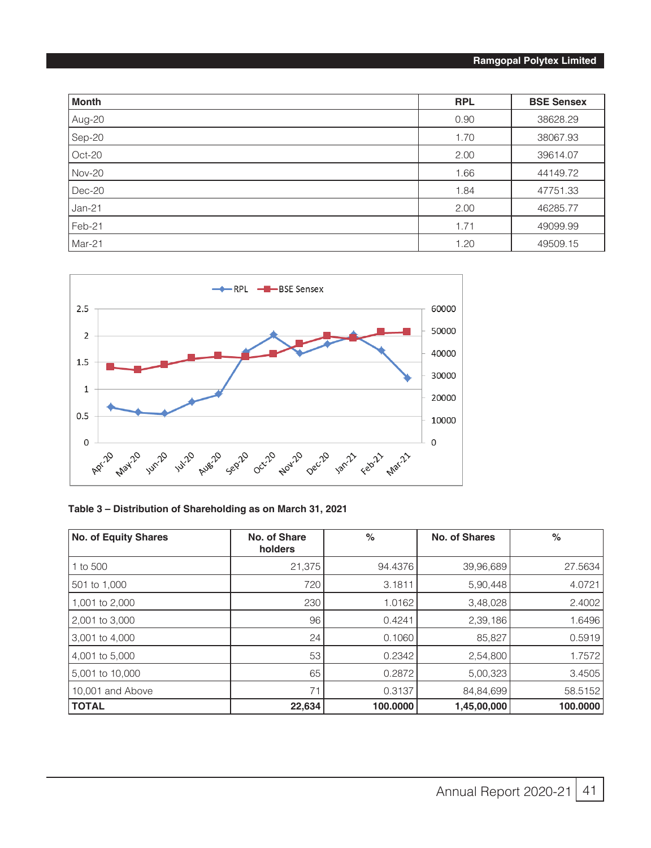| Month  | <b>RPL</b> | <b>BSE Sensex</b> |
|--------|------------|-------------------|
| Aug-20 | 0.90       | 38628.29          |
| Sep-20 | 1.70       | 38067.93          |
| Oct-20 | 2.00       | 39614.07          |
| Nov-20 | 1.66       | 44149.72          |
| Dec-20 | 1.84       | 47751.33          |
| Jan-21 | 2.00       | 46285.77          |
| Feb-21 | 1.71       | 49099.99          |
| Mar-21 | 1.20       | 49509.15          |



### **Table 3 – Distribution of Shareholding as on March 31, 2021**

| <b>No. of Equity Shares</b> | No. of Share<br>holders | $\%$     | No. of Shares | $\%$     |
|-----------------------------|-------------------------|----------|---------------|----------|
| 1 to 500                    | 21,375                  | 94.4376  | 39,96,689     | 27.5634  |
| 501 to 1,000                | 720                     | 3.1811   | 5,90,448      | 4.0721   |
| 1,001 to 2,000              | 230                     | 1.0162   | 3,48,028      | 2.4002   |
| 2,001 to 3,000              | 96                      | 0.4241   | 2,39,186      | 1.6496   |
| 3,001 to 4,000              | 24                      | 0.1060   | 85,827        | 0.5919   |
| 4,001 to 5,000              | 53                      | 0.2342   | 2,54,800      | 1.7572   |
| 5,001 to 10,000             | 65                      | 0.2872   | 5,00,323      | 3.4505   |
| 10,001 and Above            | 71                      | 0.3137   | 84,84,699     | 58.5152  |
| <b>TOTAL</b>                | 22,634                  | 100.0000 | 1,45,00,000   | 100.0000 |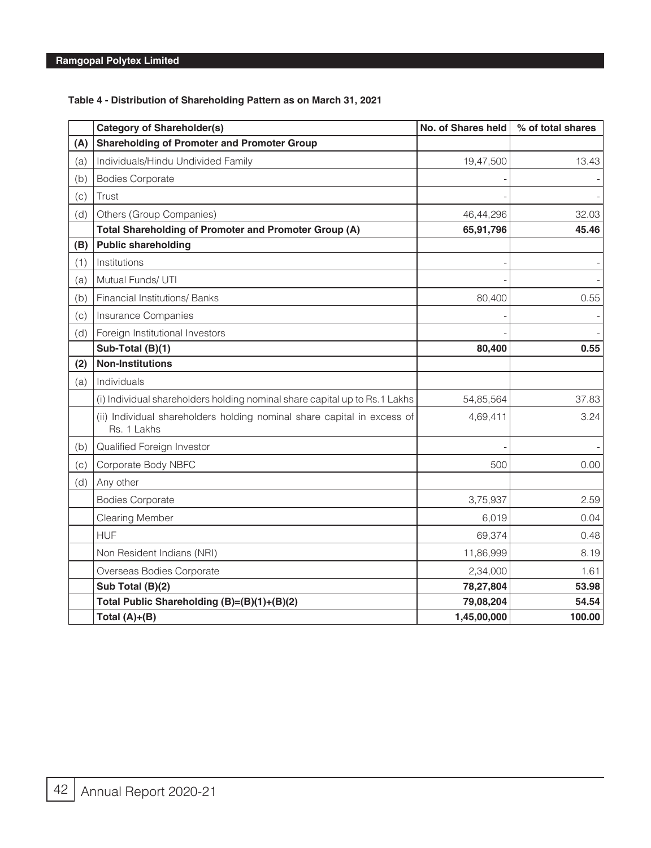### **Table 4 - Distribution of Shareholding Pattern as on March 31, 2021**

|     | <b>Category of Shareholder(s)</b>                                                      | No. of Shares held | % of total shares |
|-----|----------------------------------------------------------------------------------------|--------------------|-------------------|
| (A) | <b>Shareholding of Promoter and Promoter Group</b>                                     |                    |                   |
| (a) | Individuals/Hindu Undivided Family                                                     | 19,47,500          | 13.43             |
| (b) | <b>Bodies Corporate</b>                                                                |                    |                   |
| (c) | <b>Trust</b>                                                                           |                    |                   |
| (d) | Others (Group Companies)                                                               | 46,44,296          | 32.03             |
|     | Total Shareholding of Promoter and Promoter Group (A)                                  | 65,91,796          | 45.46             |
| (B) | <b>Public shareholding</b>                                                             |                    |                   |
| (1) | Institutions                                                                           |                    |                   |
| (a) | Mutual Funds/ UTI                                                                      |                    |                   |
| (b) | Financial Institutions/ Banks                                                          | 80,400             | 0.55              |
| (c) | Insurance Companies                                                                    |                    |                   |
| (d) | Foreign Institutional Investors                                                        |                    |                   |
|     | Sub-Total (B)(1)                                                                       | 80,400             | 0.55              |
| (2) | <b>Non-Institutions</b>                                                                |                    |                   |
| (a) | Individuals                                                                            |                    |                   |
|     | (i) Individual shareholders holding nominal share capital up to Rs.1 Lakhs             | 54,85,564          | 37.83             |
|     | (ii) Individual shareholders holding nominal share capital in excess of<br>Rs. 1 Lakhs | 4,69,411           | 3.24              |
| (b) | Qualified Foreign Investor                                                             |                    |                   |
| (c) | Corporate Body NBFC                                                                    | 500                | 0.00              |
| (d) | Any other                                                                              |                    |                   |
|     | <b>Bodies Corporate</b>                                                                | 3,75,937           | 2.59              |
|     | <b>Clearing Member</b>                                                                 | 6,019              | 0.04              |
|     | <b>HUF</b>                                                                             | 69,374             | 0.48              |
|     | Non Resident Indians (NRI)                                                             | 11,86,999          | 8.19              |
|     | Overseas Bodies Corporate                                                              | 2,34,000           | 1.61              |
|     | Sub Total (B)(2)                                                                       | 78,27,804          | 53.98             |
|     | Total Public Shareholding (B)=(B)(1)+(B)(2)                                            | 79,08,204          | 54.54             |
|     | Total $(A)+(B)$                                                                        | 1,45,00,000        | 100.00            |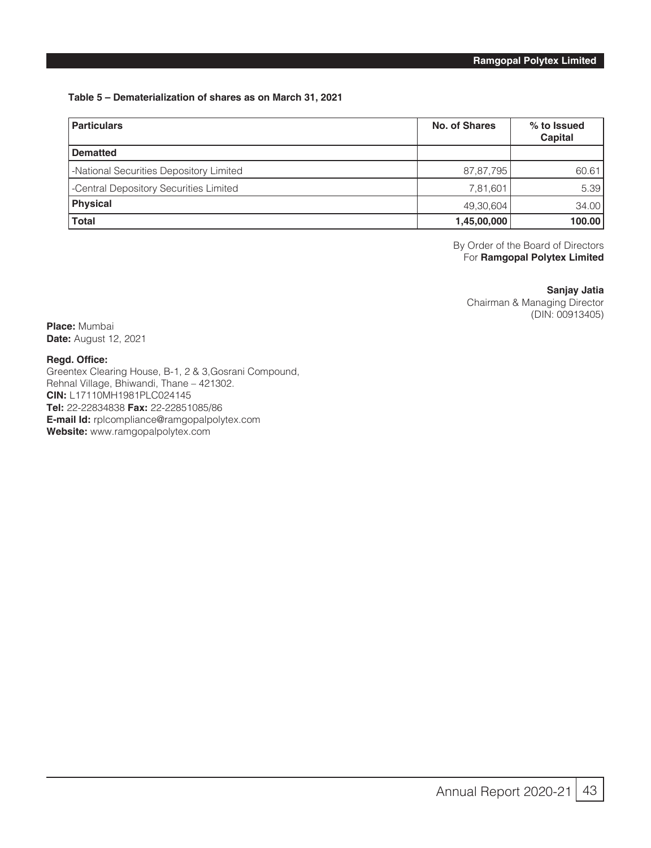### **Table 5 – Dematerialization of shares as on March 31, 2021**

| <b>Particulars</b>                      | No. of Shares | % to Issued<br>Capital |  |
|-----------------------------------------|---------------|------------------------|--|
| Dematted                                |               |                        |  |
| -National Securities Depository Limited | 87,87,795     | 60.61                  |  |
| -Central Depository Securities Limited  | 7,81,601      | 5.39                   |  |
| Physical                                | 49,30,604     | 34.00                  |  |
| <b>Total</b>                            | 1,45,00,000   | 100.00                 |  |

By Order of the Board of Directors For **Ramgopal Polytex Limited**

**Sanjay Jatia**

Chairman & Managing Director (DIN: 00913405)

**Place:** Mumbai **Date:** August 12, 2021

### **Regd. Office:**

Greentex Clearing House, B-1, 2 & 3,Gosrani Compound, Rehnal Village, Bhiwandi, Thane – 421302. **CIN:** L17110MH1981PLC024145 **Tel:** 22-22834838 **Fax:** 22-22851085/86 **E-mail Id:** rplcompliance@ramgopalpolytex.com **Website:** www.ramgopalpolytex.com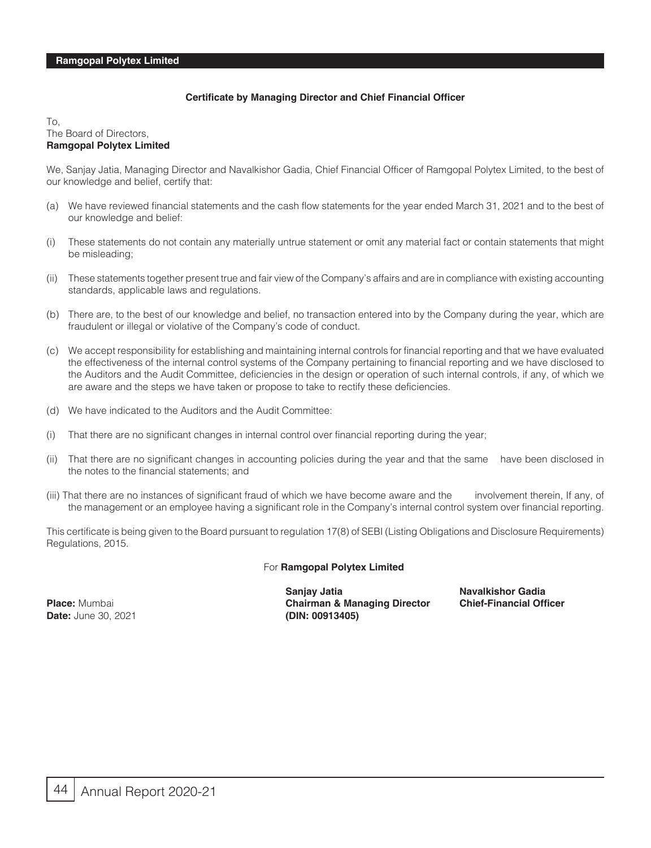### **Certificate by Managing Director and Chief Financial Officer**

### To, The Board of Directors, **Ramgopal Polytex Limited**

We, Sanjay Jatia, Managing Director and Navalkishor Gadia, Chief Financial Officer of Ramgopal Polytex Limited, to the best of our knowledge and belief, certify that:

- (a) We have reviewed financial statements and the cash flow statements for the year ended March 31, 2021 and to the best of our knowledge and belief:
- (i) These statements do not contain any materially untrue statement or omit any material fact or contain statements that might be misleading;
- (ii) These statements together present true and fair view of the Company's affairs and are in compliance with existing accounting standards, applicable laws and regulations.
- (b) There are, to the best of our knowledge and belief, no transaction entered into by the Company during the year, which are fraudulent or illegal or violative of the Company's code of conduct.
- (c) We accept responsibility for establishing and maintaining internal controls for financial reporting and that we have evaluated the effectiveness of the internal control systems of the Company pertaining to financial reporting and we have disclosed to the Auditors and the Audit Committee, deficiencies in the design or operation of such internal controls, if any, of which we are aware and the steps we have taken or propose to take to rectify these deficiencies.
- (d) We have indicated to the Auditors and the Audit Committee:
- (i) That there are no significant changes in internal control over financial reporting during the year;
- (ii) That there are no significant changes in accounting policies during the year and that the same have been disclosed in the notes to the financial statements; and
- (iii) That there are no instances of significant fraud of which we have become aware and the involvement therein, If any, of the management or an employee having a significant role in the Company's internal control system over financial reporting.

This certificate is being given to the Board pursuant to regulation 17(8) of SEBI (Listing Obligations and Disclosure Requirements) Regulations, 2015.

### For **Ramgopal Polytex Limited**

**Date:** June 30, 2021 **(DIN: 00913405)** 

Sanjay Jatia **Navalkishor Gadia**<br>Chairman & Managing Director Chief-Financial Officer **Place:** Mumbai **Chairman & Managing Director Chairman & Managing Director**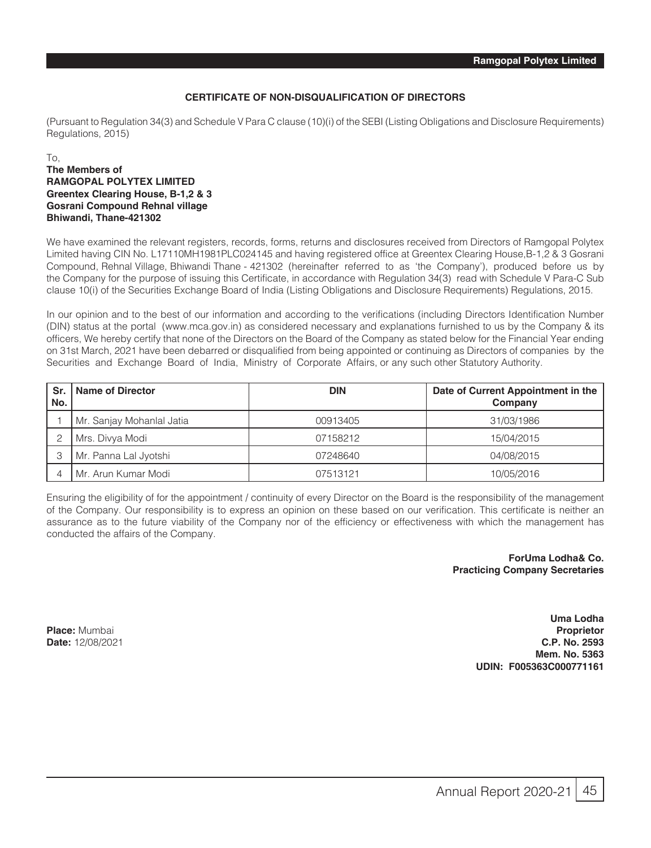### **CERTIFICATE OF NON-DISQUALIFICATION OF DIRECTORS**

(Pursuant to Regulation 34(3) and Schedule V Para C clause (10)(i) of the SEBI (Listing Obligations and Disclosure Requirements) Regulations, 2015)

### To, **The Members of RAMGOPAL POLYTEX LIMITED Greentex Clearing House, B-1,2 & 3 Gosrani Compound Rehnal village Bhiwandi, Thane-421302**

We have examined the relevant registers, records, forms, returns and disclosures received from Directors of Ramgopal Polytex Limited having CIN No. L17110MH1981PLC024145 and having registered office at Greentex Clearing House,B-1,2 & 3 Gosrani Compound, Rehnal Village, Bhiwandi Thane - 421302 (hereinafter referred to as 'the Company'), produced before us by the Company for the purpose of issuing this Certificate, in accordance with Regulation 34(3) read with Schedule V Para-C Sub clause 10(i) of the Securities Exchange Board of India (Listing Obligations and Disclosure Requirements) Regulations, 2015.

In our opinion and to the best of our information and according to the verifications (including Directors Identification Number (DIN) status at the portal (www.mca.gov.in) as considered necessary and explanations furnished to us by the Company & its officers, We hereby certify that none of the Directors on the Board of the Company as stated below for the Financial Year ending on 31st March, 2021 have been debarred or disqualified from being appointed or continuing as Directors of companies by the Securities and Exchange Board of India, Ministry of Corporate Affairs, or any such other Statutory Authority.

| Sr.<br>No. | Name of Director          | <b>DIN</b> | Date of Current Appointment in the<br>Company |
|------------|---------------------------|------------|-----------------------------------------------|
|            | Mr. Sanjay Mohanlal Jatia | 00913405   | 31/03/1986                                    |
|            | Mrs. Divya Modi           | 07158212   | 15/04/2015                                    |
|            | Mr. Panna Lal Jyotshi     | 07248640   | 04/08/2015                                    |
|            | Mr. Arun Kumar Modi       | 07513121   | 10/05/2016                                    |

Ensuring the eligibility of for the appointment / continuity of every Director on the Board is the responsibility of the management of the Company. Our responsibility is to express an opinion on these based on our verification. This certificate is neither an assurance as to the future viability of the Company nor of the efficiency or effectiveness with which the management has conducted the affairs of the Company.

### **ForUma Lodha& Co. Practicing Company Secretaries**

 **Uma Lodha Place:** Mumbai **Proprietor Date:** 12/08/2021 **C.P. No. 2593 Mem. No. 5363 UDIN: F005363C000771161**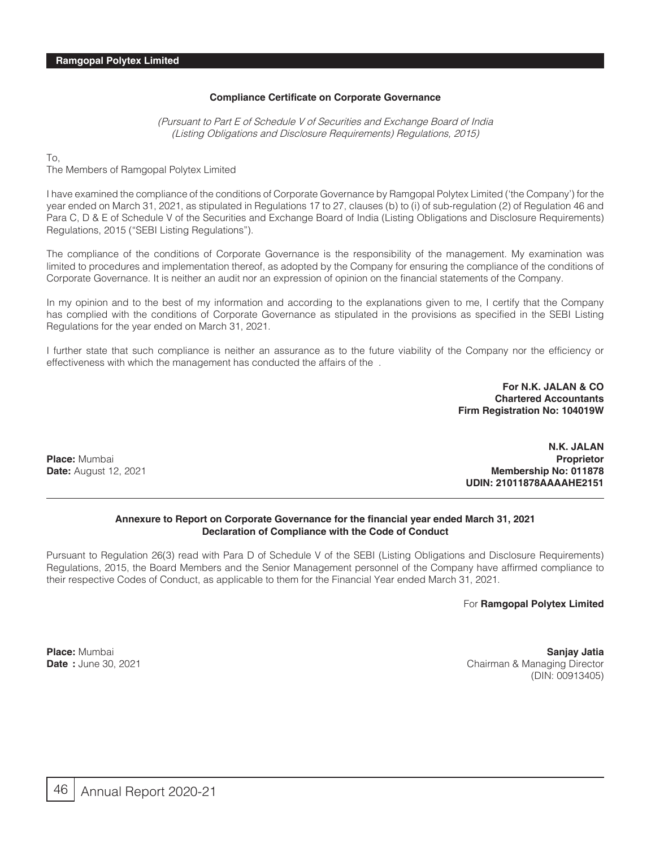### **Compliance Certificate on Corporate Governance**

(Pursuant to Part E of Schedule V of Securities and Exchange Board of India (Listing Obligations and Disclosure Requirements) Regulations, 2015)

To,

The Members of Ramgopal Polytex Limited

I have examined the compliance of the conditions of Corporate Governance by Ramgopal Polytex Limited ('the Company') for the year ended on March 31, 2021, as stipulated in Regulations 17 to 27, clauses (b) to (i) of sub-regulation (2) of Regulation 46 and Para C, D & E of Schedule V of the Securities and Exchange Board of India (Listing Obligations and Disclosure Requirements) Regulations, 2015 ("SEBI Listing Regulations").

The compliance of the conditions of Corporate Governance is the responsibility of the management. My examination was limited to procedures and implementation thereof, as adopted by the Company for ensuring the compliance of the conditions of Corporate Governance. It is neither an audit nor an expression of opinion on the financial statements of the Company.

In my opinion and to the best of my information and according to the explanations given to me, I certify that the Company has complied with the conditions of Corporate Governance as stipulated in the provisions as specified in the SEBI Listing Regulations for the year ended on March 31, 2021.

I further state that such compliance is neither an assurance as to the future viability of the Company nor the efficiency or effectiveness with which the management has conducted the affairs of the .

> **For N.K. JALAN & CO Chartered Accountants Firm Registration No: 104019W**

**N.K. JALAN Place:** Mumbai **Proprietor Date:** August 12, 2021 **Membership No: 011878 UDIN: 21011878AAAAHE2151**

### **Annexure to Report on Corporate Governance for the financial year ended March 31, 2021 Declaration of Compliance with the Code of Conduct**

Pursuant to Regulation 26(3) read with Para D of Schedule V of the SEBI (Listing Obligations and Disclosure Requirements) Regulations, 2015, the Board Members and the Senior Management personnel of the Company have affirmed compliance to their respective Codes of Conduct, as applicable to them for the Financial Year ended March 31, 2021.

### For **Ramgopal Polytex Limited**

**Place:** Mumbai **Sanjay Jatia Date :** June 30, 2021 **Chairman & Managing Director** Chairman & Managing Director (DIN: 00913405)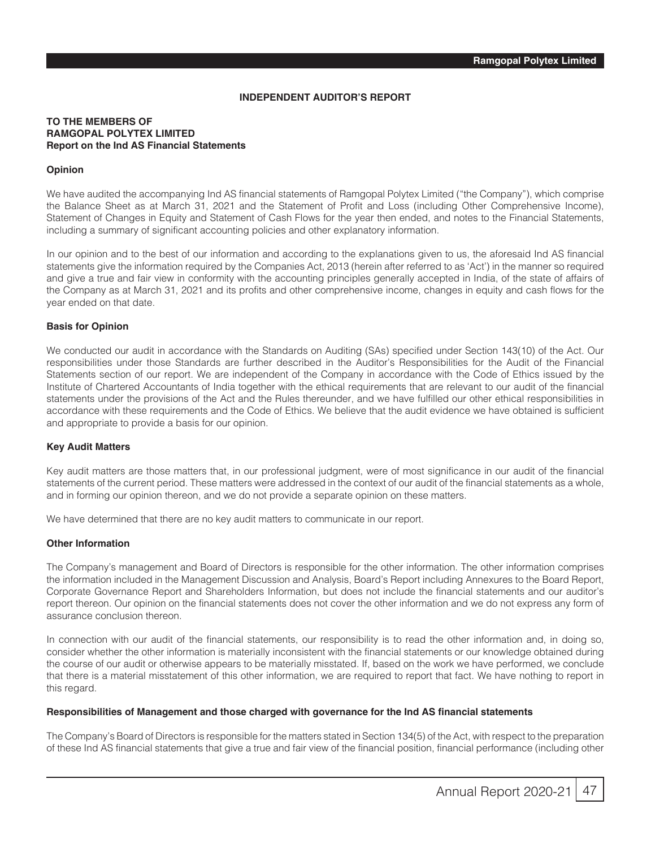### **INDEPENDENT AUDITOR'S REPORT**

### **TO THE MEMBERS OF RAMGOPAL POLYTEX LIMITED Report on the Ind AS Financial Statements**

### **Opinion**

We have audited the accompanying Ind AS financial statements of Ramgopal Polytex Limited ("the Company"), which comprise the Balance Sheet as at March 31, 2021 and the Statement of Profit and Loss (including Other Comprehensive Income), Statement of Changes in Equity and Statement of Cash Flows for the year then ended, and notes to the Financial Statements, including a summary of significant accounting policies and other explanatory information.

In our opinion and to the best of our information and according to the explanations given to us, the aforesaid Ind AS financial statements give the information required by the Companies Act, 2013 (herein after referred to as 'Act') in the manner so required and give a true and fair view in conformity with the accounting principles generally accepted in India, of the state of affairs of the Company as at March 31, 2021 and its profits and other comprehensive income, changes in equity and cash flows for the year ended on that date.

### **Basis for Opinion**

We conducted our audit in accordance with the Standards on Auditing (SAs) specified under Section 143(10) of the Act. Our responsibilities under those Standards are further described in the Auditor's Responsibilities for the Audit of the Financial Statements section of our report. We are independent of the Company in accordance with the Code of Ethics issued by the Institute of Chartered Accountants of India together with the ethical requirements that are relevant to our audit of the financial statements under the provisions of the Act and the Rules thereunder, and we have fulfilled our other ethical responsibilities in accordance with these requirements and the Code of Ethics. We believe that the audit evidence we have obtained is sufficient and appropriate to provide a basis for our opinion.

### **Key Audit Matters**

Key audit matters are those matters that, in our professional judgment, were of most significance in our audit of the financial statements of the current period. These matters were addressed in the context of our audit of the financial statements as a whole, and in forming our opinion thereon, and we do not provide a separate opinion on these matters.

We have determined that there are no key audit matters to communicate in our report.

### **Other Information**

The Company's management and Board of Directors is responsible for the other information. The other information comprises the information included in the Management Discussion and Analysis, Board's Report including Annexures to the Board Report, Corporate Governance Report and Shareholders Information, but does not include the financial statements and our auditor's report thereon. Our opinion on the financial statements does not cover the other information and we do not express any form of assurance conclusion thereon.

In connection with our audit of the financial statements, our responsibility is to read the other information and, in doing so, consider whether the other information is materially inconsistent with the financial statements or our knowledge obtained during the course of our audit or otherwise appears to be materially misstated. If, based on the work we have performed, we conclude that there is a material misstatement of this other information, we are required to report that fact. We have nothing to report in this regard.

### **Responsibilities of Management and those charged with governance for the Ind AS financial statements**

The Company's Board of Directors is responsible for the matters stated in Section 134(5) of the Act, with respect to the preparation of these Ind AS financial statements that give a true and fair view of the financial position, financial performance (including other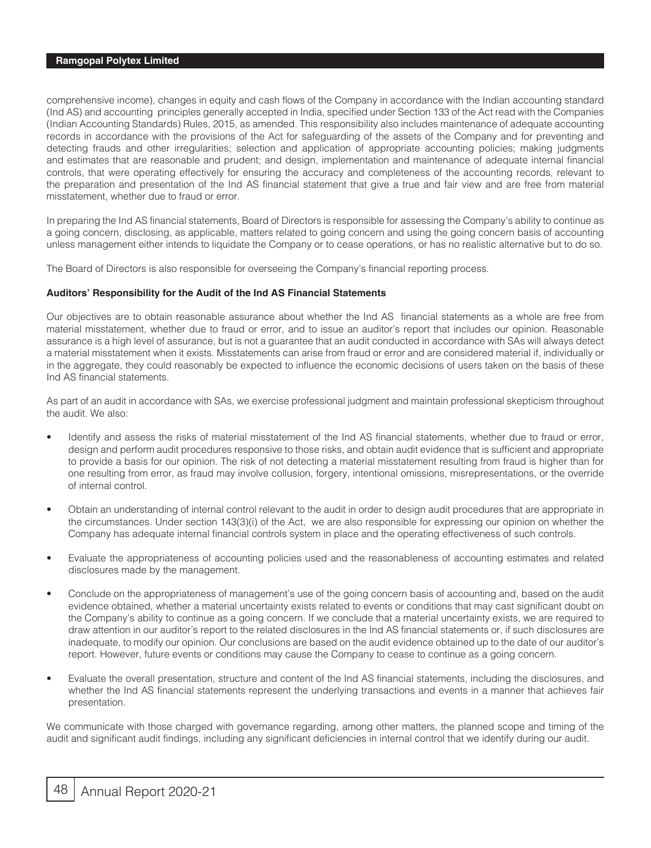### **Ramgopal Polytex Limited**

comprehensive income), changes in equity and cash flows of the Company in accordance with the Indian accounting standard (Ind AS) and accounting principles generally accepted in India, specified under Section 133 of the Act read with the Companies (Indian Accounting Standards) Rules, 2015, as amended. This responsibility also includes maintenance of adequate accounting records in accordance with the provisions of the Act for safeguarding of the assets of the Company and for preventing and detecting frauds and other irregularities; selection and application of appropriate accounting policies; making judgments and estimates that are reasonable and prudent; and design, implementation and maintenance of adequate internal financial controls, that were operating effectively for ensuring the accuracy and completeness of the accounting records, relevant to the preparation and presentation of the Ind AS financial statement that give a true and fair view and are free from material misstatement, whether due to fraud or error.

In preparing the Ind AS financial statements, Board of Directors is responsible for assessing the Company's ability to continue as a going concern, disclosing, as applicable, matters related to going concern and using the going concern basis of accounting unless management either intends to liquidate the Company or to cease operations, or has no realistic alternative but to do so.

The Board of Directors is also responsible for overseeing the Company's financial reporting process.

### **Auditors' Responsibility for the Audit of the Ind AS Financial Statements**

Our objectives are to obtain reasonable assurance about whether the Ind AS financial statements as a whole are free from material misstatement, whether due to fraud or error, and to issue an auditor's report that includes our opinion. Reasonable assurance is a high level of assurance, but is not a guarantee that an audit conducted in accordance with SAs will always detect a material misstatement when it exists. Misstatements can arise from fraud or error and are considered material if, individually or in the aggregate, they could reasonably be expected to influence the economic decisions of users taken on the basis of these Ind AS financial statements.

As part of an audit in accordance with SAs, we exercise professional judgment and maintain professional skepticism throughout the audit. We also:

- Identify and assess the risks of material misstatement of the Ind AS financial statements, whether due to fraud or error, design and perform audit procedures responsive to those risks, and obtain audit evidence that is sufficient and appropriate to provide a basis for our opinion. The risk of not detecting a material misstatement resulting from fraud is higher than for one resulting from error, as fraud may involve collusion, forgery, intentional omissions, misrepresentations, or the override of internal control.
- • Obtain an understanding of internal control relevant to the audit in order to design audit procedures that are appropriate in the circumstances. Under section 143(3)(i) of the Act, we are also responsible for expressing our opinion on whether the Company has adequate internal financial controls system in place and the operating effectiveness of such controls.
- Evaluate the appropriateness of accounting policies used and the reasonableness of accounting estimates and related disclosures made by the management.
- Conclude on the appropriateness of management's use of the going concern basis of accounting and, based on the audit evidence obtained, whether a material uncertainty exists related to events or conditions that may cast significant doubt on the Company's ability to continue as a going concern. If we conclude that a material uncertainty exists, we are required to draw attention in our auditor's report to the related disclosures in the Ind AS financial statements or, if such disclosures are inadequate, to modify our opinion. Our conclusions are based on the audit evidence obtained up to the date of our auditor's report. However, future events or conditions may cause the Company to cease to continue as a going concern.
- Evaluate the overall presentation, structure and content of the Ind AS financial statements, including the disclosures, and whether the Ind AS financial statements represent the underlying transactions and events in a manner that achieves fair presentation.

We communicate with those charged with governance regarding, among other matters, the planned scope and timing of the audit and significant audit findings, including any significant deficiencies in internal control that we identify during our audit.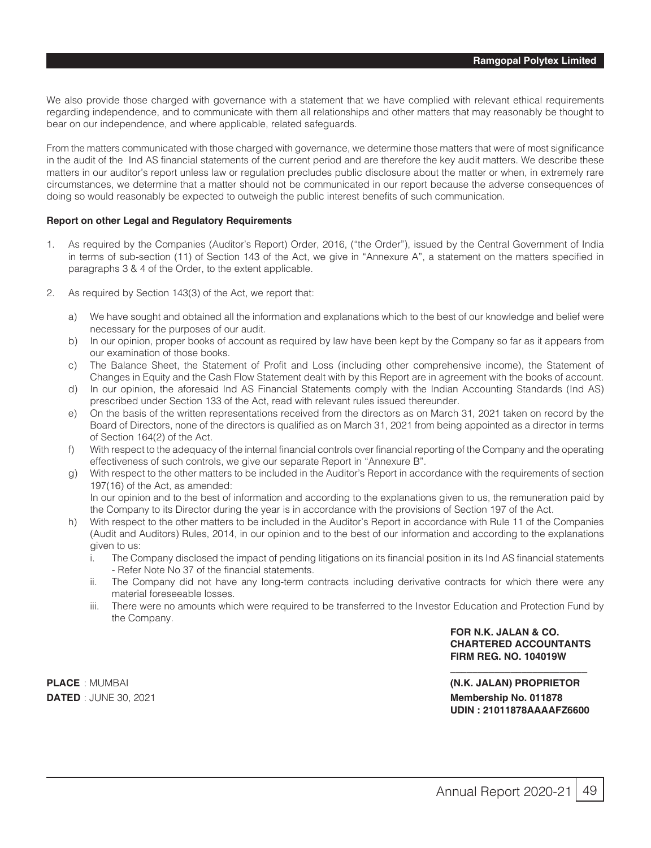We also provide those charged with governance with a statement that we have complied with relevant ethical requirements regarding independence, and to communicate with them all relationships and other matters that may reasonably be thought to bear on our independence, and where applicable, related safeguards.

From the matters communicated with those charged with governance, we determine those matters that were of most significance in the audit of the Ind AS financial statements of the current period and are therefore the key audit matters. We describe these matters in our auditor's report unless law or regulation precludes public disclosure about the matter or when, in extremely rare circumstances, we determine that a matter should not be communicated in our report because the adverse consequences of doing so would reasonably be expected to outweigh the public interest benefits of such communication.

### **Report on other Legal and Regulatory Requirements**

- 1. As required by the Companies (Auditor's Report) Order, 2016, ("the Order"), issued by the Central Government of India in terms of sub-section (11) of Section 143 of the Act, we give in "Annexure A", a statement on the matters specified in paragraphs 3 & 4 of the Order, to the extent applicable.
- 2. As required by Section 143(3) of the Act, we report that:
	- a) We have sought and obtained all the information and explanations which to the best of our knowledge and belief were necessary for the purposes of our audit.
	- b) In our opinion, proper books of account as required by law have been kept by the Company so far as it appears from our examination of those books.
	- c) The Balance Sheet, the Statement of Profit and Loss (including other comprehensive income), the Statement of Changes in Equity and the Cash Flow Statement dealt with by this Report are in agreement with the books of account.
	- d) In our opinion, the aforesaid Ind AS Financial Statements comply with the Indian Accounting Standards (Ind AS) prescribed under Section 133 of the Act, read with relevant rules issued thereunder.
	- e) On the basis of the written representations received from the directors as on March 31, 2021 taken on record by the Board of Directors, none of the directors is qualified as on March 31, 2021 from being appointed as a director in terms of Section 164(2) of the Act.
	- f) With respect to the adequacy of the internal financial controls over financial reporting of the Company and the operating effectiveness of such controls, we give our separate Report in "Annexure B".
	- g) With respect to the other matters to be included in the Auditor's Report in accordance with the requirements of section 197(16) of the Act, as amended: In our opinion and to the best of information and according to the explanations given to us, the remuneration paid by

the Company to its Director during the year is in accordance with the provisions of Section 197 of the Act.

- h) With respect to the other matters to be included in the Auditor's Report in accordance with Rule 11 of the Companies (Audit and Auditors) Rules, 2014, in our opinion and to the best of our information and according to the explanations given to us:
	- i. The Company disclosed the impact of pending litigations on its financial position in its Ind AS financial statements - Refer Note No 37 of the financial statements.
	- ii. The Company did not have any long-term contracts including derivative contracts for which there were any material foreseeable losses.
	- iii. There were no amounts which were required to be transferred to the Investor Education and Protection Fund by the Company.

### **FOR N.K. JALAN & CO. CHARTERED ACCOUNTANTS FIRM REG. NO. 104019W**

**PLACE** : MUMBAI **(N.K. JALAN) PROPRIETOR DATED** : JUNE 30, 2021 **Membership No. 011878 UDIN : 21011878AAAAFZ6600**

**\_\_\_\_\_\_\_\_\_\_\_\_\_\_\_\_\_\_\_\_\_\_\_\_\_**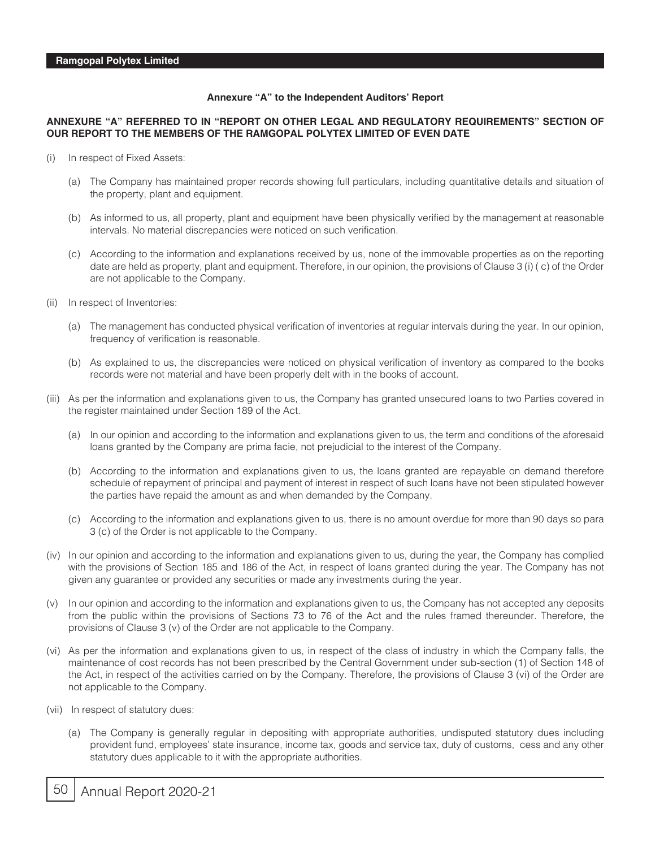### **Annexure "A" to the Independent Auditors' Report**

### **ANNEXURE "A" REFERRED TO IN "REPORT ON OTHER LEGAL AND REGULATORY REQUIREMENTS" SECTION OF OUR REPORT TO THE MEMBERS OF THE RAMGOPAL POLYTEX LIMITED OF EVEN DATE**

- (i) In respect of Fixed Assets:
	- (a) The Company has maintained proper records showing full particulars, including quantitative details and situation of the property, plant and equipment.
	- (b) As informed to us, all property, plant and equipment have been physically verified by the management at reasonable intervals. No material discrepancies were noticed on such verification.
	- (c) According to the information and explanations received by us, none of the immovable properties as on the reporting date are held as property, plant and equipment. Therefore, in our opinion, the provisions of Clause 3 (i) ( c) of the Order are not applicable to the Company.
- (ii) In respect of Inventories:
	- (a) The management has conducted physical verification of inventories at regular intervals during the year. In our opinion, frequency of verification is reasonable.
	- (b) As explained to us, the discrepancies were noticed on physical verification of inventory as compared to the books records were not material and have been properly delt with in the books of account.
- (iii) As per the information and explanations given to us, the Company has granted unsecured loans to two Parties covered in the register maintained under Section 189 of the Act.
	- (a) In our opinion and according to the information and explanations given to us, the term and conditions of the aforesaid loans granted by the Company are prima facie, not prejudicial to the interest of the Company.
	- (b) According to the information and explanations given to us, the loans granted are repayable on demand therefore schedule of repayment of principal and payment of interest in respect of such loans have not been stipulated however the parties have repaid the amount as and when demanded by the Company.
	- (c) According to the information and explanations given to us, there is no amount overdue for more than 90 days so para 3 (c) of the Order is not applicable to the Company.
- (iv) In our opinion and according to the information and explanations given to us, during the year, the Company has complied with the provisions of Section 185 and 186 of the Act, in respect of loans granted during the year. The Company has not given any guarantee or provided any securities or made any investments during the year.
- (v) In our opinion and according to the information and explanations given to us, the Company has not accepted any deposits from the public within the provisions of Sections 73 to 76 of the Act and the rules framed thereunder. Therefore, the provisions of Clause 3 (v) of the Order are not applicable to the Company.
- (vi) As per the information and explanations given to us, in respect of the class of industry in which the Company falls, the maintenance of cost records has not been prescribed by the Central Government under sub-section (1) of Section 148 of the Act, in respect of the activities carried on by the Company. Therefore, the provisions of Clause 3 (vi) of the Order are not applicable to the Company.
- (vii) In respect of statutory dues:
	- (a) The Company is generally regular in depositing with appropriate authorities, undisputed statutory dues including provident fund, employees' state insurance, income tax, goods and service tax, duty of customs, cess and any other statutory dues applicable to it with the appropriate authorities.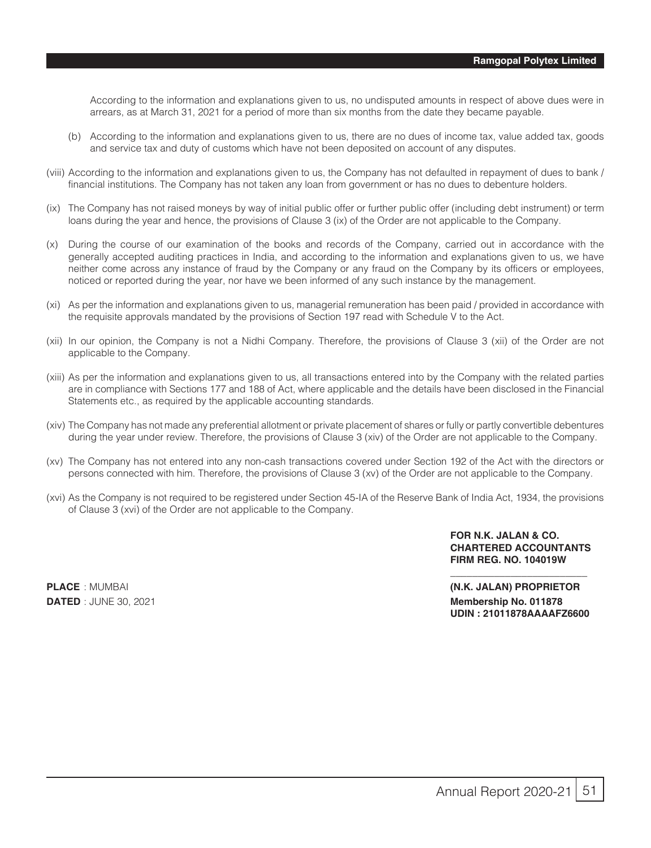According to the information and explanations given to us, no undisputed amounts in respect of above dues were in arrears, as at March 31, 2021 for a period of more than six months from the date they became payable.

- (b) According to the information and explanations given to us, there are no dues of income tax, value added tax, goods and service tax and duty of customs which have not been deposited on account of any disputes.
- (viii) According to the information and explanations given to us, the Company has not defaulted in repayment of dues to bank / financial institutions. The Company has not taken any loan from government or has no dues to debenture holders.
- (ix) The Company has not raised moneys by way of initial public offer or further public offer (including debt instrument) or term loans during the year and hence, the provisions of Clause 3 (ix) of the Order are not applicable to the Company.
- (x) During the course of our examination of the books and records of the Company, carried out in accordance with the generally accepted auditing practices in India, and according to the information and explanations given to us, we have neither come across any instance of fraud by the Company or any fraud on the Company by its officers or employees, noticed or reported during the year, nor have we been informed of any such instance by the management.
- (xi) As per the information and explanations given to us, managerial remuneration has been paid / provided in accordance with the requisite approvals mandated by the provisions of Section 197 read with Schedule V to the Act.
- (xii) In our opinion, the Company is not a Nidhi Company. Therefore, the provisions of Clause 3 (xii) of the Order are not applicable to the Company.
- (xiii) As per the information and explanations given to us, all transactions entered into by the Company with the related parties are in compliance with Sections 177 and 188 of Act, where applicable and the details have been disclosed in the Financial Statements etc., as required by the applicable accounting standards.
- (xiv) The Company has not made any preferential allotment or private placement of shares or fully or partly convertible debentures during the year under review. Therefore, the provisions of Clause 3 (xiv) of the Order are not applicable to the Company.
- (xv) The Company has not entered into any non-cash transactions covered under Section 192 of the Act with the directors or persons connected with him. Therefore, the provisions of Clause 3 (xv) of the Order are not applicable to the Company.
- (xvi) As the Company is not required to be registered under Section 45-IA of the Reserve Bank of India Act, 1934, the provisions of Clause 3 (xvi) of the Order are not applicable to the Company.

### **FOR N.K. JALAN & CO. CHARTERED ACCOUNTANTS FIRM REG. NO. 104019W**

**PLACE** : MUMBAI **(N.K. JALAN) PROPRIETOR DATED** : JUNE 30, 2021 **Membership No. 011878 UDIN : 21011878AAAAFZ6600**

**\_\_\_\_\_\_\_\_\_\_\_\_\_\_\_\_\_\_\_\_\_\_\_\_\_**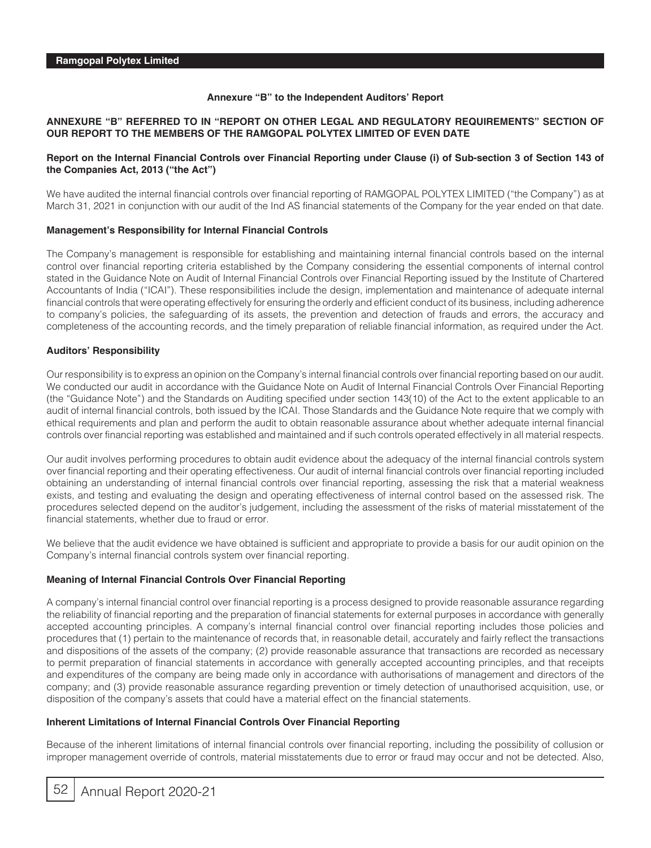### **Annexure "B" to the Independent Auditors' Report**

### **ANNEXURE "B" REFERRED TO IN "REPORT ON OTHER LEGAL AND REGULATORY REQUIREMENTS" SECTION OF OUR REPORT TO THE MEMBERS OF THE RAMGOPAL POLYTEX LIMITED OF EVEN DATE**

### **Report on the Internal Financial Controls over Financial Reporting under Clause (i) of Sub-section 3 of Section 143 of the Companies Act, 2013 ("the Act")**

We have audited the internal financial controls over financial reporting of RAMGOPAL POLYTEX LIMITED ("the Company") as at March 31, 2021 in conjunction with our audit of the Ind AS financial statements of the Company for the year ended on that date.

### **Management's Responsibility for Internal Financial Controls**

The Company's management is responsible for establishing and maintaining internal financial controls based on the internal control over financial reporting criteria established by the Company considering the essential components of internal control stated in the Guidance Note on Audit of Internal Financial Controls over Financial Reporting issued by the Institute of Chartered Accountants of India ("ICAI"). These responsibilities include the design, implementation and maintenance of adequate internal financial controls that were operating effectively for ensuring the orderly and efficient conduct of its business, including adherence to company's policies, the safeguarding of its assets, the prevention and detection of frauds and errors, the accuracy and completeness of the accounting records, and the timely preparation of reliable financial information, as required under the Act.

### **Auditors' Responsibility**

Our responsibility is to express an opinion on the Company's internal financial controls over financial reporting based on our audit. We conducted our audit in accordance with the Guidance Note on Audit of Internal Financial Controls Over Financial Reporting (the "Guidance Note") and the Standards on Auditing specified under section 143(10) of the Act to the extent applicable to an audit of internal financial controls, both issued by the ICAI. Those Standards and the Guidance Note require that we comply with ethical requirements and plan and perform the audit to obtain reasonable assurance about whether adequate internal financial controls over financial reporting was established and maintained and if such controls operated effectively in all material respects.

Our audit involves performing procedures to obtain audit evidence about the adequacy of the internal financial controls system over financial reporting and their operating effectiveness. Our audit of internal financial controls over financial reporting included obtaining an understanding of internal financial controls over financial reporting, assessing the risk that a material weakness exists, and testing and evaluating the design and operating effectiveness of internal control based on the assessed risk. The procedures selected depend on the auditor's judgement, including the assessment of the risks of material misstatement of the financial statements, whether due to fraud or error.

We believe that the audit evidence we have obtained is sufficient and appropriate to provide a basis for our audit opinion on the Company's internal financial controls system over financial reporting.

### **Meaning of Internal Financial Controls Over Financial Reporting**

A company's internal financial control over financial reporting is a process designed to provide reasonable assurance regarding the reliability of financial reporting and the preparation of financial statements for external purposes in accordance with generally accepted accounting principles. A company's internal financial control over financial reporting includes those policies and procedures that (1) pertain to the maintenance of records that, in reasonable detail, accurately and fairly reflect the transactions and dispositions of the assets of the company; (2) provide reasonable assurance that transactions are recorded as necessary to permit preparation of financial statements in accordance with generally accepted accounting principles, and that receipts and expenditures of the company are being made only in accordance with authorisations of management and directors of the company; and (3) provide reasonable assurance regarding prevention or timely detection of unauthorised acquisition, use, or disposition of the company's assets that could have a material effect on the financial statements.

### **Inherent Limitations of Internal Financial Controls Over Financial Reporting**

Because of the inherent limitations of internal financial controls over financial reporting, including the possibility of collusion or improper management override of controls, material misstatements due to error or fraud may occur and not be detected. Also,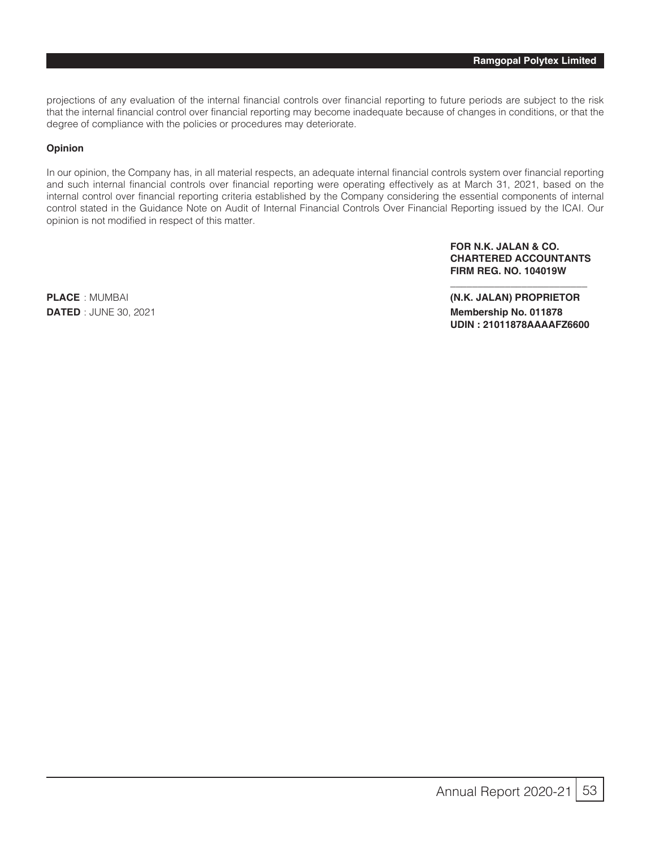projections of any evaluation of the internal financial controls over financial reporting to future periods are subject to the risk that the internal financial control over financial reporting may become inadequate because of changes in conditions, or that the degree of compliance with the policies or procedures may deteriorate.

### **Opinion**

In our opinion, the Company has, in all material respects, an adequate internal financial controls system over financial reporting and such internal financial controls over financial reporting were operating effectively as at March 31, 2021, based on the internal control over financial reporting criteria established by the Company considering the essential components of internal control stated in the Guidance Note on Audit of Internal Financial Controls Over Financial Reporting issued by the ICAI. Our opinion is not modified in respect of this matter.

### **FOR N.K. JALAN & CO. CHARTERED ACCOUNTANTS FIRM REG. NO. 104019W**

**PLACE** : MUMBAI **(N.K. JALAN) PROPRIETOR DATED** : JUNE 30, 2021 **Membership No. 011878 UDIN : 21011878AAAAFZ6600**

**\_\_\_\_\_\_\_\_\_\_\_\_\_\_\_\_\_\_\_\_\_\_\_\_\_**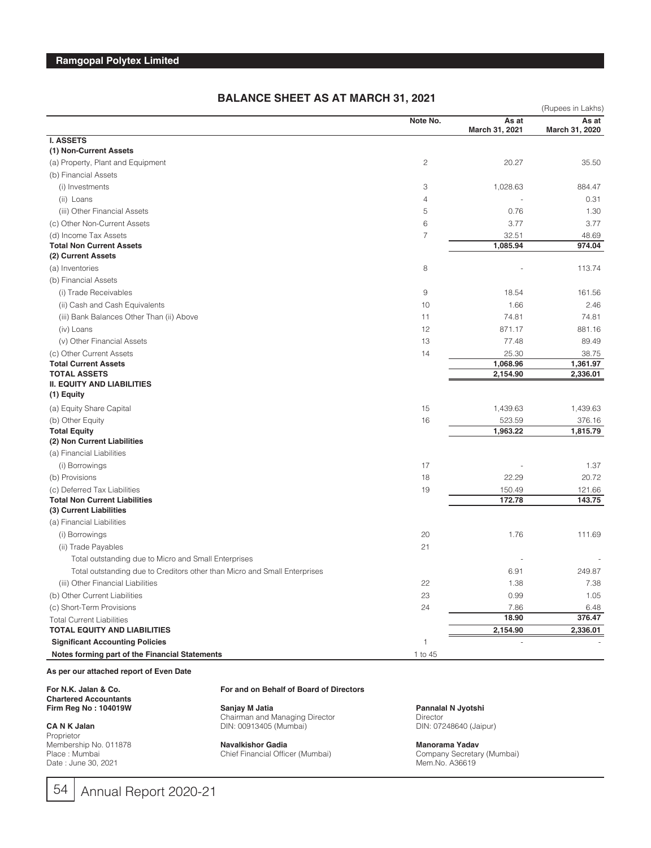### **BALANCE SHEET AS AT MARCH 31, 2021**

|                                                                           |                |                         | (Rupees in Lakhs)       |
|---------------------------------------------------------------------------|----------------|-------------------------|-------------------------|
|                                                                           | Note No.       | As at<br>March 31, 2021 | As at<br>March 31, 2020 |
| <b>I. ASSETS</b>                                                          |                |                         |                         |
| (1) Non-Current Assets                                                    |                |                         |                         |
| (a) Property, Plant and Equipment                                         | $\mathbf{2}$   | 20.27                   | 35.50                   |
| (b) Financial Assets                                                      |                |                         |                         |
| (i) Investments                                                           | 3              | 1,028.63                | 884.47                  |
| (ii) Loans                                                                | $\overline{4}$ |                         | 0.31                    |
| (iii) Other Financial Assets                                              | 5              | 0.76                    | 1.30                    |
| (c) Other Non-Current Assets                                              | 6              | 3.77                    | 3.77                    |
| (d) Income Tax Assets                                                     | $\overline{7}$ | 32.51                   | 48.69                   |
| <b>Total Non Current Assets</b>                                           |                | 1,085.94                | 974.04                  |
| (2) Current Assets                                                        |                |                         |                         |
| (a) Inventories                                                           | 8              |                         | 113.74                  |
| (b) Financial Assets                                                      |                |                         |                         |
| (i) Trade Receivables                                                     | 9              | 18.54                   | 161.56                  |
| (ii) Cash and Cash Equivalents                                            | 10             | 1.66                    | 2.46                    |
| (iii) Bank Balances Other Than (ii) Above                                 | 11             | 74.81                   | 74.81                   |
| (iv) Loans                                                                | 12             | 871.17                  | 881.16                  |
| (v) Other Financial Assets                                                | 13             | 77.48                   | 89.49                   |
| (c) Other Current Assets                                                  | 14             | 25.30                   | 38.75                   |
| <b>Total Current Assets</b>                                               |                | 1,068.96                | 1,361.97                |
| <b>TOTAL ASSETS</b>                                                       |                | 2,154.90                | 2,336.01                |
| <b>II. EQUITY AND LIABILITIES</b>                                         |                |                         |                         |
| (1) Equity                                                                |                |                         |                         |
| (a) Equity Share Capital                                                  | 15             | 1,439.63                | 1,439.63                |
| (b) Other Equity                                                          | 16             | 523.59                  | 376.16                  |
| <b>Total Equity</b>                                                       |                | 1,963.22                | 1.815.79                |
| (2) Non Current Liabilities                                               |                |                         |                         |
| (a) Financial Liabilities                                                 |                |                         |                         |
| (i) Borrowings                                                            | 17             |                         | 1.37                    |
| (b) Provisions                                                            | 18             | 22.29                   | 20.72                   |
| (c) Deferred Tax Liabilities                                              | 19             | 150.49                  | 121.66                  |
| <b>Total Non Current Liabilities</b>                                      |                | 172.78                  | 143.75                  |
| (3) Current Liabilities                                                   |                |                         |                         |
| (a) Financial Liabilities                                                 |                |                         |                         |
| (i) Borrowings                                                            | 20             | 1.76                    | 111.69                  |
| (ii) Trade Payables                                                       | 21             |                         |                         |
| Total outstanding due to Micro and Small Enterprises                      |                |                         |                         |
| Total outstanding due to Creditors other than Micro and Small Enterprises |                | 6.91                    | 249.87                  |
| (iii) Other Financial Liabilities                                         | 22             | 1.38                    | 7.38                    |
|                                                                           |                | 0.99                    | 1.05                    |
| (b) Other Current Liabilities                                             | 23             |                         |                         |
| (c) Short-Term Provisions                                                 | 24             | 7.86                    | 6.48                    |
| <b>Total Current Liabilities</b>                                          |                | 18.90                   | 376.47                  |
| <b>TOTAL EQUITY AND LIABILITIES</b>                                       |                | 2,154.90                | 2,336.01                |
| <b>Significant Accounting Policies</b>                                    | $\mathbf{1}$   |                         |                         |

For N.K. Jalan & Co. **Chartered Accountants** 

Proprietor Date : June 30, 2021 **For and on Behalf of Board of Directors** 

**Firm Reg No : 104019W Sanjay M Jatia Pannalal N Jyotshi Pannalal N Jyotshi <b>Sanjay M Jatia** Pannalal N Jyotshi **Pannalal N** Jyotshi **Chairman** and Managing Director **Pannalal N** Jirector

Chief Financial Officer (Mumbai)

Chairman and Managing Director **CAN K Jalan**<br>CAN K Jalan **CAN K Jalan** DIN: 00913405 (Mumbai) DIN: 07248640 (Jaipur) **DIN: 00913405 (Mumbai)** 

Membership No. 011878 **Navalkishor Gadia Membership No. 011878 Navalkishor Gadia** (Mumbai) **Manorama Yadav Manorama Yadav** Place : Mumbai Place : Mumbai Place : Mumbai Place : Mumbai Place : Mumbai Place : June 30, 2021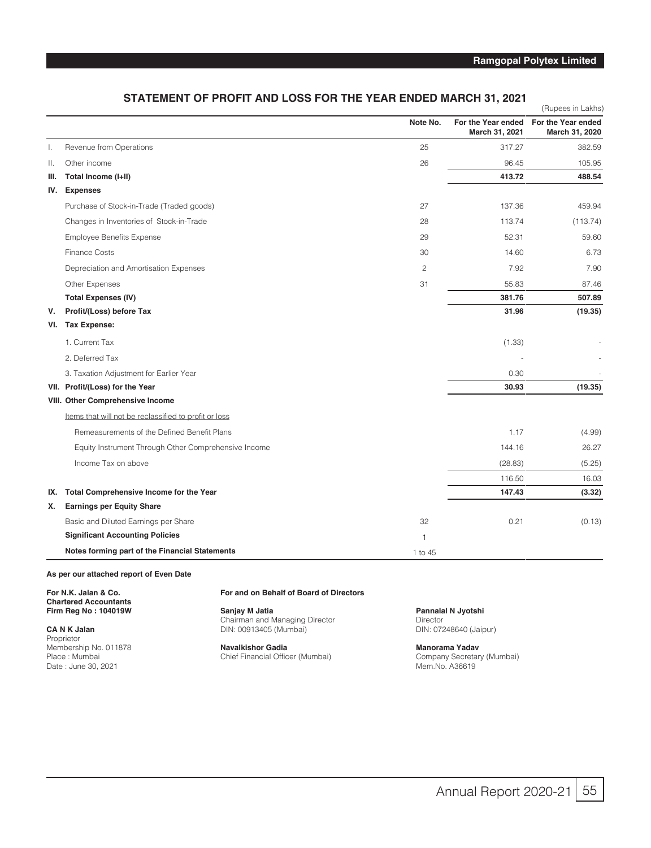|      |                                                       |                |                                      | (Rupees in Lakhs)                    |
|------|-------------------------------------------------------|----------------|--------------------------------------|--------------------------------------|
|      |                                                       | Note No.       | For the Year ended<br>March 31, 2021 | For the Year ended<br>March 31, 2020 |
|      | Revenue from Operations                               | 25             | 317.27                               | 382.59                               |
| Ш.   | Other income                                          | 26             | 96.45                                | 105.95                               |
| III. | Total Income (I+II)                                   |                | 413.72                               | 488.54                               |
| IV.  | <b>Expenses</b>                                       |                |                                      |                                      |
|      | Purchase of Stock-in-Trade (Traded goods)             | 27             | 137.36                               | 459.94                               |
|      | Changes in Inventories of Stock-in-Trade              | 28             | 113.74                               | (113.74)                             |
|      | <b>Employee Benefits Expense</b>                      | 29             | 52.31                                | 59.60                                |
|      | <b>Finance Costs</b>                                  | 30             | 14.60                                | 6.73                                 |
|      | Depreciation and Amortisation Expenses                | $\overline{c}$ | 7.92                                 | 7.90                                 |
|      | Other Expenses                                        | 31             | 55.83                                | 87.46                                |
|      | <b>Total Expenses (IV)</b>                            |                | 381.76                               | 507.89                               |
| v.   | Profit/(Loss) before Tax                              |                | 31.96                                | (19.35)                              |
|      | VI. Tax Expense:                                      |                |                                      |                                      |
|      | 1. Current Tax                                        |                | (1.33)                               |                                      |
|      | 2. Deferred Tax                                       |                |                                      |                                      |
|      | 3. Taxation Adjustment for Earlier Year               |                | 0.30                                 |                                      |
|      | VII. Profit/(Loss) for the Year                       |                | 30.93                                | (19.35)                              |
|      | VIII. Other Comprehensive Income                      |                |                                      |                                      |
|      | Items that will not be reclassified to profit or loss |                |                                      |                                      |
|      | Remeasurements of the Defined Benefit Plans           |                | 1.17                                 | (4.99)                               |
|      | Equity Instrument Through Other Comprehensive Income  |                | 144.16                               | 26.27                                |
|      | Income Tax on above                                   |                | (28.83)                              | (5.25)                               |
|      |                                                       |                | 116.50                               | 16.03                                |
| IX.  | Total Comprehensive Income for the Year               |                | 147.43                               | (3.32)                               |
| Х.   | <b>Earnings per Equity Share</b>                      |                |                                      |                                      |
|      | Basic and Diluted Earnings per Share                  | 32             | 0.21                                 | (0.13)                               |
|      | <b>Significant Accounting Policies</b>                | $\overline{1}$ |                                      |                                      |
|      | Notes forming part of the Financial Statements        | 1 to 45        |                                      |                                      |

### **Statement of Profit and Loss for the Year ended March 31, 2021**

### Ī **As per our attached report of Even Date**

For N.K. Jalan & Co. **For and on Behalf of Board of Directors Chartered Accountants Firm Reg No : 104019W Sanjay M Jatia Pannalal N Jyotshi Pannalal N Jyotshi Industry Chairman and Managing Director Pannalal N Jyotshi Chairman and Managing Director CA N K Jalan** DIN: 00913405 (Mumbai) DIN: 07248640 (Jaipur) Proprietor Membership No. 011878 **Navalkishor Gadia Membership No. 011878 Navalkishor Gadia Membership No. 011878 Navalkishor Gadia** (Mumbai) **Place : Mumbai Company Secretary (Mumbai)**<br>
Date : June 30, 2021 **Mem. No. 436619** Mem Chief Financial Officer (Mumbai) Date : June 30, 2021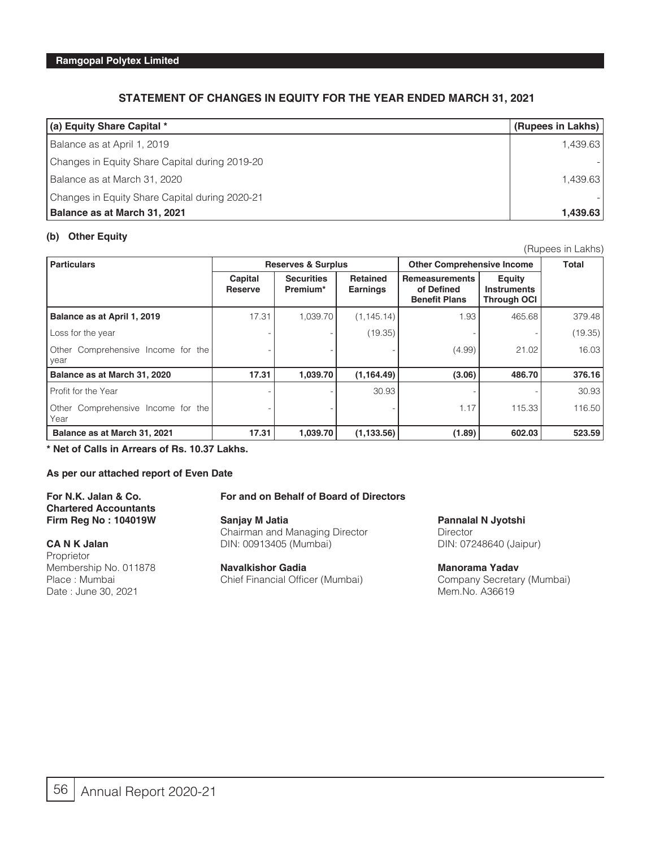### **Statement of Changes in Equity for the Year ended March 31, 2021**

| (a) Equity Share Capital *                     | (Rupees in Lakhs) |
|------------------------------------------------|-------------------|
| Balance as at April 1, 2019                    | 1,439.63          |
| Changes in Equity Share Capital during 2019-20 |                   |
| Balance as at March 31, 2020                   | 1,439.63          |
| Changes in Equity Share Capital during 2020-21 |                   |
| Balance as at March 31, 2021                   | 1,439.63          |

### **(b) Other Equity**

| <b>Particulars</b>                         |                    | <b>Reserves &amp; Surplus</b> |                                    | <b>Other Comprehensive Income</b>                           | <b>Total</b>                                              |         |
|--------------------------------------------|--------------------|-------------------------------|------------------------------------|-------------------------------------------------------------|-----------------------------------------------------------|---------|
|                                            | Capital<br>Reserve | <b>Securities</b><br>Premium* | <b>Retained</b><br><b>Earnings</b> | <b>Remeasurements</b><br>of Defined<br><b>Benefit Plans</b> | <b>Equity</b><br><b>Instruments</b><br><b>Through OCI</b> |         |
| Balance as at April 1, 2019                | 17.31              | 1.039.70                      | (1, 145.14)                        | 1.93                                                        | 465.68                                                    | 379.48  |
| Loss for the year                          |                    |                               | (19.35)                            |                                                             |                                                           | (19.35) |
| Other Comprehensive Income for the<br>year |                    |                               |                                    | (4.99)                                                      | 21.02                                                     | 16.03   |
| Balance as at March 31, 2020               | 17.31              | 1,039.70                      | (1, 164.49)                        | (3.06)                                                      | 486.70                                                    | 376.16  |
| Profit for the Year                        |                    |                               | 30.93                              |                                                             |                                                           | 30.93   |
| Other Comprehensive Income for the<br>Year |                    |                               |                                    | 1.17                                                        | 115.33                                                    | 116.50  |
| Balance as at March 31, 2021               | 17.31              | 1,039.70                      | (1, 133.56)                        | (1.89)                                                      | 602.03                                                    | 523.59  |

**\* Net of Calls in Arrears of Rs. 10.37 Lakhs.** 

### **As per our attached report of Even Date**

# **Chartered Accountants**

Proprietor Date : June 30, 2021 **Mem.No. A36619** 

### **For N.K. Jalan & Co. For and on Behalf of Board of Directors**

**Firm Reg No : 104019W Sanjay M Jatia Pannalal N Jyotshi Chairman and Managing Director <b>Pannalal N Jyotshi Pannalal N** Jyotshi Chairman and Managing Director **CAN K Jalan**<br>CAN K Jalan **CAN K Jalan** DIN: 00913405 (Mumbai) Director DIN: 07248640 (Jaipur) **DIN: 00913405 (Mumbai)** 

Membership No. 011878 **Navalkishor Gadia** Manorama Yadav Manorama Yadav

Place : Mumbai Chief Financial Officer (Mumbai) Company Secretary (Mumbai)

(Rupees in Lakhs)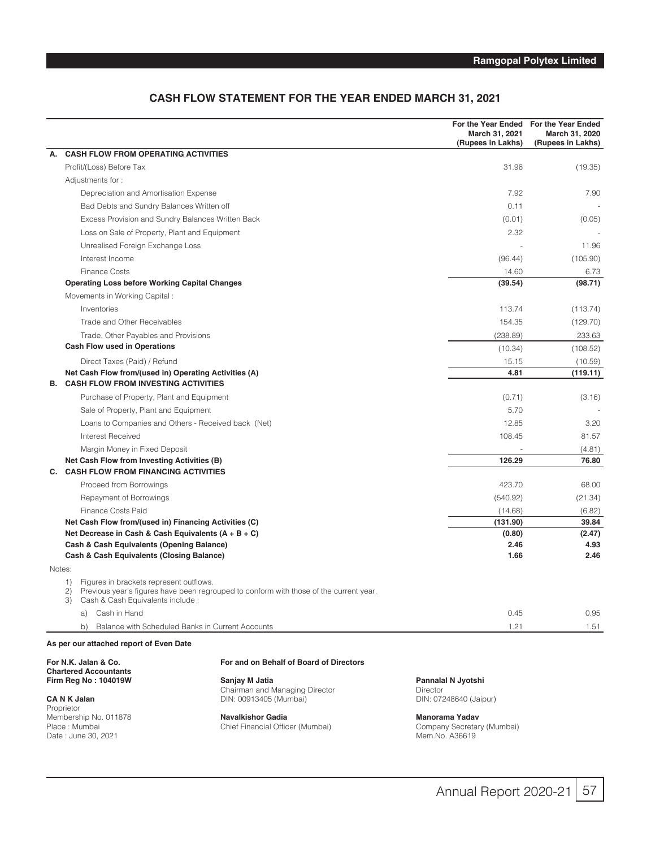|    |                                                                                                                                                                                           | For the Year Ended<br>March 31, 2021<br>(Rupees in Lakhs) | For the Year Ended<br>March 31, 2020<br>(Rupees in Lakhs) |
|----|-------------------------------------------------------------------------------------------------------------------------------------------------------------------------------------------|-----------------------------------------------------------|-----------------------------------------------------------|
| А. | <b>CASH FLOW FROM OPERATING ACTIVITIES</b>                                                                                                                                                |                                                           |                                                           |
|    | Profit/(Loss) Before Tax                                                                                                                                                                  | 31.96                                                     | (19.35)                                                   |
|    | Adjustments for:                                                                                                                                                                          |                                                           |                                                           |
|    | Depreciation and Amortisation Expense                                                                                                                                                     | 7.92                                                      | 7.90                                                      |
|    | Bad Debts and Sundry Balances Written off                                                                                                                                                 | 0.11                                                      |                                                           |
|    | Excess Provision and Sundry Balances Written Back                                                                                                                                         | (0.01)                                                    | (0.05)                                                    |
|    | Loss on Sale of Property, Plant and Equipment                                                                                                                                             | 2.32                                                      |                                                           |
|    | Unrealised Foreign Exchange Loss                                                                                                                                                          |                                                           | 11.96                                                     |
|    | Interest Income                                                                                                                                                                           | (96.44)                                                   | (105.90)                                                  |
|    | <b>Finance Costs</b>                                                                                                                                                                      | 14.60                                                     | 6.73                                                      |
|    | <b>Operating Loss before Working Capital Changes</b>                                                                                                                                      | (39.54)                                                   | (98.71)                                                   |
|    | Movements in Working Capital:                                                                                                                                                             |                                                           |                                                           |
|    | Inventories                                                                                                                                                                               | 113.74                                                    | (113.74)                                                  |
|    | Trade and Other Receivables                                                                                                                                                               | 154.35                                                    | (129.70)                                                  |
|    | Trade, Other Payables and Provisions                                                                                                                                                      | (238.89)                                                  | 233.63                                                    |
|    | <b>Cash Flow used in Operations</b>                                                                                                                                                       | (10.34)                                                   | (108.52)                                                  |
|    | Direct Taxes (Paid) / Refund                                                                                                                                                              | 15.15                                                     | (10.59)                                                   |
|    | Net Cash Flow from/(used in) Operating Activities (A)<br><b>B. CASH FLOW FROM INVESTING ACTIVITIES</b>                                                                                    | 4.81                                                      | (119.11)                                                  |
|    | Purchase of Property, Plant and Equipment                                                                                                                                                 | (0.71)                                                    | (3.16)                                                    |
|    | Sale of Property, Plant and Equipment                                                                                                                                                     | 5.70                                                      |                                                           |
|    | Loans to Companies and Others - Received back (Net)                                                                                                                                       | 12.85                                                     | 3.20                                                      |
|    | Interest Received                                                                                                                                                                         | 108.45                                                    | 81.57                                                     |
|    | Margin Money in Fixed Deposit                                                                                                                                                             |                                                           | (4.81)                                                    |
|    | Net Cash Flow from Investing Activities (B)<br>C. CASH FLOW FROM FINANCING ACTIVITIES                                                                                                     | 126.29                                                    | 76.80                                                     |
|    | Proceed from Borrowings                                                                                                                                                                   | 423.70                                                    | 68.00                                                     |
|    | Repayment of Borrowings                                                                                                                                                                   | (540.92)                                                  | (21.34)                                                   |
|    | <b>Finance Costs Paid</b>                                                                                                                                                                 | (14.68)                                                   | (6.82)                                                    |
|    | Net Cash Flow from/(used in) Financing Activities (C)                                                                                                                                     | (131.90)                                                  | 39.84                                                     |
|    | Net Decrease in Cash & Cash Equivalents $(A + B + C)$                                                                                                                                     | (0.80)                                                    | (2.47)                                                    |
|    | Cash & Cash Equivalents (Opening Balance)<br>Cash & Cash Equivalents (Closing Balance)                                                                                                    | 2.46<br>1.66                                              | 4.93<br>2.46                                              |
|    | Notes:                                                                                                                                                                                    |                                                           |                                                           |
|    | Figures in brackets represent outflows.<br>1)<br>Previous year's figures have been regrouped to conform with those of the current year.<br>(2)<br>Cash & Cash Equivalents include :<br>3) |                                                           |                                                           |
|    | Cash in Hand<br>a)                                                                                                                                                                        | 0.45                                                      | 0.95                                                      |
|    | Balance with Scheduled Banks in Current Accounts<br>b)                                                                                                                                    | 1.21                                                      | 1.51                                                      |

# **CASH FLOW STATEMENT FOR THE YEAR ENDED MARCH 31, 2021**

### **For and on Behalf of Board of Directors**

**Firm Reg No : 104019W Sanjay M Jatia Pannalal N Jyotshi Pannalal N Jyotshi Chairman and Managing Director <b>Pannalal N Jyotshi Pannalal N** Jyotshi **Chairman** and Managing Director Chairman and Managing Director **CAN K Jalan** Director **CAN K Jalan** Director **CAN K Jalan** Director DIN: 00913405 (Mumbai) Director DIN: 07248640 (Jaipur) **DIN: 00913405 (Mumbai)** 

For N.K. Jalan & Co.

Date : June 30, 2021

Proprietor

**Chartered Accountants** 

Chief Financial Officer (Mumbai)

Membership No. 011878 **Navalkishor Gadia Membership No. 011878 Navalkishor Gadia Membership No. 011878 Navalkishor Gadia** (Mumbai) **Navalkishor Gadia** (Mumbai) **Navalkishor Gadia** (Mumbai) **Navalkishor Gadia** (Mumbai)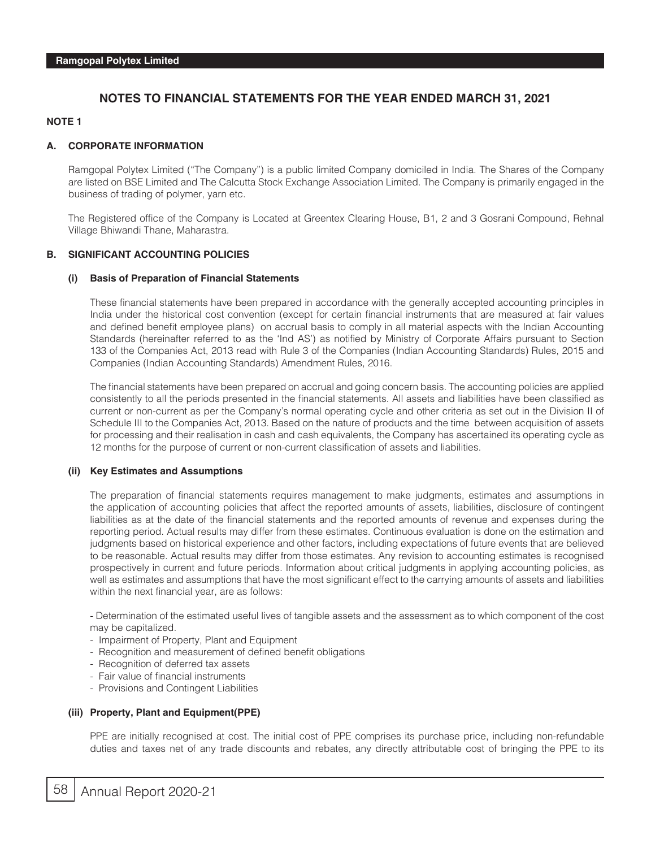### **NOTE 1**

### **A. CORPORATE INFORMATION**

Ramgopal Polytex Limited ("The Company") is a public limited Company domiciled in India. The Shares of the Company are listed on BSE Limited and The Calcutta Stock Exchange Association Limited. The Company is primarily engaged in the business of trading of polymer, yarn etc.

The Registered office of the Company is Located at Greentex Clearing House, B1, 2 and 3 Gosrani Compound, Rehnal Village Bhiwandi Thane, Maharastra.

### **B. SIGNIFICANT ACCOUNTING POLICIES**

### **(i) Basis of Preparation of Financial Statements**

These financial statements have been prepared in accordance with the generally accepted accounting principles in India under the historical cost convention (except for certain financial instruments that are measured at fair values and defined benefit employee plans) on accrual basis to comply in all material aspects with the Indian Accounting Standards (hereinafter referred to as the 'Ind AS') as notified by Ministry of Corporate Affairs pursuant to Section 133 of the Companies Act, 2013 read with Rule 3 of the Companies (Indian Accounting Standards) Rules, 2015 and Companies (Indian Accounting Standards) Amendment Rules, 2016.

The financial statements have been prepared on accrual and going concern basis. The accounting policies are applied consistently to all the periods presented in the financial statements. All assets and liabilities have been classified as current or non-current as per the Company's normal operating cycle and other criteria as set out in the Division II of Schedule III to the Companies Act, 2013. Based on the nature of products and the time between acquisition of assets for processing and their realisation in cash and cash equivalents, the Company has ascertained its operating cycle as 12 months for the purpose of current or non-current classification of assets and liabilities.

### **(ii) Key Estimates and Assumptions**

The preparation of financial statements requires management to make judgments, estimates and assumptions in the application of accounting policies that affect the reported amounts of assets, liabilities, disclosure of contingent liabilities as at the date of the financial statements and the reported amounts of revenue and expenses during the reporting period. Actual results may differ from these estimates. Continuous evaluation is done on the estimation and judgments based on historical experience and other factors, including expectations of future events that are believed to be reasonable. Actual results may differ from those estimates. Any revision to accounting estimates is recognised prospectively in current and future periods. Information about critical judgments in applying accounting policies, as well as estimates and assumptions that have the most significant effect to the carrying amounts of assets and liabilities within the next financial year, are as follows:

- Determination of the estimated useful lives of tangible assets and the assessment as to which component of the cost may be capitalized.

- Impairment of Property, Plant and Equipment
- Recognition and measurement of defined benefit obligations
- Recognition of deferred tax assets
- Fair value of financial instruments
- Provisions and Contingent Liabilities

### **(iii) Property, Plant and Equipment(PPE)**

PPE are initially recognised at cost. The initial cost of PPE comprises its purchase price, including non-refundable duties and taxes net of any trade discounts and rebates, any directly attributable cost of bringing the PPE to its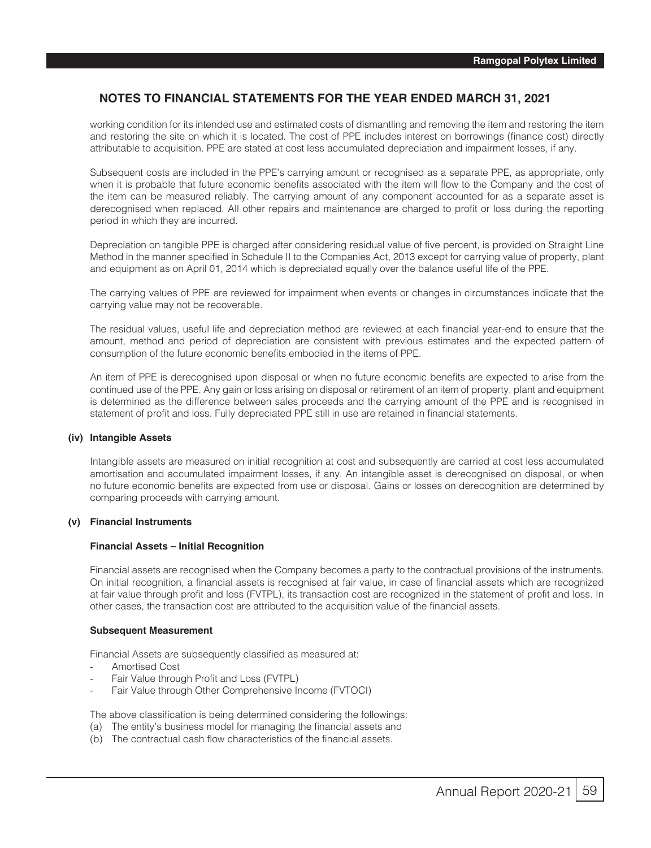working condition for its intended use and estimated costs of dismantling and removing the item and restoring the item and restoring the site on which it is located. The cost of PPE includes interest on borrowings (finance cost) directly attributable to acquisition. PPE are stated at cost less accumulated depreciation and impairment losses, if any.

Subsequent costs are included in the PPE's carrying amount or recognised as a separate PPE, as appropriate, only when it is probable that future economic benefits associated with the item will flow to the Company and the cost of the item can be measured reliably. The carrying amount of any component accounted for as a separate asset is derecognised when replaced. All other repairs and maintenance are charged to profit or loss during the reporting period in which they are incurred.

Depreciation on tangible PPE is charged after considering residual value of five percent, is provided on Straight Line Method in the manner specified in Schedule II to the Companies Act, 2013 except for carrying value of property, plant and equipment as on April 01, 2014 which is depreciated equally over the balance useful life of the PPE.

The carrying values of PPE are reviewed for impairment when events or changes in circumstances indicate that the carrying value may not be recoverable.

The residual values, useful life and depreciation method are reviewed at each financial year-end to ensure that the amount, method and period of depreciation are consistent with previous estimates and the expected pattern of consumption of the future economic benefits embodied in the items of PPE.

An item of PPE is derecognised upon disposal or when no future economic benefits are expected to arise from the continued use of the PPE. Any gain or loss arising on disposal or retirement of an item of property, plant and equipment is determined as the difference between sales proceeds and the carrying amount of the PPE and is recognised in statement of profit and loss. Fully depreciated PPE still in use are retained in financial statements.

### **(iv) Intangible Assets**

Intangible assets are measured on initial recognition at cost and subsequently are carried at cost less accumulated amortisation and accumulated impairment losses, if any. An intangible asset is derecognised on disposal, or when no future economic benefits are expected from use or disposal. Gains or losses on derecognition are determined by comparing proceeds with carrying amount.

### **(v) Financial Instruments**

### **Financial Assets – Initial Recognition**

Financial assets are recognised when the Company becomes a party to the contractual provisions of the instruments. On initial recognition, a financial assets is recognised at fair value, in case of financial assets which are recognized at fair value through profit and loss (FVTPL), its transaction cost are recognized in the statement of profit and loss. In other cases, the transaction cost are attributed to the acquisition value of the financial assets.

### **Subsequent Measurement**

Financial Assets are subsequently classified as measured at:

- Amortised Cost
- Fair Value through Profit and Loss (FVTPL)
- Fair Value through Other Comprehensive Income (FVTOCI)

The above classification is being determined considering the followings:

- (a) The entity's business model for managing the financial assets and
- (b) The contractual cash flow characteristics of the financial assets.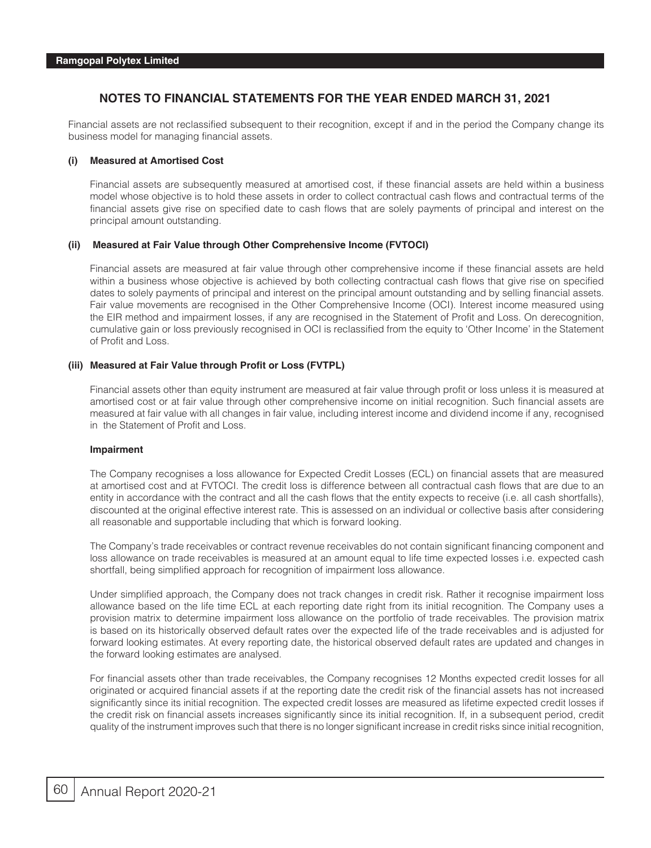Financial assets are not reclassified subsequent to their recognition, except if and in the period the Company change its business model for managing financial assets.

### **(i) Measured at Amortised Cost**

Financial assets are subsequently measured at amortised cost, if these financial assets are held within a business model whose objective is to hold these assets in order to collect contractual cash flows and contractual terms of the financial assets give rise on specified date to cash flows that are solely payments of principal and interest on the principal amount outstanding.

### **(ii) Measured at Fair Value through Other Comprehensive Income (FVTOCI)**

Financial assets are measured at fair value through other comprehensive income if these financial assets are held within a business whose objective is achieved by both collecting contractual cash flows that give rise on specified dates to solely payments of principal and interest on the principal amount outstanding and by selling financial assets. Fair value movements are recognised in the Other Comprehensive Income (OCI). Interest income measured using the EIR method and impairment losses, if any are recognised in the Statement of Profit and Loss. On derecognition, cumulative gain or loss previously recognised in OCI is reclassified from the equity to 'Other Income' in the Statement of Profit and Loss.

### **(iii) Measured at Fair Value through Profit or Loss (FVTPL)**

Financial assets other than equity instrument are measured at fair value through profit or loss unless it is measured at amortised cost or at fair value through other comprehensive income on initial recognition. Such financial assets are measured at fair value with all changes in fair value, including interest income and dividend income if any, recognised in the Statement of Profit and Loss.

### **Impairment**

The Company recognises a loss allowance for Expected Credit Losses (ECL) on financial assets that are measured at amortised cost and at FVTOCI. The credit loss is difference between all contractual cash flows that are due to an entity in accordance with the contract and all the cash flows that the entity expects to receive (i.e. all cash shortfalls), discounted at the original effective interest rate. This is assessed on an individual or collective basis after considering all reasonable and supportable including that which is forward looking.

The Company's trade receivables or contract revenue receivables do not contain significant financing component and loss allowance on trade receivables is measured at an amount equal to life time expected losses i.e. expected cash shortfall, being simplified approach for recognition of impairment loss allowance.

Under simplified approach, the Company does not track changes in credit risk. Rather it recognise impairment loss allowance based on the life time ECL at each reporting date right from its initial recognition. The Company uses a provision matrix to determine impairment loss allowance on the portfolio of trade receivables. The provision matrix is based on its historically observed default rates over the expected life of the trade receivables and is adjusted for forward looking estimates. At every reporting date, the historical observed default rates are updated and changes in the forward looking estimates are analysed.

For financial assets other than trade receivables, the Company recognises 12 Months expected credit losses for all originated or acquired financial assets if at the reporting date the credit risk of the financial assets has not increased significantly since its initial recognition. The expected credit losses are measured as lifetime expected credit losses if the credit risk on financial assets increases significantly since its initial recognition. If, in a subsequent period, credit quality of the instrument improves such that there is no longer significant increase in credit risks since initial recognition,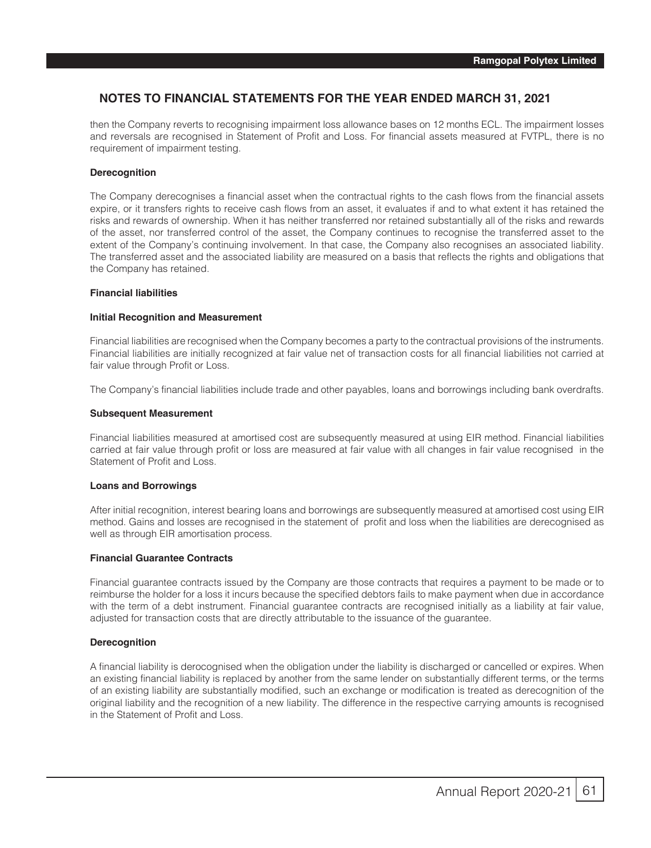then the Company reverts to recognising impairment loss allowance bases on 12 months ECL. The impairment losses and reversals are recognised in Statement of Profit and Loss. For financial assets measured at FVTPL, there is no requirement of impairment testing.

### **Derecognition**

The Company derecognises a financial asset when the contractual rights to the cash flows from the financial assets expire, or it transfers rights to receive cash flows from an asset, it evaluates if and to what extent it has retained the risks and rewards of ownership. When it has neither transferred nor retained substantially all of the risks and rewards of the asset, nor transferred control of the asset, the Company continues to recognise the transferred asset to the extent of the Company's continuing involvement. In that case, the Company also recognises an associated liability. The transferred asset and the associated liability are measured on a basis that reflects the rights and obligations that the Company has retained.

### **Financial liabilities**

### **Initial Recognition and Measurement**

Financial liabilities are recognised when the Company becomes a party to the contractual provisions of the instruments. Financial liabilities are initially recognized at fair value net of transaction costs for all financial liabilities not carried at fair value through Profit or Loss.

The Company's financial liabilities include trade and other payables, loans and borrowings including bank overdrafts.

### **Subsequent Measurement**

Financial liabilities measured at amortised cost are subsequently measured at using EIR method. Financial liabilities carried at fair value through profit or loss are measured at fair value with all changes in fair value recognised in the Statement of Profit and Loss.

### **Loans and Borrowings**

After initial recognition, interest bearing loans and borrowings are subsequently measured at amortised cost using EIR method. Gains and losses are recognised in the statement of profit and loss when the liabilities are derecognised as well as through EIR amortisation process.

### **Financial Guarantee Contracts**

Financial guarantee contracts issued by the Company are those contracts that requires a payment to be made or to reimburse the holder for a loss it incurs because the specified debtors fails to make payment when due in accordance with the term of a debt instrument. Financial guarantee contracts are recognised initially as a liability at fair value, adjusted for transaction costs that are directly attributable to the issuance of the guarantee.

### **Derecognition**

A financial liability is derocognised when the obligation under the liability is discharged or cancelled or expires. When an existing financial liability is replaced by another from the same lender on substantially different terms, or the terms of an existing liability are substantially modified, such an exchange or modification is treated as derecognition of the original liability and the recognition of a new liability. The difference in the respective carrying amounts is recognised in the Statement of Profit and Loss.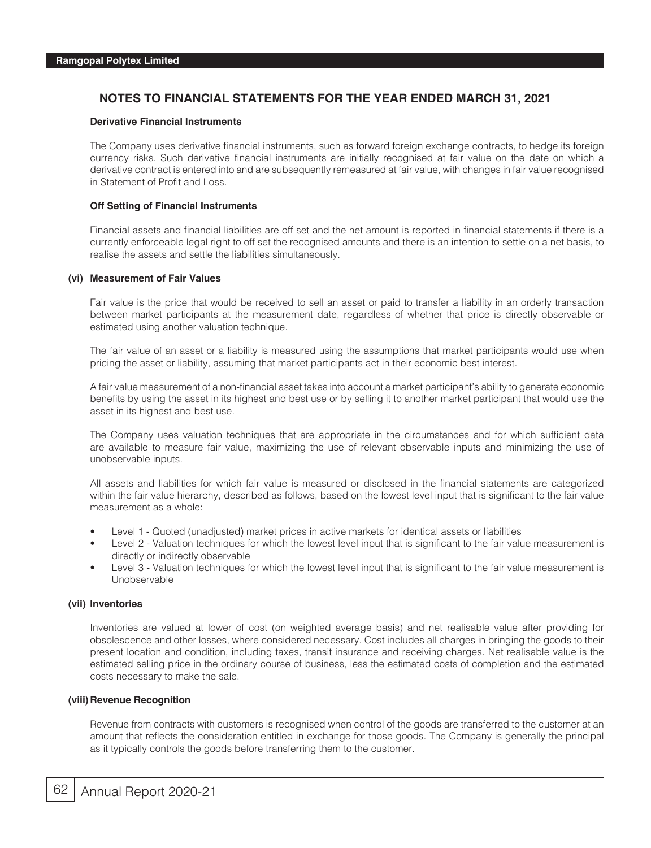### **Derivative Financial Instruments**

The Company uses derivative financial instruments, such as forward foreign exchange contracts, to hedge its foreign currency risks. Such derivative financial instruments are initially recognised at fair value on the date on which a derivative contract is entered into and are subsequently remeasured at fair value, with changes in fair value recognised in Statement of Profit and Loss.

### **Off Setting of Financial Instruments**

Financial assets and financial liabilities are off set and the net amount is reported in financial statements if there is a currently enforceable legal right to off set the recognised amounts and there is an intention to settle on a net basis, to realise the assets and settle the liabilities simultaneously.

### **(vi) Measurement of Fair Values**

Fair value is the price that would be received to sell an asset or paid to transfer a liability in an orderly transaction between market participants at the measurement date, regardless of whether that price is directly observable or estimated using another valuation technique.

The fair value of an asset or a liability is measured using the assumptions that market participants would use when pricing the asset or liability, assuming that market participants act in their economic best interest.

A fair value measurement of a non-financial asset takes into account a market participant's ability to generate economic benefits by using the asset in its highest and best use or by selling it to another market participant that would use the asset in its highest and best use.

The Company uses valuation techniques that are appropriate in the circumstances and for which sufficient data are available to measure fair value, maximizing the use of relevant observable inputs and minimizing the use of unobservable inputs.

All assets and liabilities for which fair value is measured or disclosed in the financial statements are categorized within the fair value hierarchy, described as follows, based on the lowest level input that is significant to the fair value measurement as a whole:

- Level 1 Quoted (unadjusted) market prices in active markets for identical assets or liabilities
- Level 2 Valuation techniques for which the lowest level input that is significant to the fair value measurement is directly or indirectly observable
- Level 3 Valuation techniques for which the lowest level input that is significant to the fair value measurement is Unobservable

### **(vii) Inventories**

Inventories are valued at lower of cost (on weighted average basis) and net realisable value after providing for obsolescence and other losses, where considered necessary. Cost includes all charges in bringing the goods to their present location and condition, including taxes, transit insurance and receiving charges. Net realisable value is the estimated selling price in the ordinary course of business, less the estimated costs of completion and the estimated costs necessary to make the sale.

### **(viii) Revenue Recognition**

Revenue from contracts with customers is recognised when control of the goods are transferred to the customer at an amount that reflects the consideration entitled in exchange for those goods. The Company is generally the principal as it typically controls the goods before transferring them to the customer.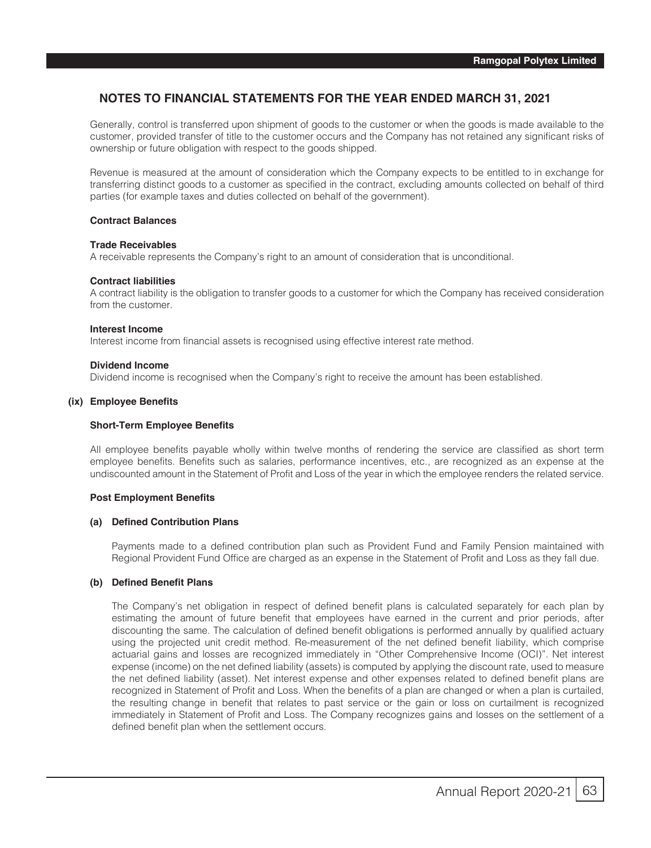Generally, control is transferred upon shipment of goods to the customer or when the goods is made available to the customer, provided transfer of title to the customer occurs and the Company has not retained any significant risks of ownership or future obligation with respect to the goods shipped.

Revenue is measured at the amount of consideration which the Company expects to be entitled to in exchange for transferring distinct goods to a customer as specified in the contract, excluding amounts collected on behalf of third parties (for example taxes and duties collected on behalf of the government).

### **Contract Balances**

# **Trade Receivables**

A receivable represents the Company's right to an amount of consideration that is unconditional.

### **Contract liabilities**

A contract liability is the obligation to transfer goods to a customer for which the Company has received consideration from the customer.

### **Interest Income**

Interest income from financial assets is recognised using effective interest rate method.

### **Dividend Income**

Dividend income is recognised when the Company's right to receive the amount has been established.

### **(ix) Employee Benefits**

### **Short-Term Employee Benefits**

All employee benefits payable wholly within twelve months of rendering the service are classified as short term employee benefits. Benefits such as salaries, performance incentives, etc., are recognized as an expense at the undiscounted amount in the Statement of Profit and Loss of the year in which the employee renders the related service.

### **Post Employment Benefits**

### **(a) Defined Contribution Plans**

Payments made to a defined contribution plan such as Provident Fund and Family Pension maintained with Regional Provident Fund Office are charged as an expense in the Statement of Profit and Loss as they fall due.

### **(b) Defined Benefit Plans**

The Company's net obligation in respect of defined benefit plans is calculated separately for each plan by estimating the amount of future benefit that employees have earned in the current and prior periods, after discounting the same. The calculation of defined benefit obligations is performed annually by qualified actuary using the projected unit credit method. Re-measurement of the net defined benefit liability, which comprise actuarial gains and losses are recognized immediately in "Other Comprehensive Income (OCI)". Net interest expense (income) on the net defined liability (assets) is computed by applying the discount rate, used to measure the net defined liability (asset). Net interest expense and other expenses related to defined benefit plans are recognized in Statement of Profit and Loss. When the benefits of a plan are changed or when a plan is curtailed, the resulting change in benefit that relates to past service or the gain or loss on curtailment is recognized immediately in Statement of Profit and Loss. The Company recognizes gains and losses on the settlement of a defined benefit plan when the settlement occurs.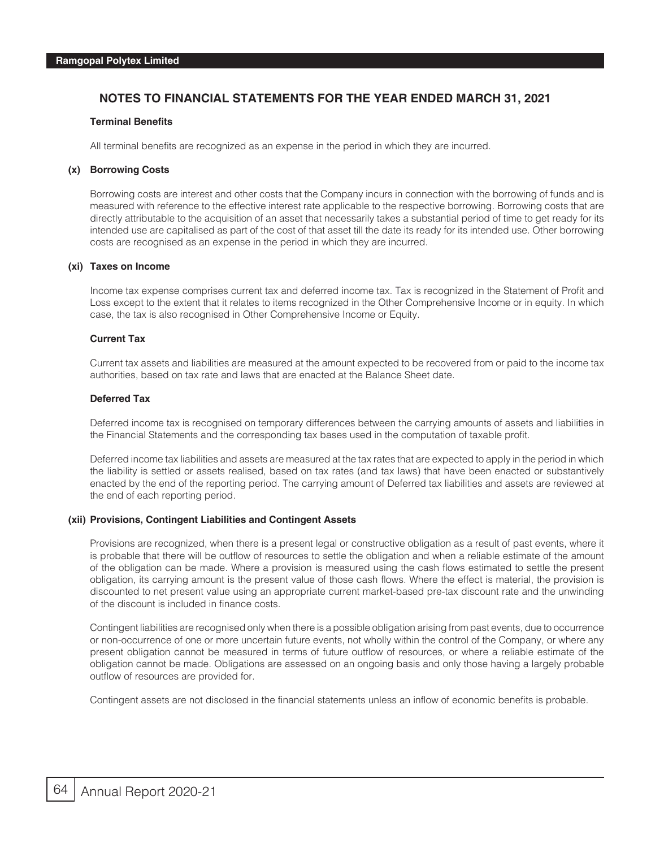### **Terminal Benefits**

All terminal benefits are recognized as an expense in the period in which they are incurred.

### **(x) Borrowing Costs**

Borrowing costs are interest and other costs that the Company incurs in connection with the borrowing of funds and is measured with reference to the effective interest rate applicable to the respective borrowing. Borrowing costs that are directly attributable to the acquisition of an asset that necessarily takes a substantial period of time to get ready for its intended use are capitalised as part of the cost of that asset till the date its ready for its intended use. Other borrowing costs are recognised as an expense in the period in which they are incurred.

### **(xi) Taxes on Income**

Income tax expense comprises current tax and deferred income tax. Tax is recognized in the Statement of Profit and Loss except to the extent that it relates to items recognized in the Other Comprehensive Income or in equity. In which case, the tax is also recognised in Other Comprehensive Income or Equity.

### **Current Tax**

Current tax assets and liabilities are measured at the amount expected to be recovered from or paid to the income tax authorities, based on tax rate and laws that are enacted at the Balance Sheet date.

### **Deferred Tax**

Deferred income tax is recognised on temporary differences between the carrying amounts of assets and liabilities in the Financial Statements and the corresponding tax bases used in the computation of taxable profit.

Deferred income tax liabilities and assets are measured at the tax rates that are expected to apply in the period in which the liability is settled or assets realised, based on tax rates (and tax laws) that have been enacted or substantively enacted by the end of the reporting period. The carrying amount of Deferred tax liabilities and assets are reviewed at the end of each reporting period.

### **(xii) Provisions, Contingent Liabilities and Contingent Assets**

Provisions are recognized, when there is a present legal or constructive obligation as a result of past events, where it is probable that there will be outflow of resources to settle the obligation and when a reliable estimate of the amount of the obligation can be made. Where a provision is measured using the cash flows estimated to settle the present obligation, its carrying amount is the present value of those cash flows. Where the effect is material, the provision is discounted to net present value using an appropriate current market-based pre-tax discount rate and the unwinding of the discount is included in finance costs.

Contingent liabilities are recognised only when there is a possible obligation arising from past events, due to occurrence or non-occurrence of one or more uncertain future events, not wholly within the control of the Company, or where any present obligation cannot be measured in terms of future outflow of resources, or where a reliable estimate of the obligation cannot be made. Obligations are assessed on an ongoing basis and only those having a largely probable outflow of resources are provided for.

Contingent assets are not disclosed in the financial statements unless an inflow of economic benefits is probable.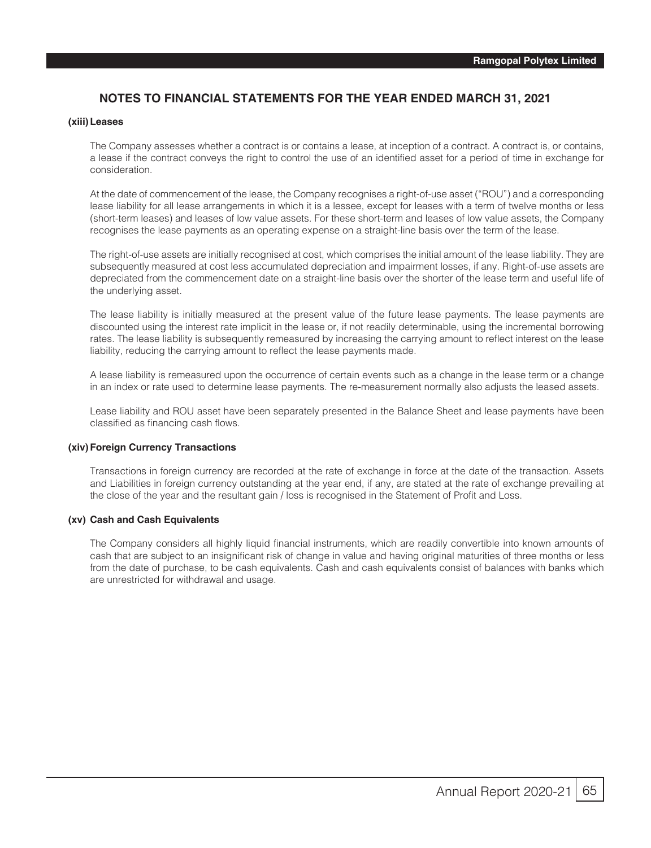### **(xiii)Leases**

The Company assesses whether a contract is or contains a lease, at inception of a contract. A contract is, or contains, a lease if the contract conveys the right to control the use of an identified asset for a period of time in exchange for consideration.

At the date of commencement of the lease, the Company recognises a right-of-use asset ("ROU") and a corresponding lease liability for all lease arrangements in which it is a lessee, except for leases with a term of twelve months or less (short-term leases) and leases of low value assets. For these short-term and leases of low value assets, the Company recognises the lease payments as an operating expense on a straight-line basis over the term of the lease.

The right-of-use assets are initially recognised at cost, which comprises the initial amount of the lease liability. They are subsequently measured at cost less accumulated depreciation and impairment losses, if any. Right-of-use assets are depreciated from the commencement date on a straight-line basis over the shorter of the lease term and useful life of the underlying asset.

The lease liability is initially measured at the present value of the future lease payments. The lease payments are discounted using the interest rate implicit in the lease or, if not readily determinable, using the incremental borrowing rates. The lease liability is subsequently remeasured by increasing the carrying amount to reflect interest on the lease liability, reducing the carrying amount to reflect the lease payments made.

A lease liability is remeasured upon the occurrence of certain events such as a change in the lease term or a change in an index or rate used to determine lease payments. The re-measurement normally also adjusts the leased assets.

Lease liability and ROU asset have been separately presented in the Balance Sheet and lease payments have been classified as financing cash flows.

### **(xiv)Foreign Currency Transactions**

Transactions in foreign currency are recorded at the rate of exchange in force at the date of the transaction. Assets and Liabilities in foreign currency outstanding at the year end, if any, are stated at the rate of exchange prevailing at the close of the year and the resultant gain / loss is recognised in the Statement of Profit and Loss.

### **(xv) Cash and Cash Equivalents**

The Company considers all highly liquid financial instruments, which are readily convertible into known amounts of cash that are subject to an insignificant risk of change in value and having original maturities of three months or less from the date of purchase, to be cash equivalents. Cash and cash equivalents consist of balances with banks which are unrestricted for withdrawal and usage.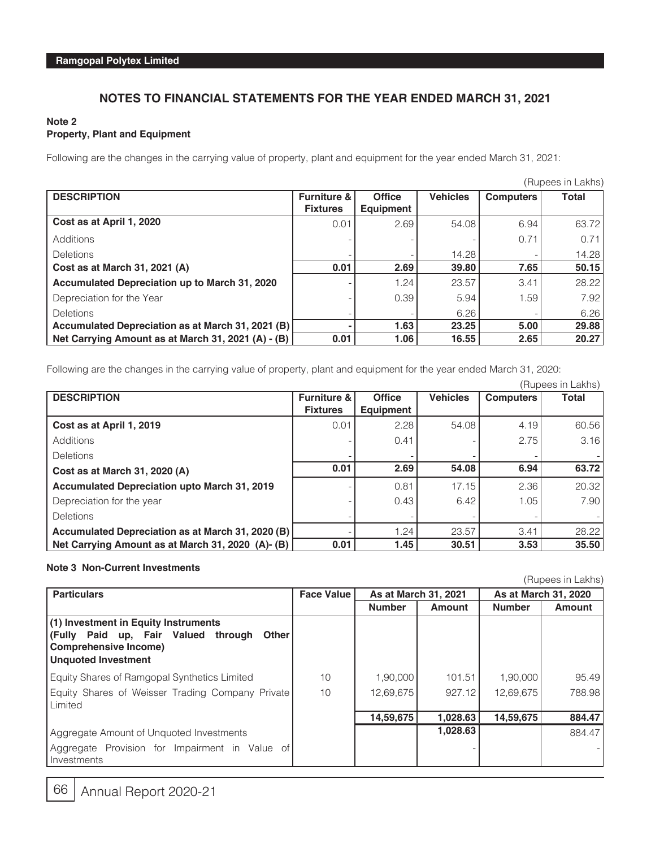### **Note 2**

### **Property, Plant and Equipment**

Following are the changes in the carrying value of property, plant and equipment for the year ended March 31, 2021:

|                                                    |                        |                  |                 |                  | (Rupees in Lakhs) |
|----------------------------------------------------|------------------------|------------------|-----------------|------------------|-------------------|
| <b>DESCRIPTION</b>                                 | <b>Furniture &amp;</b> | <b>Office</b>    | <b>Vehicles</b> | <b>Computers</b> | <b>Total</b>      |
|                                                    | <b>Fixtures</b>        | <b>Equipment</b> |                 |                  |                   |
| Cost as at April 1, 2020                           | 0.01                   | 2.69             | 54.08           | 6.94             | 63.72             |
| Additions                                          |                        |                  |                 | 0.71             | 0.71              |
| <b>Deletions</b>                                   |                        |                  | 14.28           |                  | 14.28             |
| Cost as at March 31, 2021 (A)                      | 0.01                   | 2.69             | 39.80           | 7.65             | 50.15             |
| Accumulated Depreciation up to March 31, 2020      |                        | 1.24             | 23.57           | 3.41             | 28.22             |
| Depreciation for the Year                          |                        | 0.39             | 5.94            | 1.59             | 7.92              |
| <b>Deletions</b>                                   | -                      |                  | 6.26            |                  | 6.26              |
| Accumulated Depreciation as at March 31, 2021 (B)  | -                      | 1.63             | 23.25           | 5.00             | 29.88             |
| Net Carrying Amount as at March 31, 2021 (A) - (B) | 0.01                   | 1.06             | 16.55           | 2.65             | 20.27             |

Following are the changes in the carrying value of property, plant and equipment for the year ended March 31, 2020:

|                                                     |                        |               |                 |                  | (Rupees in Lakhs) |
|-----------------------------------------------------|------------------------|---------------|-----------------|------------------|-------------------|
| <b>DESCRIPTION</b>                                  | <b>Furniture &amp;</b> | <b>Office</b> | <b>Vehicles</b> | <b>Computers</b> | <b>Total</b>      |
|                                                     | <b>Fixtures</b>        | Equipment     |                 |                  |                   |
| Cost as at April 1, 2019                            | 0.01                   | 2.28          | 54.08           | 4.19             | 60.56             |
| Additions                                           |                        | 0.41          |                 | 2.75             | 3.16              |
| <b>Deletions</b>                                    |                        |               |                 |                  |                   |
| Cost as at March 31, 2020 (A)                       | 0.01                   | 2.69          | 54.08           | 6.94             | 63.72             |
| <b>Accumulated Depreciation upto March 31, 2019</b> |                        | 0.81          | 17.15           | 2.36             | 20.32             |
| Depreciation for the year                           |                        | 0.43          | 6.42            | 1.05             | 7.90              |
| <b>Deletions</b>                                    |                        |               |                 |                  |                   |
| Accumulated Depreciation as at March 31, 2020 (B)   |                        | 1.24          | 23.57           | 3.41             | 28.22             |
| Net Carrying Amount as at March 31, 2020 (A)- (B)   | 0.01                   | 1.45          | 30.51           | 3.53             | 35.50             |

### **Note 3 Non-Current Investments**

(Rupees in Lakhs)

| <b>Particulars</b>                                                                                                                     | <b>Face Value</b> | As at March 31, 2021 |          | As at March 31, 2020 |        |
|----------------------------------------------------------------------------------------------------------------------------------------|-------------------|----------------------|----------|----------------------|--------|
|                                                                                                                                        |                   | <b>Number</b>        | Amount   | <b>Number</b>        | Amount |
| $(1)$ Investment in Equity Instruments<br>(Fully Paid up, Fair Valued through<br>Other<br>Comprehensive Income)<br>Unquoted Investment |                   |                      |          |                      |        |
| Equity Shares of Ramgopal Synthetics Limited                                                                                           | 10                | 1,90,000             | 101.51   | 1,90,000             | 95.49  |
| Equity Shares of Weisser Trading Company Private<br>l Limited                                                                          | 10                | 12,69,675            | 927.12   | 12.69.675            | 788.98 |
|                                                                                                                                        |                   | 14,59,675            | 1.028.63 | 14,59,675            | 884.47 |
| Aggregate Amount of Unquoted Investments                                                                                               |                   |                      | 1.028.63 |                      | 884.47 |
| Aggregate Provision for Impairment in Value of<br>l Investments                                                                        |                   |                      |          |                      |        |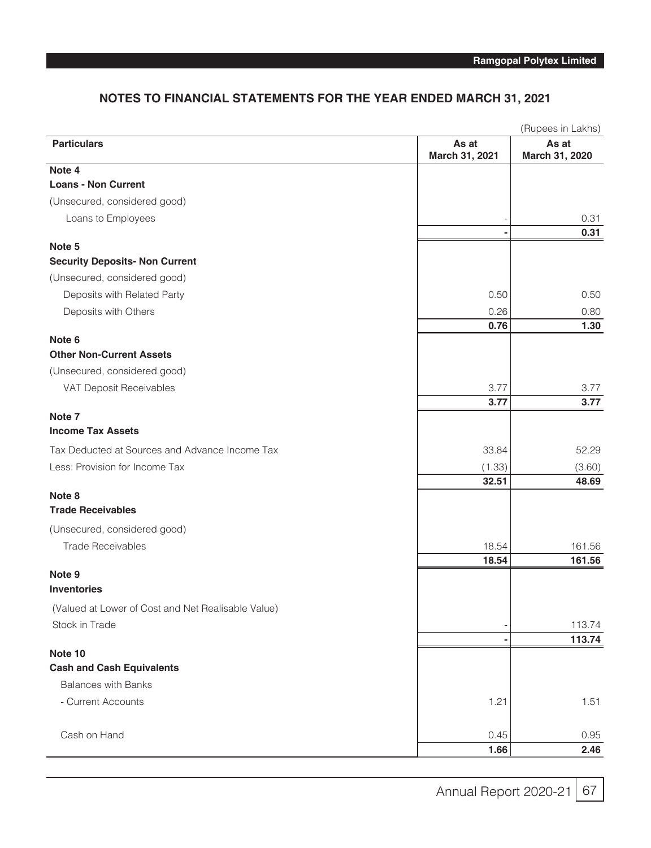|                                                    |                         | (Rupees in Lakhs)       |
|----------------------------------------------------|-------------------------|-------------------------|
| <b>Particulars</b>                                 | As at<br>March 31, 2021 | As at<br>March 31, 2020 |
| Note 4                                             |                         |                         |
| <b>Loans - Non Current</b>                         |                         |                         |
| (Unsecured, considered good)                       |                         |                         |
| Loans to Employees                                 |                         | 0.31                    |
| Note 5                                             |                         | 0.31                    |
| <b>Security Deposits- Non Current</b>              |                         |                         |
| (Unsecured, considered good)                       |                         |                         |
| Deposits with Related Party                        | 0.50                    | 0.50                    |
| Deposits with Others                               | 0.26                    | 0.80                    |
|                                                    | 0.76                    | 1.30                    |
| Note <sub>6</sub>                                  |                         |                         |
| <b>Other Non-Current Assets</b>                    |                         |                         |
| (Unsecured, considered good)                       |                         |                         |
| VAT Deposit Receivables                            | 3.77                    | 3.77                    |
|                                                    | 3.77                    | 3.77                    |
| Note 7<br><b>Income Tax Assets</b>                 |                         |                         |
|                                                    |                         |                         |
| Tax Deducted at Sources and Advance Income Tax     | 33.84                   | 52.29                   |
| Less: Provision for Income Tax                     | (1.33)<br>32.51         | (3.60)                  |
| Note 8                                             |                         | 48.69                   |
| <b>Trade Receivables</b>                           |                         |                         |
| (Unsecured, considered good)                       |                         |                         |
| <b>Trade Receivables</b>                           | 18.54                   | 161.56                  |
|                                                    | 18.54                   | 161.56                  |
| Note 9                                             |                         |                         |
| <b>Inventories</b>                                 |                         |                         |
| (Valued at Lower of Cost and Net Realisable Value) |                         |                         |
| Stock in Trade                                     |                         | 113.74                  |
|                                                    |                         | 113.74                  |
| Note 10                                            |                         |                         |
| <b>Cash and Cash Equivalents</b>                   |                         |                         |
| <b>Balances with Banks</b>                         |                         |                         |
| - Current Accounts                                 | 1.21                    | 1.51                    |
| Cash on Hand                                       | 0.45                    | 0.95                    |
|                                                    | 1.66                    | 2.46                    |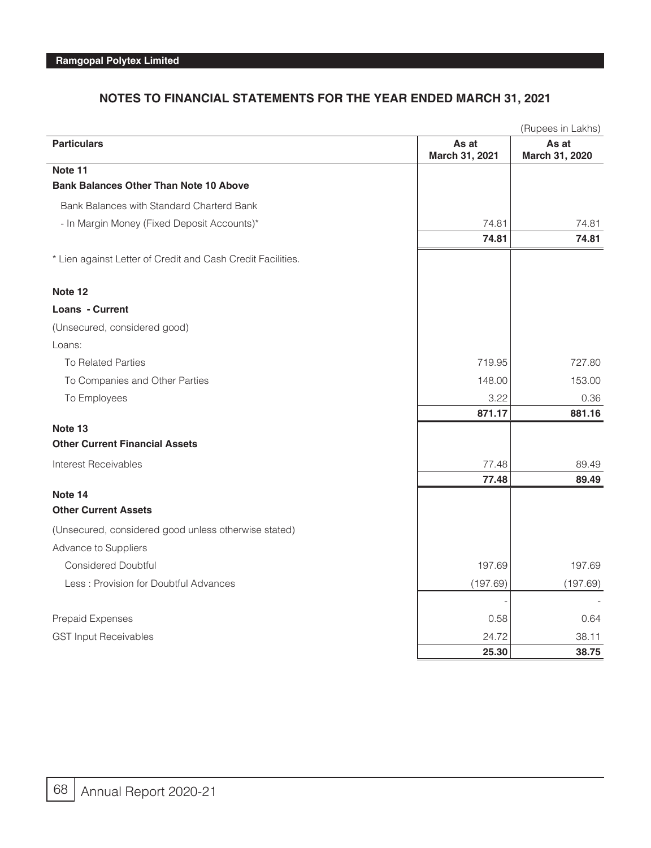|                                                             |                         | (Rupees in Lakhs)       |  |
|-------------------------------------------------------------|-------------------------|-------------------------|--|
| <b>Particulars</b>                                          | As at<br>March 31, 2021 | As at<br>March 31, 2020 |  |
| Note 11                                                     |                         |                         |  |
| <b>Bank Balances Other Than Note 10 Above</b>               |                         |                         |  |
| Bank Balances with Standard Charterd Bank                   |                         |                         |  |
| - In Margin Money (Fixed Deposit Accounts)*                 | 74.81                   | 74.81                   |  |
|                                                             | 74.81                   | 74.81                   |  |
| * Lien against Letter of Credit and Cash Credit Facilities. |                         |                         |  |
| Note 12                                                     |                         |                         |  |
| <b>Loans - Current</b>                                      |                         |                         |  |
| (Unsecured, considered good)                                |                         |                         |  |
| Loans:                                                      |                         |                         |  |
| <b>To Related Parties</b>                                   | 719.95                  | 727.80                  |  |
| To Companies and Other Parties                              | 148.00                  | 153.00                  |  |
| To Employees                                                | 3.22                    | 0.36                    |  |
|                                                             | 871.17                  | 881.16                  |  |
| Note 13                                                     |                         |                         |  |
| <b>Other Current Financial Assets</b>                       |                         |                         |  |
| Interest Receivables                                        | 77.48                   | 89.49                   |  |
|                                                             | 77.48                   | 89.49                   |  |
| Note 14                                                     |                         |                         |  |
| <b>Other Current Assets</b>                                 |                         |                         |  |
| (Unsecured, considered good unless otherwise stated)        |                         |                         |  |
| Advance to Suppliers                                        |                         |                         |  |
| <b>Considered Doubtful</b>                                  | 197.69                  | 197.69                  |  |
| Less: Provision for Doubtful Advances                       | (197.69)                | (197.69)                |  |
|                                                             |                         |                         |  |
| Prepaid Expenses                                            | 0.58                    | 0.64                    |  |
| <b>GST Input Receivables</b>                                | 24.72                   | 38.11                   |  |
|                                                             | 25.30                   | 38.75                   |  |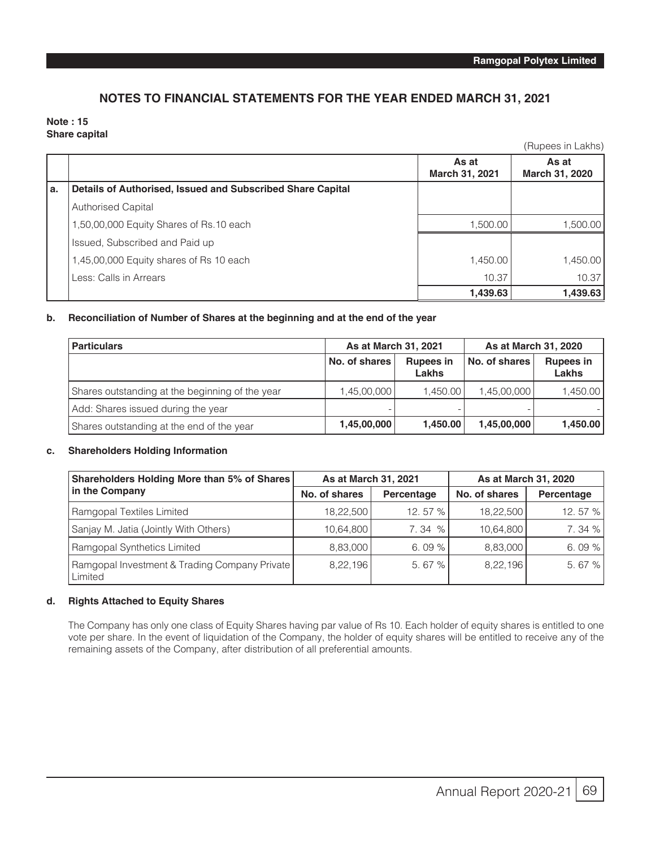### **Note : 15 Share capital**

|     |                                                            |                         | (Rupees in Lakhs)       |
|-----|------------------------------------------------------------|-------------------------|-------------------------|
|     |                                                            | As at<br>March 31, 2021 | As at<br>March 31, 2020 |
| ۱a. | Details of Authorised, Issued and Subscribed Share Capital |                         |                         |
|     | <b>Authorised Capital</b>                                  |                         |                         |
|     | 1,50,00,000 Equity Shares of Rs.10 each                    | 1,500.00                | 1,500.00                |
|     | Issued, Subscribed and Paid up                             |                         |                         |
|     | 1,45,00,000 Equity shares of Rs 10 each                    | 1,450.00                | 1,450.00                |
|     | Less: Calls in Arrears                                     | 10.37                   | 10.37                   |
|     |                                                            | 1,439.63                | 1,439.63                |

### **b. Reconciliation of Number of Shares at the beginning and at the end of the year**

| <b>Particulars</b>                              |               | As at March 31, 2021      |               | As at March 31, 2020      |  |
|-------------------------------------------------|---------------|---------------------------|---------------|---------------------------|--|
|                                                 | No. of shares | <b>Rupees in</b><br>Lakhs | No. of shares | <b>Rupees in</b><br>Lakhs |  |
| Shares outstanding at the beginning of the year | 1,45,00,000   | 1,450.00                  | 1,45,00,000   | 1,450.00                  |  |
| Add: Shares issued during the year              |               |                           |               |                           |  |
| Shares outstanding at the end of the year       | 1,45,00,000   | 1.450.00                  | 1,45,00,000   | 1,450.00                  |  |

### **c. Shareholders Holding Information**

| Shareholders Holding More than 5% of Shares              | As at March 31, 2021 |            | As at March 31, 2020 |            |
|----------------------------------------------------------|----------------------|------------|----------------------|------------|
| in the Company                                           | No. of shares        | Percentage | No. of shares        | Percentage |
| Ramgopal Textiles Limited                                | 18,22,500            | 12.57%     | 18,22,500            | 12.57 $%$  |
| Sanjay M. Jatia (Jointly With Others)                    | 10.64.800            | 7.34%      | 10,64,800            | 7.34%      |
| Ramgopal Synthetics Limited                              | 8,83,000             | 6.09%      | 8,83,000             | 6.09 $%$   |
| Ramgopal Investment & Trading Company Private<br>Limited | 8,22,196             | 5.67 %     | 8,22,196             | 5.67 $%$   |

### **d. Rights Attached to Equity Shares**

The Company has only one class of Equity Shares having par value of Rs 10. Each holder of equity shares is entitled to one vote per share. In the event of liquidation of the Company, the holder of equity shares will be entitled to receive any of the remaining assets of the Company, after distribution of all preferential amounts.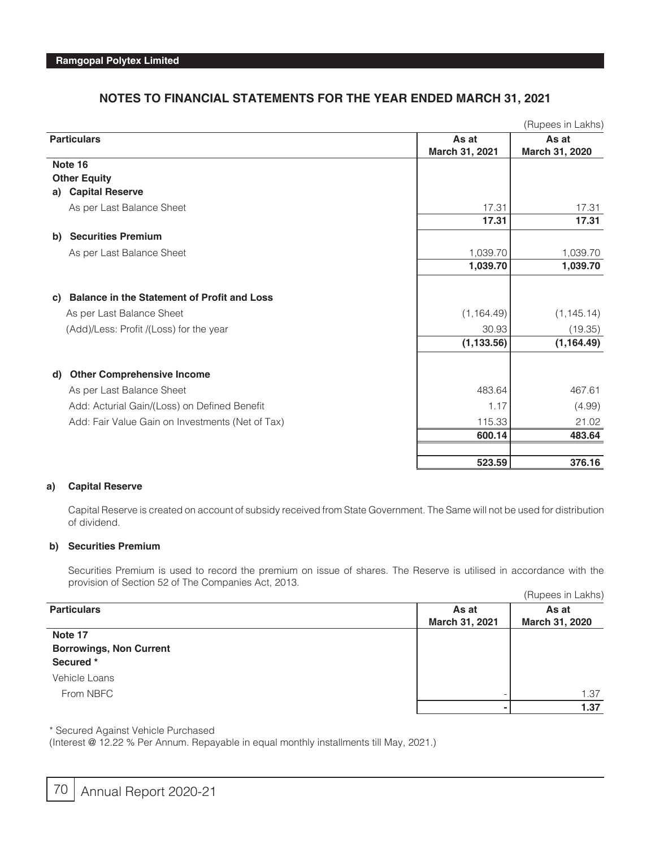|    |                                                    |                         | (Rupees in Lakhs)       |
|----|----------------------------------------------------|-------------------------|-------------------------|
|    | <b>Particulars</b>                                 | As at<br>March 31, 2021 | As at<br>March 31, 2020 |
|    | Note 16                                            |                         |                         |
|    | <b>Other Equity</b>                                |                         |                         |
| a) | <b>Capital Reserve</b>                             |                         |                         |
|    | As per Last Balance Sheet                          | 17.31                   | 17.31                   |
|    |                                                    | 17.31                   | 17.31                   |
| b) | <b>Securities Premium</b>                          |                         |                         |
|    | As per Last Balance Sheet                          | 1,039.70                | 1,039.70                |
|    |                                                    | 1,039.70                | 1,039.70                |
|    |                                                    |                         |                         |
| C) | <b>Balance in the Statement of Profit and Loss</b> |                         |                         |
|    | As per Last Balance Sheet                          | (1, 164.49)             | (1, 145.14)             |
|    | (Add)/Less: Profit /(Loss) for the year            | 30.93                   | (19.35)                 |
|    |                                                    | (1, 133.56)             | (1, 164.49)             |
| d) | <b>Other Comprehensive Income</b>                  |                         |                         |
|    | As per Last Balance Sheet                          | 483.64                  | 467.61                  |
|    |                                                    |                         |                         |
|    | Add: Acturial Gain/(Loss) on Defined Benefit       | 1.17                    | (4.99)                  |
|    | Add: Fair Value Gain on Investments (Net of Tax)   | 115.33                  | 21.02                   |
|    |                                                    | 600.14                  | 483.64                  |
|    |                                                    | 523.59                  | 376.16                  |

#### **a) Capital Reserve**

Capital Reserve is created on account of subsidy received from State Government. The Same will not be used for distribution of dividend.

### **b) Securities Premium**

Securities Premium is used to record the premium on issue of shares. The Reserve is utilised in accordance with the provision of Section 52 of The Companies Act, 2013. (Rupees in Lakhs)

|                                |                         | (NUPCOS III LANIS)      |
|--------------------------------|-------------------------|-------------------------|
| <b>Particulars</b>             | As at<br>March 31, 2021 | As at<br>March 31, 2020 |
| Note 17                        |                         |                         |
| <b>Borrowings, Non Current</b> |                         |                         |
| Secured *                      |                         |                         |
| Vehicle Loans                  |                         |                         |
| From NBFC                      |                         | 1.37                    |
|                                |                         | 1.37                    |

\* Secured Against Vehicle Purchased

(Interest @ 12.22 % Per Annum. Repayable in equal monthly installments till May, 2021.)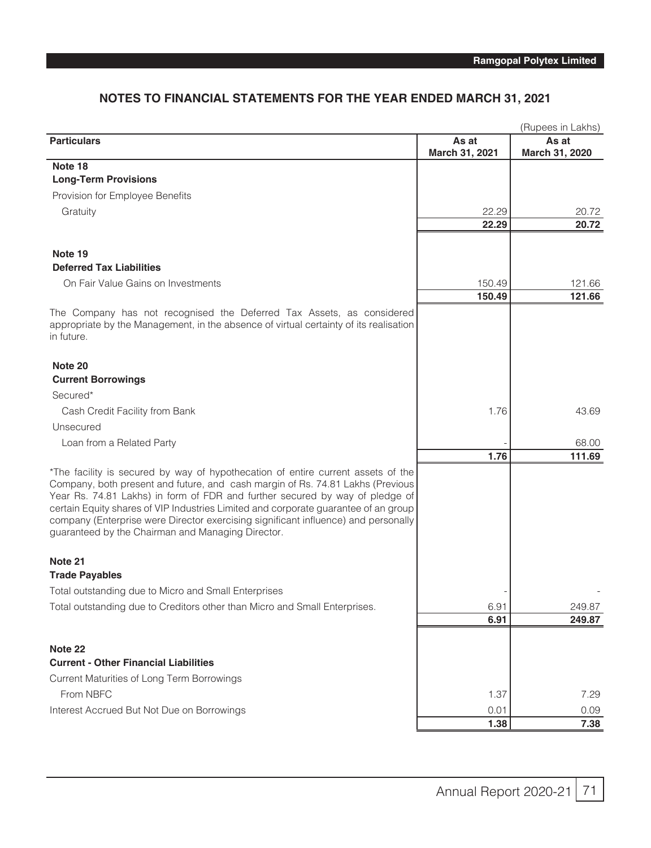| As at<br>As at<br>March 31, 2021<br>March 31, 2020<br>Note 18<br><b>Long-Term Provisions</b><br>Provision for Employee Benefits<br>Gratuity<br>22.29<br>20.72<br>22.29<br>20.72<br>Note 19<br><b>Deferred Tax Liabilities</b><br>On Fair Value Gains on Investments<br>150.49<br>121.66<br>121.66<br>150.49<br>Note 20<br><b>Current Borrowings</b><br>Secured*<br>Cash Credit Facility from Bank<br>1.76<br>43.69<br>Unsecured<br>Loan from a Related Party<br>68.00<br>1.76<br>111.69<br>*The facility is secured by way of hypothecation of entire current assets of the<br>6.91<br>249.87<br>249.87<br>6.91<br>Note 22<br><b>Current - Other Financial Liabilities</b><br>Current Maturities of Long Term Borrowings<br>From NBFC<br>1.37<br>7.29<br>Interest Accrued But Not Due on Borrowings<br>0.01<br>0.09 |                                                                                                                                                                                                                                                                                                                                                                                                  |      | (Rupees in Lakhs) |
|---------------------------------------------------------------------------------------------------------------------------------------------------------------------------------------------------------------------------------------------------------------------------------------------------------------------------------------------------------------------------------------------------------------------------------------------------------------------------------------------------------------------------------------------------------------------------------------------------------------------------------------------------------------------------------------------------------------------------------------------------------------------------------------------------------------------|--------------------------------------------------------------------------------------------------------------------------------------------------------------------------------------------------------------------------------------------------------------------------------------------------------------------------------------------------------------------------------------------------|------|-------------------|
|                                                                                                                                                                                                                                                                                                                                                                                                                                                                                                                                                                                                                                                                                                                                                                                                                     | <b>Particulars</b>                                                                                                                                                                                                                                                                                                                                                                               |      |                   |
|                                                                                                                                                                                                                                                                                                                                                                                                                                                                                                                                                                                                                                                                                                                                                                                                                     |                                                                                                                                                                                                                                                                                                                                                                                                  |      |                   |
|                                                                                                                                                                                                                                                                                                                                                                                                                                                                                                                                                                                                                                                                                                                                                                                                                     |                                                                                                                                                                                                                                                                                                                                                                                                  |      |                   |
|                                                                                                                                                                                                                                                                                                                                                                                                                                                                                                                                                                                                                                                                                                                                                                                                                     |                                                                                                                                                                                                                                                                                                                                                                                                  |      |                   |
|                                                                                                                                                                                                                                                                                                                                                                                                                                                                                                                                                                                                                                                                                                                                                                                                                     |                                                                                                                                                                                                                                                                                                                                                                                                  |      |                   |
|                                                                                                                                                                                                                                                                                                                                                                                                                                                                                                                                                                                                                                                                                                                                                                                                                     |                                                                                                                                                                                                                                                                                                                                                                                                  |      |                   |
|                                                                                                                                                                                                                                                                                                                                                                                                                                                                                                                                                                                                                                                                                                                                                                                                                     |                                                                                                                                                                                                                                                                                                                                                                                                  |      |                   |
|                                                                                                                                                                                                                                                                                                                                                                                                                                                                                                                                                                                                                                                                                                                                                                                                                     |                                                                                                                                                                                                                                                                                                                                                                                                  |      |                   |
|                                                                                                                                                                                                                                                                                                                                                                                                                                                                                                                                                                                                                                                                                                                                                                                                                     |                                                                                                                                                                                                                                                                                                                                                                                                  |      |                   |
|                                                                                                                                                                                                                                                                                                                                                                                                                                                                                                                                                                                                                                                                                                                                                                                                                     |                                                                                                                                                                                                                                                                                                                                                                                                  |      |                   |
|                                                                                                                                                                                                                                                                                                                                                                                                                                                                                                                                                                                                                                                                                                                                                                                                                     |                                                                                                                                                                                                                                                                                                                                                                                                  |      |                   |
|                                                                                                                                                                                                                                                                                                                                                                                                                                                                                                                                                                                                                                                                                                                                                                                                                     | The Company has not recognised the Deferred Tax Assets, as considered<br>appropriate by the Management, in the absence of virtual certainty of its realisation<br>in future.                                                                                                                                                                                                                     |      |                   |
|                                                                                                                                                                                                                                                                                                                                                                                                                                                                                                                                                                                                                                                                                                                                                                                                                     |                                                                                                                                                                                                                                                                                                                                                                                                  |      |                   |
|                                                                                                                                                                                                                                                                                                                                                                                                                                                                                                                                                                                                                                                                                                                                                                                                                     |                                                                                                                                                                                                                                                                                                                                                                                                  |      |                   |
|                                                                                                                                                                                                                                                                                                                                                                                                                                                                                                                                                                                                                                                                                                                                                                                                                     |                                                                                                                                                                                                                                                                                                                                                                                                  |      |                   |
|                                                                                                                                                                                                                                                                                                                                                                                                                                                                                                                                                                                                                                                                                                                                                                                                                     |                                                                                                                                                                                                                                                                                                                                                                                                  |      |                   |
|                                                                                                                                                                                                                                                                                                                                                                                                                                                                                                                                                                                                                                                                                                                                                                                                                     |                                                                                                                                                                                                                                                                                                                                                                                                  |      |                   |
|                                                                                                                                                                                                                                                                                                                                                                                                                                                                                                                                                                                                                                                                                                                                                                                                                     |                                                                                                                                                                                                                                                                                                                                                                                                  |      |                   |
|                                                                                                                                                                                                                                                                                                                                                                                                                                                                                                                                                                                                                                                                                                                                                                                                                     |                                                                                                                                                                                                                                                                                                                                                                                                  |      |                   |
|                                                                                                                                                                                                                                                                                                                                                                                                                                                                                                                                                                                                                                                                                                                                                                                                                     | Company, both present and future, and cash margin of Rs. 74.81 Lakhs (Previous<br>Year Rs. 74.81 Lakhs) in form of FDR and further secured by way of pledge of<br>certain Equity shares of VIP Industries Limited and corporate guarantee of an group<br>company (Enterprise were Director exercising significant influence) and personally<br>guaranteed by the Chairman and Managing Director. |      |                   |
|                                                                                                                                                                                                                                                                                                                                                                                                                                                                                                                                                                                                                                                                                                                                                                                                                     | Note 21                                                                                                                                                                                                                                                                                                                                                                                          |      |                   |
|                                                                                                                                                                                                                                                                                                                                                                                                                                                                                                                                                                                                                                                                                                                                                                                                                     | <b>Trade Payables</b>                                                                                                                                                                                                                                                                                                                                                                            |      |                   |
|                                                                                                                                                                                                                                                                                                                                                                                                                                                                                                                                                                                                                                                                                                                                                                                                                     | Total outstanding due to Micro and Small Enterprises                                                                                                                                                                                                                                                                                                                                             |      |                   |
|                                                                                                                                                                                                                                                                                                                                                                                                                                                                                                                                                                                                                                                                                                                                                                                                                     | Total outstanding due to Creditors other than Micro and Small Enterprises.                                                                                                                                                                                                                                                                                                                       |      |                   |
|                                                                                                                                                                                                                                                                                                                                                                                                                                                                                                                                                                                                                                                                                                                                                                                                                     |                                                                                                                                                                                                                                                                                                                                                                                                  |      |                   |
|                                                                                                                                                                                                                                                                                                                                                                                                                                                                                                                                                                                                                                                                                                                                                                                                                     |                                                                                                                                                                                                                                                                                                                                                                                                  |      |                   |
|                                                                                                                                                                                                                                                                                                                                                                                                                                                                                                                                                                                                                                                                                                                                                                                                                     |                                                                                                                                                                                                                                                                                                                                                                                                  |      |                   |
|                                                                                                                                                                                                                                                                                                                                                                                                                                                                                                                                                                                                                                                                                                                                                                                                                     |                                                                                                                                                                                                                                                                                                                                                                                                  |      |                   |
|                                                                                                                                                                                                                                                                                                                                                                                                                                                                                                                                                                                                                                                                                                                                                                                                                     |                                                                                                                                                                                                                                                                                                                                                                                                  |      |                   |
|                                                                                                                                                                                                                                                                                                                                                                                                                                                                                                                                                                                                                                                                                                                                                                                                                     |                                                                                                                                                                                                                                                                                                                                                                                                  |      |                   |
|                                                                                                                                                                                                                                                                                                                                                                                                                                                                                                                                                                                                                                                                                                                                                                                                                     |                                                                                                                                                                                                                                                                                                                                                                                                  | 1.38 | 7.38              |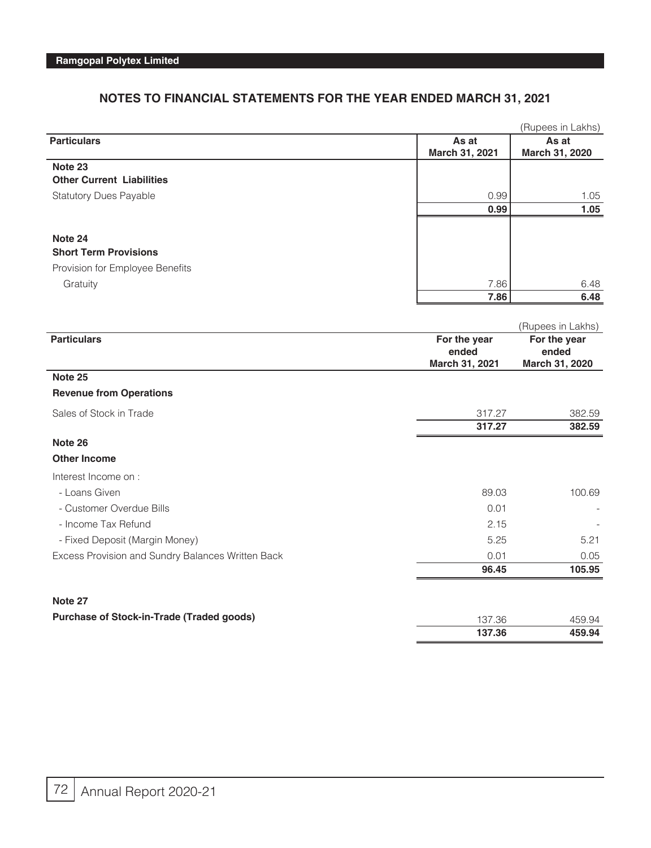|                                                   |                | (Rupees in Lakhs) |
|---------------------------------------------------|----------------|-------------------|
| <b>Particulars</b>                                | As at          | As at             |
|                                                   | March 31, 2021 | March 31, 2020    |
| Note 23                                           |                |                   |
| <b>Other Current Liabilities</b>                  |                |                   |
| <b>Statutory Dues Payable</b>                     | 0.99           | 1.05              |
|                                                   | 0.99           | 1.05              |
| Note 24                                           |                |                   |
| <b>Short Term Provisions</b>                      |                |                   |
| Provision for Employee Benefits                   |                |                   |
| Gratuity                                          | 7.86           | 6.48              |
|                                                   | 7.86           | 6.48              |
|                                                   |                |                   |
|                                                   |                | (Rupees in Lakhs) |
| <b>Particulars</b>                                | For the year   | For the year      |
|                                                   | ended          | ended             |
|                                                   | March 31, 2021 | March 31, 2020    |
| Note 25                                           |                |                   |
| <b>Revenue from Operations</b>                    |                |                   |
| Sales of Stock in Trade                           | 317.27         | 382.59            |
|                                                   | 317.27         | 382.59            |
| Note 26                                           |                |                   |
| <b>Other Income</b>                               |                |                   |
| Interest Income on :                              |                |                   |
| - Loans Given                                     | 89.03          | 100.69            |
| - Customer Overdue Bills                          | 0.01           |                   |
| - Income Tax Refund                               | 2.15           |                   |
| - Fixed Deposit (Margin Money)                    | 5.25           | 5.21              |
| Excess Provision and Sundry Balances Written Back | 0.01           | 0.05              |
|                                                   | 96.45          | 105.95            |
|                                                   |                |                   |
| Note 27                                           |                |                   |
| Purchase of Stock-in-Trade (Traded goods)         | 137.36         | 459.94            |
|                                                   | 137.36         | 459.94            |
|                                                   |                |                   |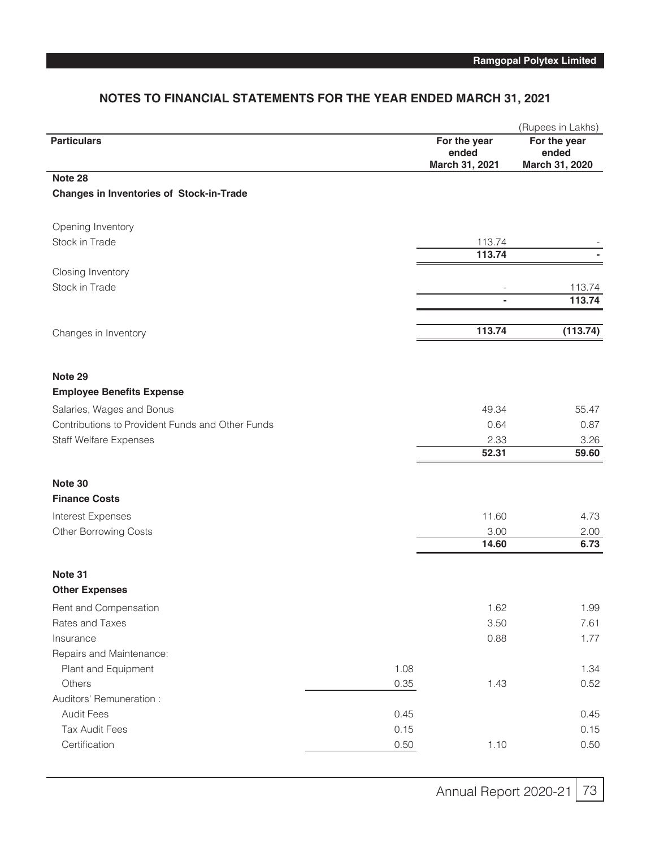|                                                  |      |                          | (Rupees in Lakhs)     |
|--------------------------------------------------|------|--------------------------|-----------------------|
| <b>Particulars</b>                               |      | For the year<br>ended    | For the year<br>ended |
|                                                  |      | March 31, 2021           | March 31, 2020        |
| Note 28                                          |      |                          |                       |
| <b>Changes in Inventories of Stock-in-Trade</b>  |      |                          |                       |
| Opening Inventory                                |      |                          |                       |
| Stock in Trade                                   |      | 113.74<br>113.74         |                       |
| Closing Inventory                                |      |                          |                       |
| Stock in Trade                                   |      | $\overline{\phantom{a}}$ | 113.74<br>113.74      |
|                                                  |      |                          |                       |
| Changes in Inventory                             |      | 113.74                   | (113.74)              |
| Note 29                                          |      |                          |                       |
| <b>Employee Benefits Expense</b>                 |      |                          |                       |
| Salaries, Wages and Bonus                        |      | 49.34                    | 55.47                 |
| Contributions to Provident Funds and Other Funds |      | 0.64                     | 0.87                  |
| <b>Staff Welfare Expenses</b>                    |      | 2.33                     | 3.26                  |
|                                                  |      | 52.31                    | 59.60                 |
| Note 30                                          |      |                          |                       |
| <b>Finance Costs</b>                             |      |                          |                       |
| Interest Expenses                                |      | 11.60                    | 4.73                  |
| <b>Other Borrowing Costs</b>                     |      | 3.00                     | 2.00                  |
|                                                  |      | 14.60                    | 6.73                  |
| Note 31                                          |      |                          |                       |
| <b>Other Expenses</b>                            |      |                          |                       |
| Rent and Compensation                            |      | 1.62                     | 1.99                  |
| Rates and Taxes                                  |      | 3.50                     | 7.61                  |
| Insurance                                        |      | 0.88                     | 1.77                  |
| Repairs and Maintenance:                         |      |                          |                       |
| Plant and Equipment                              | 1.08 |                          | 1.34                  |
| Others                                           | 0.35 | 1.43                     | 0.52                  |
| Auditors' Remuneration :                         |      |                          |                       |
| <b>Audit Fees</b>                                | 0.45 |                          | 0.45                  |
| <b>Tax Audit Fees</b>                            | 0.15 |                          | 0.15                  |
| Certification                                    | 0.50 | 1.10                     | 0.50                  |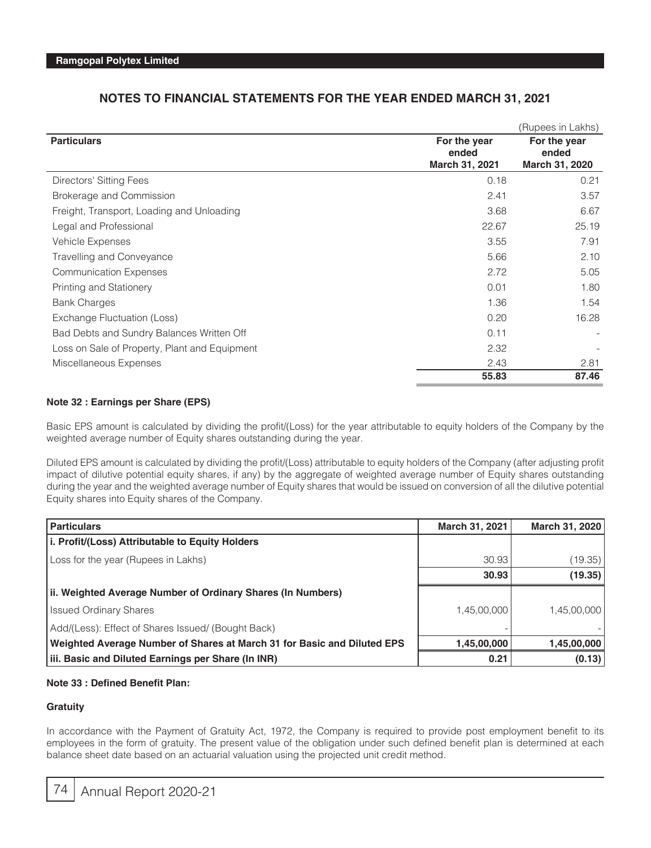|                                               |                | (Rupees in Lakhs) |
|-----------------------------------------------|----------------|-------------------|
| <b>Particulars</b>                            | For the year   | For the year      |
|                                               | ended          | ended             |
|                                               | March 31, 2021 | March 31, 2020    |
| Directors' Sitting Fees                       | 0.18           | 0.21              |
| Brokerage and Commission                      | 2.41           | 3.57              |
| Freight, Transport, Loading and Unloading     | 3.68           | 6.67              |
| Legal and Professional                        | 22.67          | 25.19             |
| Vehicle Expenses                              | 3.55           | 7.91              |
| <b>Travelling and Conveyance</b>              | 5.66           | 2.10              |
| <b>Communication Expenses</b>                 | 2.72           | 5.05              |
| <b>Printing and Stationery</b>                | 0.01           | 1.80              |
| <b>Bank Charges</b>                           | 1.36           | 1.54              |
| Exchange Fluctuation (Loss)                   | 0.20           | 16.28             |
| Bad Debts and Sundry Balances Written Off     | 0.11           |                   |
| Loss on Sale of Property, Plant and Equipment | 2.32           |                   |
| Miscellaneous Expenses                        | 2.43           | 2.81              |
|                                               | 55.83          | 87.46             |

### **Note 32 : Earnings per Share (EPS)**

Basic EPS amount is calculated by dividing the profit/(Loss) for the year attributable to equity holders of the Company by the weighted average number of Equity shares outstanding during the year.

Diluted EPS amount is calculated by dividing the profit/(Loss) attributable to equity holders of the Company (after adjusting profit impact of dilutive potential equity shares, if any) by the aggregate of weighted average number of Equity shares outstanding during the year and the weighted average number of Equity shares that would be issued on conversion of all the dilutive potential Equity shares into Equity shares of the Company.

| <b>Particulars</b>                                                      | March 31, 2021 | March 31, 2020 |
|-------------------------------------------------------------------------|----------------|----------------|
| i. Profit/(Loss) Attributable to Equity Holders                         |                |                |
| Loss for the year (Rupees in Lakhs)                                     | 30.93          | (19.35)        |
|                                                                         | 30.93          | (19.35)        |
| ii. Weighted Average Number of Ordinary Shares (In Numbers)             |                |                |
| Issued Ordinary Shares                                                  | 1,45,00,000    | 1,45,00,000    |
| Add/(Less): Effect of Shares Issued/ (Bought Back)                      |                |                |
| Weighted Average Number of Shares at March 31 for Basic and Diluted EPS | 1,45,00,000    | 1,45,00,000    |
| iii. Basic and Diluted Earnings per Share (In INR)                      | 0.21           | (0.13)         |

### **Note 33 : Defined Benefit Plan:**

### **Gratuity**

In accordance with the Payment of Gratuity Act, 1972, the Company is required to provide post employment benefit to its employees in the form of gratuity. The present value of the obligation under such defined benefit plan is determined at each balance sheet date based on an actuarial valuation using the projected unit credit method.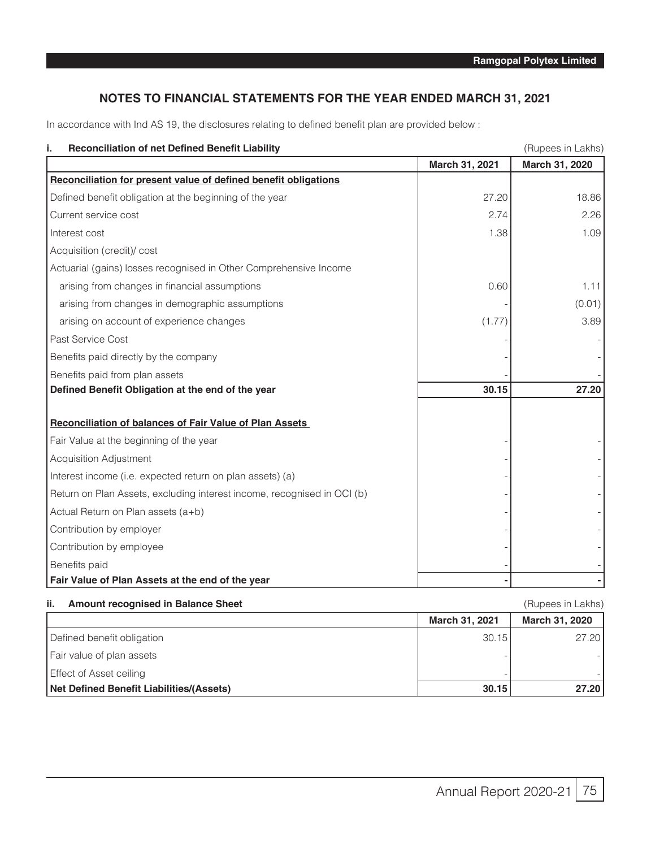In accordance with Ind AS 19, the disclosures relating to defined benefit plan are provided below :

| Reconciliation of net Defined Benefit Liability<br>i.                   |                | (Rupees in Lakhs) |
|-------------------------------------------------------------------------|----------------|-------------------|
|                                                                         | March 31, 2021 | March 31, 2020    |
| Reconciliation for present value of defined benefit obligations         |                |                   |
| Defined benefit obligation at the beginning of the year                 | 27.20          | 18.86             |
| Current service cost                                                    | 2.74           | 2.26              |
| Interest cost                                                           | 1.38           | 1.09              |
| Acquisition (credit)/ cost                                              |                |                   |
| Actuarial (gains) losses recognised in Other Comprehensive Income       |                |                   |
| arising from changes in financial assumptions                           | 0.60           | 1.11              |
| arising from changes in demographic assumptions                         |                | (0.01)            |
| arising on account of experience changes                                | (1.77)         | 3.89              |
| Past Service Cost                                                       |                |                   |
| Benefits paid directly by the company                                   |                |                   |
| Benefits paid from plan assets                                          |                |                   |
| Defined Benefit Obligation at the end of the year                       | 30.15          | 27.20             |
|                                                                         |                |                   |
| <b>Reconciliation of balances of Fair Value of Plan Assets</b>          |                |                   |
| Fair Value at the beginning of the year                                 |                |                   |
| <b>Acquisition Adjustment</b>                                           |                |                   |
| Interest income (i.e. expected return on plan assets) (a)               |                |                   |
| Return on Plan Assets, excluding interest income, recognised in OCI (b) |                |                   |
| Actual Return on Plan assets (a+b)                                      |                |                   |
| Contribution by employer                                                |                |                   |
| Contribution by employee                                                |                |                   |
| Benefits paid                                                           |                |                   |
| Fair Value of Plan Assets at the end of the year                        |                |                   |

| <b>Amount recognised in Balance Sheet</b><br>ii. |                | (Rupees in Lakhs) |
|--------------------------------------------------|----------------|-------------------|
|                                                  | March 31, 2021 | March 31, 2020    |
| Defined benefit obligation                       | 30.15          | 27.20             |
| Fair value of plan assets                        |                |                   |
| Effect of Asset ceiling                          |                |                   |
| Net Defined Benefit Liabilities/(Assets)         | 30.15          | 27.20             |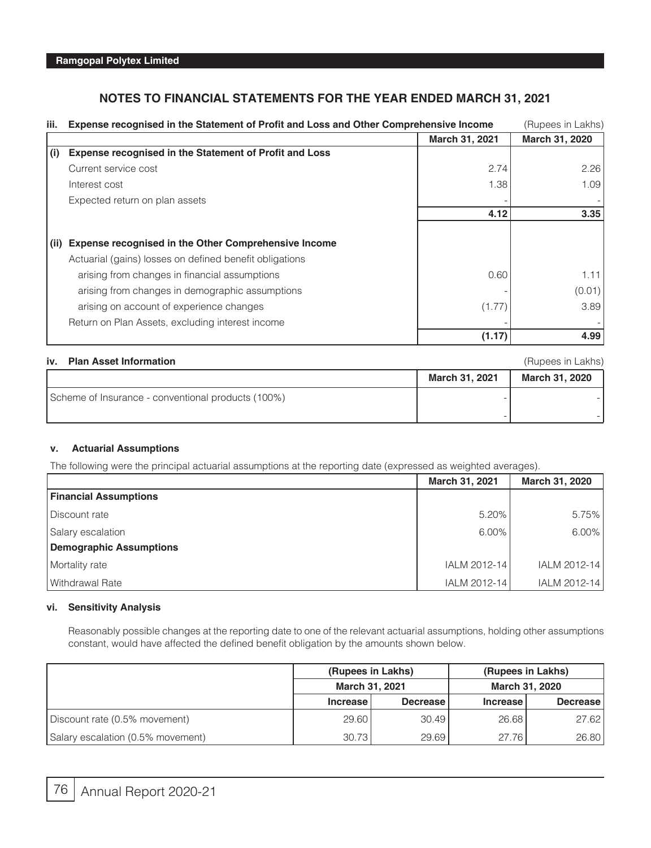| iii. | Expense recognised in the Statement of Profit and Loss and Other Comprehensive Income |                | (Rupees in Lakhs) |
|------|---------------------------------------------------------------------------------------|----------------|-------------------|
|      |                                                                                       | March 31, 2021 | March 31, 2020    |
| (i)  | Expense recognised in the Statement of Profit and Loss                                |                |                   |
|      | Current service cost                                                                  | 2.74           | 2.26              |
|      | Interest cost                                                                         | 1.38           | 1.09              |
|      | Expected return on plan assets                                                        |                |                   |
|      |                                                                                       | 4.12           | 3.35              |
|      |                                                                                       |                |                   |
| (ii) | <b>Expense recognised in the Other Comprehensive Income</b>                           |                |                   |
|      | Actuarial (gains) losses on defined benefit obligations                               |                |                   |
|      | arising from changes in financial assumptions                                         | 0.60           | 1.11              |
|      | arising from changes in demographic assumptions                                       |                | (0.01)            |
|      | arising on account of experience changes                                              | (1.77)         | 3.89              |
|      | Return on Plan Assets, excluding interest income                                      |                |                   |
|      |                                                                                       | (1.17)         | 4.99              |

### **iv. Plan Asset Information** (Rupees in Lakhs)

| TV. FIAIT ASSEL IIIIUI IIIAUUIT                    |                | (Tiupees III Lantis)  |
|----------------------------------------------------|----------------|-----------------------|
|                                                    | March 31, 2021 | <b>March 31, 2020</b> |
| Scheme of Insurance - conventional products (100%) |                |                       |
|                                                    |                |                       |

## **v. Actuarial Assumptions**

The following were the principal actuarial assumptions at the reporting date (expressed as weighted averages).

|                              | March 31, 2021 | March 31, 2020 |
|------------------------------|----------------|----------------|
| <b>Financial Assumptions</b> |                |                |
| Discount rate                | 5.20%          | 5.75%          |
| Salary escalation            | 6.00%          | $6.00\%$       |
| Demographic Assumptions      |                |                |
| Mortality rate               | IALM 2012-14   | IALM 2012-14   |
| Withdrawal Rate              | IALM 2012-14   | IALM 2012-14   |

## **vi. Sensitivity Analysis**

Reasonably possible changes at the reporting date to one of the relevant actuarial assumptions, holding other assumptions constant, would have affected the defined benefit obligation by the amounts shown below.

|                 | (Rupees in Lakhs) | (Rupees in Lakhs) |                 |  |  |
|-----------------|-------------------|-------------------|-----------------|--|--|
|                 |                   | March 31, 2020    |                 |  |  |
| <b>Increase</b> | <b>Decrease</b>   | <b>Increase</b>   | <b>Decrease</b> |  |  |
| 29.60           | 30.49             | 26.68             | 27.62           |  |  |
| 30.73           | 29.69             | 27.76             | 26.80           |  |  |
|                 |                   | March 31, 2021    |                 |  |  |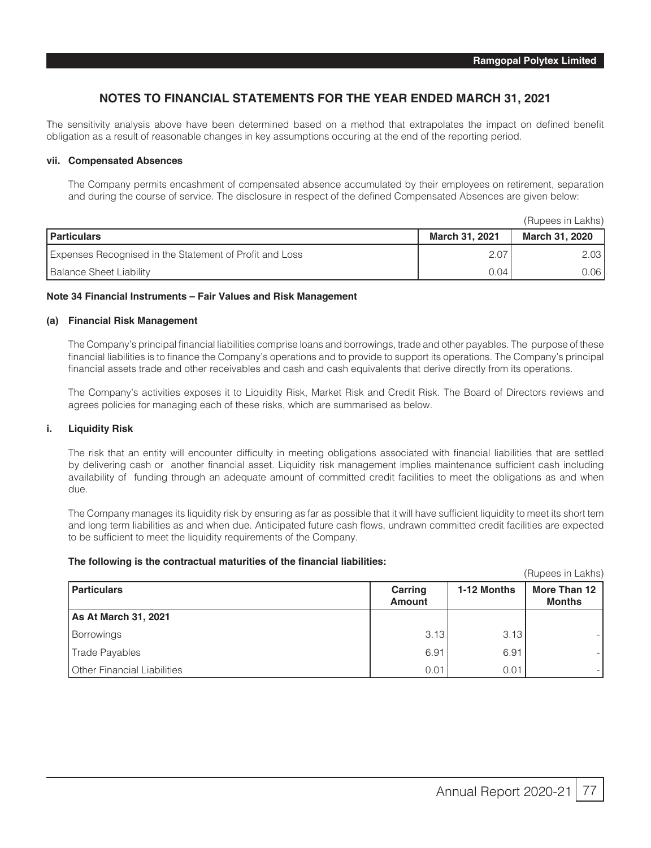The sensitivity analysis above have been determined based on a method that extrapolates the impact on defined benefit obligation as a result of reasonable changes in key assumptions occuring at the end of the reporting period.

#### **vii. Compensated Absences**

The Company permits encashment of compensated absence accumulated by their employees on retirement, separation and during the course of service. The disclosure in respect of the defined Compensated Absences are given below:

|                                                         |                       | (Rupees in Lakhs) |
|---------------------------------------------------------|-----------------------|-------------------|
| <b>Particulars</b>                                      | <b>March 31, 2021</b> | March 31, 2020    |
| Expenses Recognised in the Statement of Profit and Loss | 2.07                  | 2.031             |
| <b>Balance Sheet Liability</b>                          | 0.04                  | 0.061             |
|                                                         |                       |                   |

#### **Note 34 Financial Instruments – Fair Values and Risk Management**

#### **(a) Financial Risk Management**

The Company's principal financial liabilities comprise loans and borrowings, trade and other payables. The purpose of these financial liabilities is to finance the Company's operations and to provide to support its operations. The Company's principal financial assets trade and other receivables and cash and cash equivalents that derive directly from its operations.

The Company's activities exposes it to Liquidity Risk, Market Risk and Credit Risk. The Board of Directors reviews and agrees policies for managing each of these risks, which are summarised as below.

#### **i. Liquidity Risk**

The risk that an entity will encounter difficulty in meeting obligations associated with financial liabilities that are settled by delivering cash or another financial asset. Liquidity risk management implies maintenance sufficient cash including availability of funding through an adequate amount of committed credit facilities to meet the obligations as and when due.

The Company manages its liquidity risk by ensuring as far as possible that it will have sufficient liquidity to meet its short tem and long term liabilities as and when due. Anticipated future cash flows, undrawn committed credit facilities are expected to be sufficient to meet the liquidity requirements of the Company.

#### **The following is the contractual maturities of the financial liabilities:**

|                                    |                          |             | (Rupees in Lakhs)             |
|------------------------------------|--------------------------|-------------|-------------------------------|
| <b>Particulars</b>                 | Carring<br><b>Amount</b> | 1-12 Months | More Than 12<br><b>Months</b> |
| As At March 31, 2021               |                          |             |                               |
| Borrowings                         | 3.13                     | 3.13        |                               |
| Trade Payables                     | 6.91                     | 6.91        |                               |
| <b>Other Financial Liabilities</b> | 0.01                     | 0.01        |                               |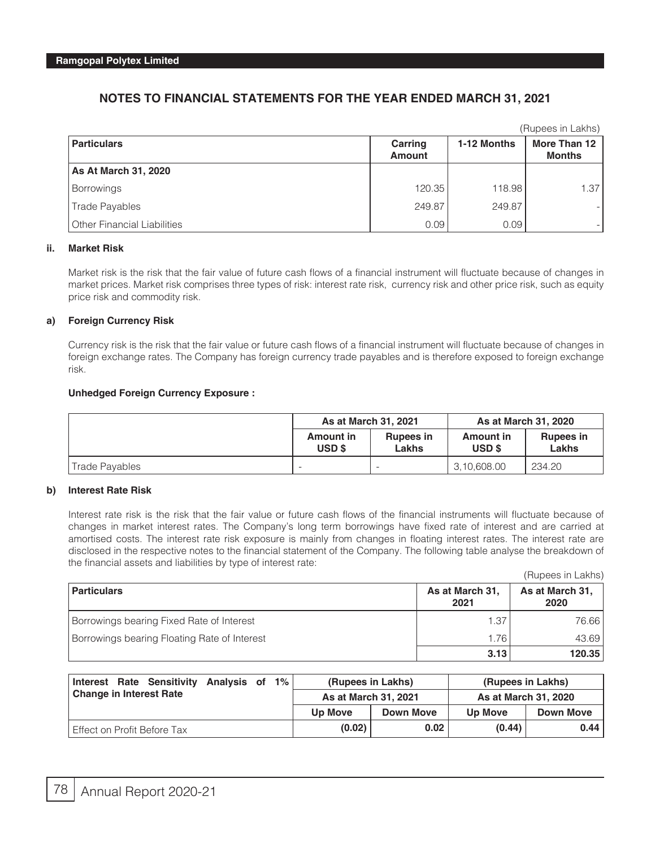|                                    | (Rupees in Lakhs)        |             |                               |  |  |  |
|------------------------------------|--------------------------|-------------|-------------------------------|--|--|--|
| <b>Particulars</b>                 | Carring<br><b>Amount</b> | 1-12 Months | More Than 12<br><b>Months</b> |  |  |  |
| As At March 31, 2020               |                          |             |                               |  |  |  |
| Borrowings                         | 120.35                   | 118.98      | 1.371                         |  |  |  |
| Trade Payables                     | 249.87                   | 249.87      |                               |  |  |  |
| <b>Other Financial Liabilities</b> | 0.09                     | 0.09        |                               |  |  |  |

#### **ii. Market Risk**

Market risk is the risk that the fair value of future cash flows of a financial instrument will fluctuate because of changes in market prices. Market risk comprises three types of risk: interest rate risk, currency risk and other price risk, such as equity price risk and commodity risk.

#### **a) Foreign Currency Risk**

Currency risk is the risk that the fair value or future cash flows of a financial instrument will fluctuate because of changes in foreign exchange rates. The Company has foreign currency trade payables and is therefore exposed to foreign exchange risk.

#### **Unhedged Foreign Currency Exposure :**

|                | As at March 31, 2021                  |                           | As at March 31, 2020       |                           |  |
|----------------|---------------------------------------|---------------------------|----------------------------|---------------------------|--|
|                | <b>Amount in</b><br>USD <sub>\$</sub> | <b>Rupees in</b><br>Lakhs | Amount in<br><b>USD \$</b> | <b>Rupees in</b><br>Lakhs |  |
| Trade Pavables | $\overline{\phantom{a}}$              |                           | 3.10.608.00                | 234.20                    |  |

#### **b) Interest Rate Risk**

Interest rate risk is the risk that the fair value or future cash flows of the financial instruments will fluctuate because of changes in market interest rates. The Company's long term borrowings have fixed rate of interest and are carried at amortised costs. The interest rate risk exposure is mainly from changes in floating interest rates. The interest rate are disclosed in the respective notes to the financial statement of the Company. The following table analyse the breakdown of the financial assets and liabilities by type of interest rate:

|                                              |                         | (Rupees in Lakhs)       |
|----------------------------------------------|-------------------------|-------------------------|
| <b>Particulars</b>                           | As at March 31,<br>2021 | As at March 31,<br>2020 |
| Borrowings bearing Fixed Rate of Interest    | 1.37                    | 76.66                   |
| Borrowings bearing Floating Rate of Interest | 1.76                    | 43.69                   |
|                                              | 3.13                    | 120.35                  |

| Interest Rate Sensitivity Analysis of<br>$1\%$ |                      | (Rupees in Lakhs) |                | (Rupees in Lakhs)    |
|------------------------------------------------|----------------------|-------------------|----------------|----------------------|
| <b>Change in Interest Rate</b>                 | As at March 31, 2021 |                   |                | As at March 31, 2020 |
|                                                | Up Move              | <b>Down Move</b>  | <b>Up Move</b> | <b>Down Move</b>     |
| Effect on Profit Before Tax                    | (0.02)               | 0.02              | (0.44)         | 0.44                 |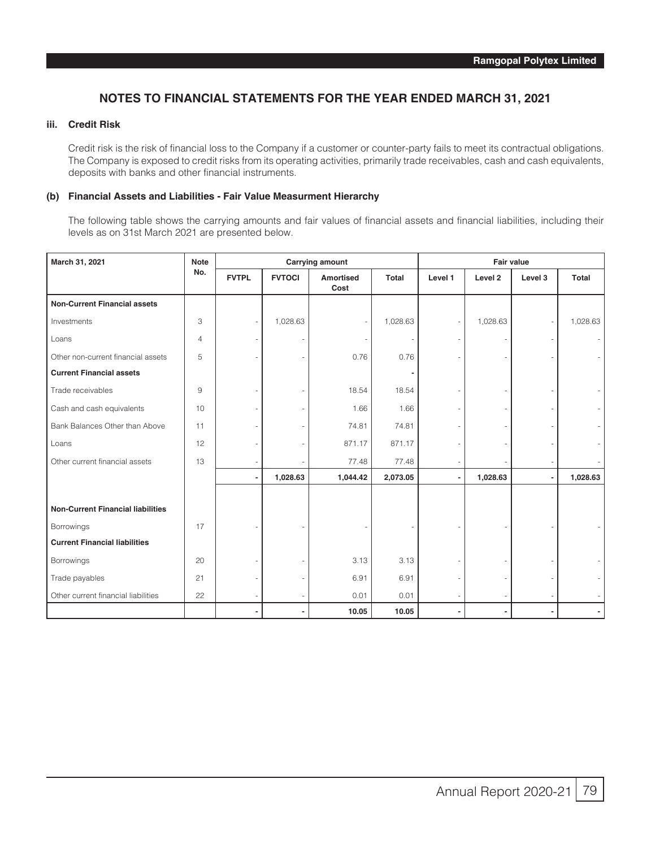#### **iii. Credit Risk**

Credit risk is the risk of financial loss to the Company if a customer or counter-party fails to meet its contractual obligations. The Company is exposed to credit risks from its operating activities, primarily trade receivables, cash and cash equivalents, deposits with banks and other financial instruments.

### **(b) Financial Assets and Liabilities - Fair Value Measurment Hierarchy**

The following table shows the carrying amounts and fair values of financial assets and financial liabilities, including their levels as on 31st March 2021 are presented below.

| March 31, 2021                           | Note           | <b>Carrying amount</b> |                |                   |              | <b>Fair value</b> |          |         |              |
|------------------------------------------|----------------|------------------------|----------------|-------------------|--------------|-------------------|----------|---------|--------------|
|                                          | No.            | <b>FVTPL</b>           | <b>FVTOCI</b>  | Amortised<br>Cost | <b>Total</b> | Level 1           | Level 2  | Level 3 | <b>Total</b> |
| <b>Non-Current Financial assets</b>      |                |                        |                |                   |              |                   |          |         |              |
| Investments                              | 3              |                        | 1,028.63       |                   | 1,028.63     |                   | 1,028.63 |         | 1,028.63     |
| Loans                                    | $\overline{4}$ |                        |                |                   |              |                   |          |         |              |
| Other non-current financial assets       | 5              |                        |                | 0.76              | 0.76         |                   |          |         |              |
| <b>Current Financial assets</b>          |                |                        |                |                   |              |                   |          |         |              |
| Trade receivables                        | 9              |                        |                | 18.54             | 18.54        |                   |          |         |              |
| Cash and cash equivalents                | 10             |                        |                | 1.66              | 1.66         |                   |          |         |              |
| Bank Balances Other than Above           | 11             |                        |                | 74.81             | 74.81        |                   |          |         |              |
| Loans                                    | 12             |                        |                | 871.17            | 871.17       |                   |          |         |              |
| Other current financial assets           | 13             |                        |                | 77.48             | 77.48        |                   |          |         |              |
|                                          |                |                        | 1,028.63       | 1,044.42          | 2,073.05     |                   | 1,028.63 |         | 1,028.63     |
|                                          |                |                        |                |                   |              |                   |          |         |              |
| <b>Non-Current Financial liabilities</b> |                |                        |                |                   |              |                   |          |         |              |
| <b>Borrowings</b>                        | 17             |                        |                |                   |              |                   |          |         |              |
| <b>Current Financial liabilities</b>     |                |                        |                |                   |              |                   |          |         |              |
| <b>Borrowings</b>                        | 20             |                        |                | 3.13              | 3.13         |                   |          |         |              |
| Trade payables                           | 21             |                        |                | 6.91              | 6.91         |                   |          |         |              |
| Other current financial liabilities      | 22             |                        |                | 0.01              | 0.01         |                   |          |         |              |
|                                          |                |                        | $\blacksquare$ | 10.05             | 10.05        |                   |          |         |              |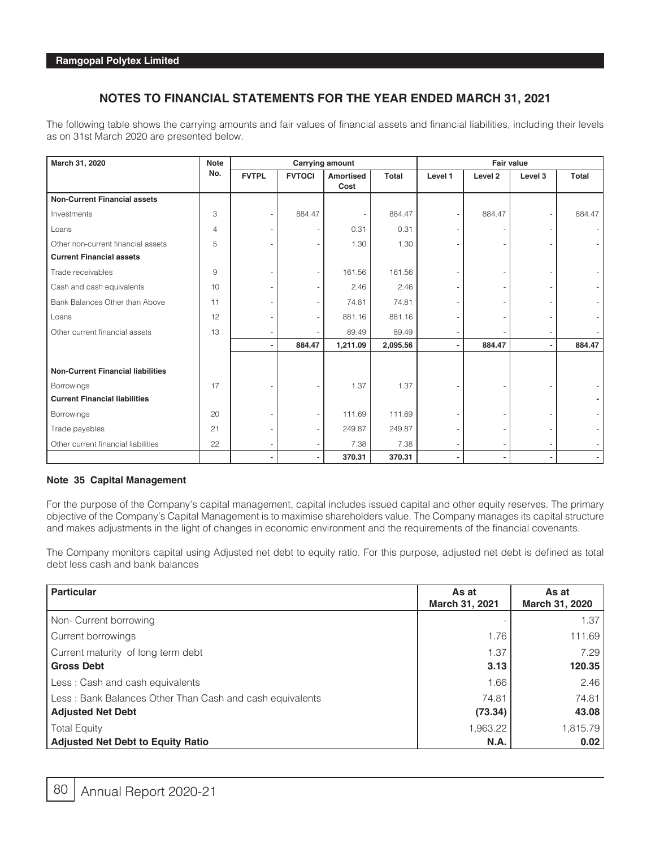The following table shows the carrying amounts and fair values of financial assets and financial liabilities, including their levels as on 31st March 2020 are presented below.

| March 31, 2020                           | <b>Note</b> |              |               | Carrying amount          |          | <b>Fair value</b> |                    |         |                |
|------------------------------------------|-------------|--------------|---------------|--------------------------|----------|-------------------|--------------------|---------|----------------|
|                                          | No.         | <b>FVTPL</b> | <b>FVTOCI</b> | <b>Amortised</b><br>Cost | Total    | Level 1           | Level <sub>2</sub> | Level 3 | Total          |
| <b>Non-Current Financial assets</b>      |             |              |               |                          |          |                   |                    |         |                |
| Investments                              | 3           |              | 884.47        |                          | 884.47   |                   | 884.47             |         | 884.47         |
| Loans                                    | 4           |              | ٠             | 0.31                     | 0.31     |                   |                    |         |                |
| Other non-current financial assets       | 5           |              |               | 1.30                     | 1.30     |                   |                    |         |                |
| <b>Current Financial assets</b>          |             |              |               |                          |          |                   |                    |         |                |
| Trade receivables                        | 9           |              | ٠             | 161.56                   | 161.56   |                   |                    |         |                |
| Cash and cash equivalents                | 10          |              | ۰             | 2.46                     | 2.46     |                   |                    |         |                |
| Bank Balances Other than Above           | 11          |              |               | 74.81                    | 74.81    |                   |                    |         |                |
| Loans                                    | 12          |              |               | 881.16                   | 881.16   |                   |                    |         |                |
| Other current financial assets           | 13          |              |               | 89.49                    | 89.49    |                   |                    |         |                |
|                                          |             | ۰            | 884.47        | 1,211.09                 | 2,095.56 | ٠                 | 884.47             |         | 884.47         |
| <b>Non-Current Financial liabilities</b> |             |              |               |                          |          |                   |                    |         |                |
| Borrowings                               | 17          |              |               | 1.37                     | 1.37     |                   |                    |         |                |
| <b>Current Financial liabilities</b>     |             |              |               |                          |          |                   |                    |         | $\blacksquare$ |
| Borrowings                               | 20          |              | ٠             | 111.69                   | 111.69   |                   |                    |         |                |
| Trade payables                           | 21          |              | ٠             | 249.87                   | 249.87   |                   |                    |         |                |
| Other current financial liabilities      | 22          |              | ٠             | 7.38                     | 7.38     |                   |                    |         |                |
|                                          |             | ۰            | ٠             | 370.31                   | 370.31   |                   | ۰                  |         | $\sim$         |

#### **Note 35 Capital Management**

For the purpose of the Company's capital management, capital includes issued capital and other equity reserves. The primary objective of the Company's Capital Management is to maximise shareholders value. The Company manages its capital structure and makes adjustments in the light of changes in economic environment and the requirements of the financial covenants.

The Company monitors capital using Adjusted net debt to equity ratio. For this purpose, adjusted net debt is defined as total debt less cash and bank balances

| <b>Particular</b>                                                                     | As at<br>March 31, 2021 | As at<br>March 31, 2020 |
|---------------------------------------------------------------------------------------|-------------------------|-------------------------|
| Non- Current borrowing                                                                |                         | 1.37                    |
| Current borrowings                                                                    | 1.76                    | 111.69                  |
| Current maturity of long term debt<br><b>Gross Debt</b>                               | 1.37<br>3.13            | 7.29<br>120.35          |
| Less: Cash and cash equivalents                                                       | 1.66                    | 2.46                    |
| Less : Bank Balances Other Than Cash and cash equivalents<br><b>Adjusted Net Debt</b> | 74.81<br>(73.34)        | 74.81<br>43.08          |
| <b>Total Equity</b><br><b>Adjusted Net Debt to Equity Ratio</b>                       | 1.963.22<br>N.A.        | 1,815.79<br>0.02        |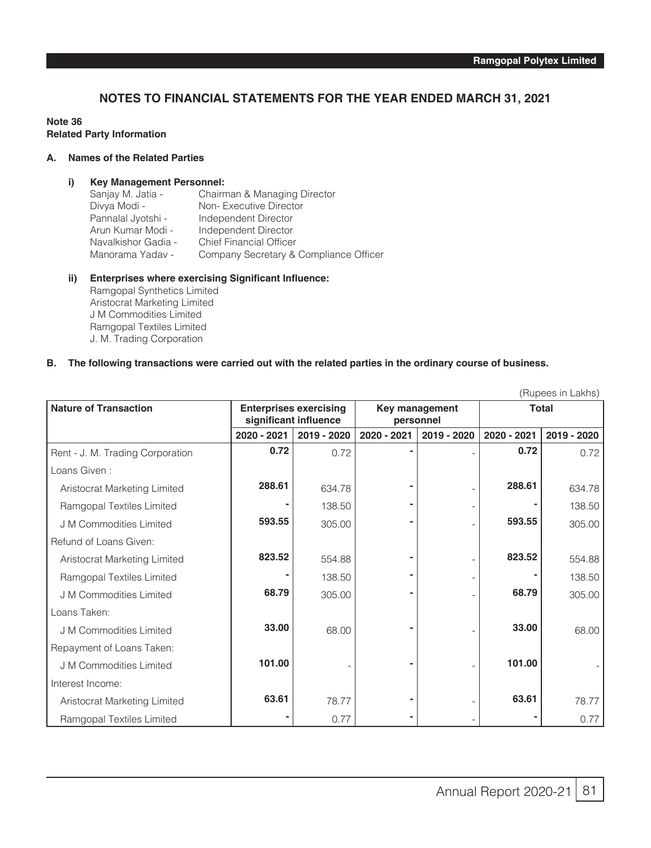#### **Note 36 Related Party Information**

### **A. Names of the Related Parties**

### **i) Key Management Personnel:**

| Chairman & Managing Director           |
|----------------------------------------|
| Non-Executive Director                 |
| Independent Director                   |
| Independent Director                   |
| <b>Chief Financial Officer</b>         |
| Company Secretary & Compliance Officer |
|                                        |

### **ii) Enterprises where exercising Significant Influence:**

Ramgopal Synthetics Limited Aristocrat Marketing Limited J M Commodities Limited Ramgopal Textiles Limited J. M. Trading Corporation

### **B. The following transactions were carried out with the related parties in the ordinary course of business.**

| (Rupees in Lakhs)                |                                                        |                            |  |                             |              |             |  |  |
|----------------------------------|--------------------------------------------------------|----------------------------|--|-----------------------------|--------------|-------------|--|--|
| <b>Nature of Transaction</b>     | <b>Enterprises exercising</b><br>significant influence |                            |  | Key management<br>personnel | <b>Total</b> |             |  |  |
|                                  | 2020 - 2021                                            | 2019 - 2020<br>2020 - 2021 |  | 2019 - 2020                 | 2020 - 2021  | 2019 - 2020 |  |  |
| Rent - J. M. Trading Corporation | 0.72                                                   | 0.72                       |  |                             | 0.72         | 0.72        |  |  |
| Loans Given:                     |                                                        |                            |  |                             |              |             |  |  |
| Aristocrat Marketing Limited     | 288.61                                                 | 634.78                     |  |                             | 288.61       | 634.78      |  |  |
| Ramgopal Textiles Limited        |                                                        | 138.50                     |  |                             |              | 138.50      |  |  |
| J M Commodities Limited          | 593.55                                                 | 305.00                     |  |                             | 593.55       | 305.00      |  |  |
| Refund of Loans Given:           |                                                        |                            |  |                             |              |             |  |  |
| Aristocrat Marketing Limited     | 823.52                                                 | 554.88                     |  |                             | 823.52       | 554.88      |  |  |
| Ramgopal Textiles Limited        |                                                        | 138.50                     |  |                             |              | 138.50      |  |  |
| J M Commodities Limited          | 68.79                                                  | 305.00                     |  |                             | 68.79        | 305.00      |  |  |
| Loans Taken:                     |                                                        |                            |  |                             |              |             |  |  |
| J M Commodities Limited          | 33.00                                                  | 68.00                      |  |                             | 33.00        | 68.00       |  |  |
| Repayment of Loans Taken:        |                                                        |                            |  |                             |              |             |  |  |
| J M Commodities Limited          | 101.00                                                 |                            |  |                             | 101.00       |             |  |  |
| Interest Income:                 |                                                        |                            |  |                             |              |             |  |  |
| Aristocrat Marketing Limited     | 63.61                                                  | 78.77                      |  |                             | 63.61        | 78.77       |  |  |
| Ramgopal Textiles Limited        |                                                        | 0.77                       |  |                             |              | 0.77        |  |  |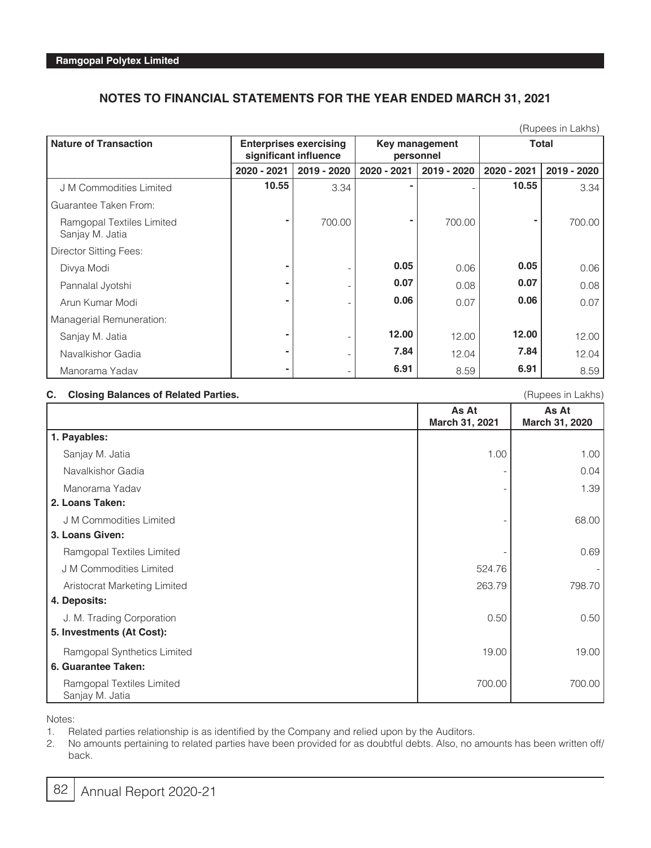| (Rupees in Lakhs)                            |                                                        |                          |                             |             |              |             |
|----------------------------------------------|--------------------------------------------------------|--------------------------|-----------------------------|-------------|--------------|-------------|
| <b>Nature of Transaction</b>                 | <b>Enterprises exercising</b><br>significant influence |                          | Key management<br>personnel |             | <b>Total</b> |             |
|                                              | 2020 - 2021                                            | 2019 - 2020              | 2020 - 2021                 | 2019 - 2020 | 2020 - 2021  | 2019 - 2020 |
| J M Commodities Limited                      | 10.55                                                  | 3.34                     |                             |             | 10.55        | 3.34        |
| Guarantee Taken From:                        |                                                        |                          |                             |             |              |             |
| Ramgopal Textiles Limited<br>Sanjay M. Jatia | -                                                      | 700.00                   |                             | 700.00      |              | 700.00      |
| <b>Director Sitting Fees:</b>                |                                                        |                          |                             |             |              |             |
| Divya Modi                                   | -                                                      |                          | 0.05                        | 0.06        | 0.05         | 0.06        |
| Pannalal Jyotshi                             |                                                        |                          | 0.07                        | 0.08        | 0.07         | 0.08        |
| Arun Kumar Modi                              |                                                        |                          | 0.06                        | 0.07        | 0.06         | 0.07        |
| Managerial Remuneration:                     |                                                        |                          |                             |             |              |             |
| Sanjay M. Jatia                              | ٠                                                      | $\overline{\phantom{a}}$ | 12.00                       | 12.00       | 12.00        | 12.00       |
| Navalkishor Gadia                            | ۰                                                      |                          | 7.84                        | 12.04       | 7.84         | 12.04       |
| Manorama Yadav                               | ٠.                                                     | $\overline{\phantom{a}}$ | 6.91                        | 8.59        | 6.91         | 8.59        |

### **C. Closing Balances of Related Parties. C. Closing Balances of Related Parties. (Rupees in Lakhs)**

|                                              | As At<br>March 31, 2021 | As At<br>March 31, 2020 |
|----------------------------------------------|-------------------------|-------------------------|
| 1. Payables:                                 |                         |                         |
| Sanjay M. Jatia                              | 1.00                    | 1.00                    |
| Navalkishor Gadia                            |                         | 0.04                    |
| Manorama Yadav                               |                         | 1.39                    |
| 2. Loans Taken:                              |                         |                         |
| J M Commodities Limited                      |                         | 68.00                   |
| 3. Loans Given:                              |                         |                         |
| Ramgopal Textiles Limited                    |                         | 0.69                    |
| J M Commodities Limited                      | 524.76                  |                         |
| Aristocrat Marketing Limited                 | 263.79                  | 798.70                  |
| 4. Deposits:                                 |                         |                         |
| J. M. Trading Corporation                    | 0.50                    | 0.50                    |
| 5. Investments (At Cost):                    |                         |                         |
| Ramgopal Synthetics Limited                  | 19.00                   | 19.00                   |
| 6. Guarantee Taken:                          |                         |                         |
| Ramgopal Textiles Limited<br>Sanjay M. Jatia | 700.00                  | 700.00                  |

Notes:

1. Related parties relationship is as identified by the Company and relied upon by the Auditors.

2. No amounts pertaining to related parties have been provided for as doubtful debts. Also, no amounts has been written off/ back.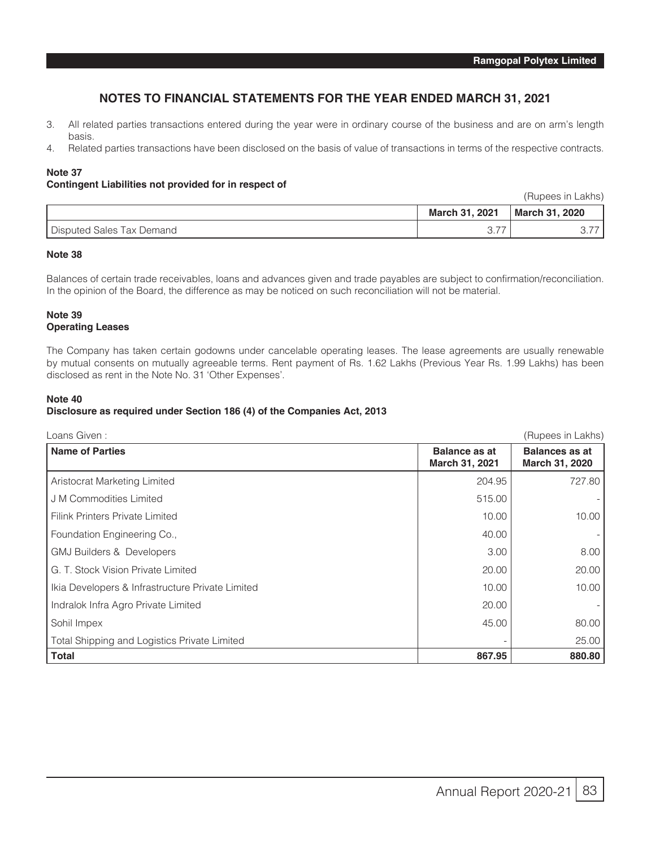- 3. All related parties transactions entered during the year were in ordinary course of the business and are on arm's length basis.
- 4. Related parties transactions have been disclosed on the basis of value of transactions in terms of the respective contracts.

### **Note 37**

#### **Contingent Liabilities not provided for in respect of**

|                                  |                | (Rupees in Lakhs) |
|----------------------------------|----------------|-------------------|
|                                  | March 31, 2021 | March 31, 2020    |
| <b>Disputed Sales Tax Demand</b> |                |                   |

#### **Note 38**

Balances of certain trade receivables, loans and advances given and trade payables are subject to confirmation/reconciliation. In the opinion of the Board, the difference as may be noticed on such reconciliation will not be material.

#### **Note 39 Operating Leases**

The Company has taken certain godowns under cancelable operating leases. The lease agreements are usually renewable by mutual consents on mutually agreeable terms. Rent payment of Rs. 1.62 Lakhs (Previous Year Rs. 1.99 Lakhs) has been disclosed as rent in the Note No. 31 'Other Expenses'.

#### **Note 40**

### **Disclosure as required under Section 186 (4) of the Companies Act, 2013**

| Loans Given :                                    |                                        | (Rupees in Lakhs)                       |
|--------------------------------------------------|----------------------------------------|-----------------------------------------|
| <b>Name of Parties</b>                           | <b>Balance as at</b><br>March 31, 2021 | <b>Balances as at</b><br>March 31, 2020 |
| Aristocrat Marketing Limited                     | 204.95                                 | 727.80                                  |
| J M Commodities Limited                          | 515.00                                 |                                         |
| <b>Filink Printers Private Limited</b>           | 10.00                                  | 10.00                                   |
| Foundation Engineering Co.,                      | 40.00                                  |                                         |
| <b>GMJ Builders &amp; Developers</b>             | 3.00                                   | 8.00                                    |
| G. T. Stock Vision Private Limited               | 20.00                                  | 20.00                                   |
| Ikia Developers & Infrastructure Private Limited | 10.00                                  | 10.00                                   |
| Indralok Infra Agro Private Limited              | 20.00                                  |                                         |
| Sohil Impex                                      | 45.00                                  | 80.00                                   |
| Total Shipping and Logistics Private Limited     |                                        | 25.00                                   |
| <b>Total</b>                                     | 867.95                                 | 880.80                                  |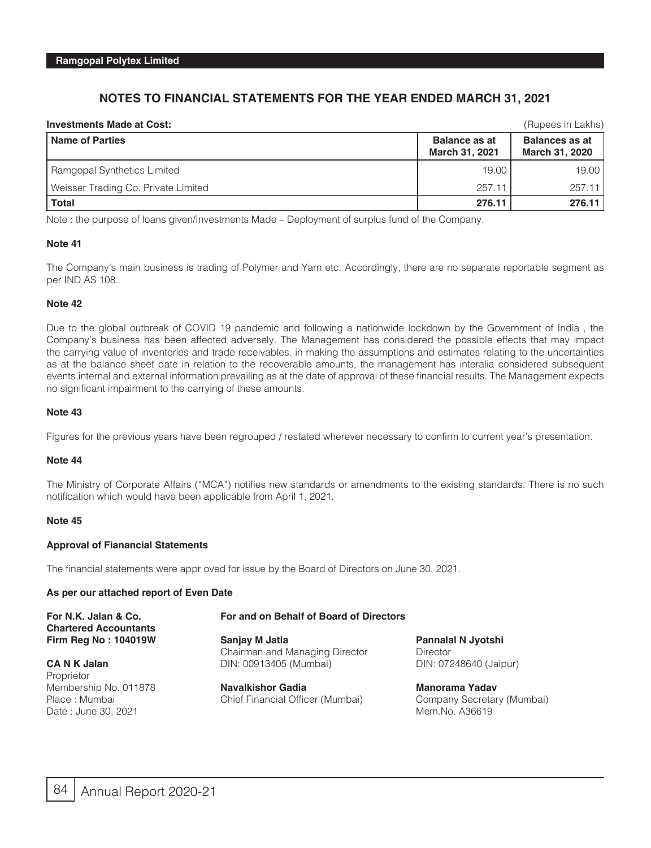| <b>Investments Made at Cost:</b>    |                                        |                                                |
|-------------------------------------|----------------------------------------|------------------------------------------------|
| <b>Name of Parties</b>              | <b>Balance as at</b><br>March 31, 2021 | <b>Balances as at</b><br><b>March 31, 2020</b> |
| Ramgopal Synthetics Limited         | 19.00                                  | 19.00                                          |
| Weisser Trading Co. Private Limited | 257.11                                 | 257.11                                         |
| <b>Total</b>                        | 276.11                                 | 276.11                                         |

Note : the purpose of loans given/Investments Made – Deployment of surplus fund of the Company.

#### **Note 41**

The Company's main business is trading of Polymer and Yarn etc. Accordingly, there are no separate reportable segment as per IND AS 108.

#### **Note 42**

Due to the global outbreak of COVID 19 pandemic and following a nationwide lockdown by the Government of India , the Company's business has been affected adversely. The Management has considered the possible effects that may impact the carrying value of inventories and trade receivables. in making the assumptions and estimates relating to the uncertainties as at the balance sheet date in relation to the recoverable amounts, the management has interalia considered subsequent events,internal and external information prevailing as at the date of approval of these financial results. The Management expects no significant impairment to the carrying of these amounts.

#### **Note 43**

Figures for the previous years have been regrouped / restated wherever necessary to confirm to current year's presentation.

#### **Note 44**

The Ministry of Corporate Affairs ("MCA") notifies new standards or amendments to the existing standards. There is no such notification which would have been applicable from April 1, 2021.

### **Note 45**

### **Approval of Fianancial Statements**

The financial statements were appr oved for issue by the Board of Directors on June 30, 2021.

#### **As per our attached report of Even Date**

| For N.K. Jalan & Co.<br><b>Chartered Accountants</b> | For and on Behalf of Board of Directors |                                              |  |
|------------------------------------------------------|-----------------------------------------|----------------------------------------------|--|
| <b>Firm Reg No: 104019W</b>                          | Sanjay M Jatia                          | <b>Pannalal N Jyotshi</b>                    |  |
|                                                      | Chairman and Managing Director          | Director                                     |  |
| <b>CANK Jalan</b>                                    | DIN: 00913405 (Mumbai)                  | DIN: 07248640 (Jaipur)                       |  |
| Proprietor                                           |                                         |                                              |  |
| Membership No. 011878                                | <b>Navalkishor Gadia</b>                | <b>Manorama Yadav</b>                        |  |
| Place: Mumbai<br>Date: June 30, 2021                 | Chief Financial Officer (Mumbai)        | Company Secretary (Mumbai)<br>Mem.No. A36619 |  |